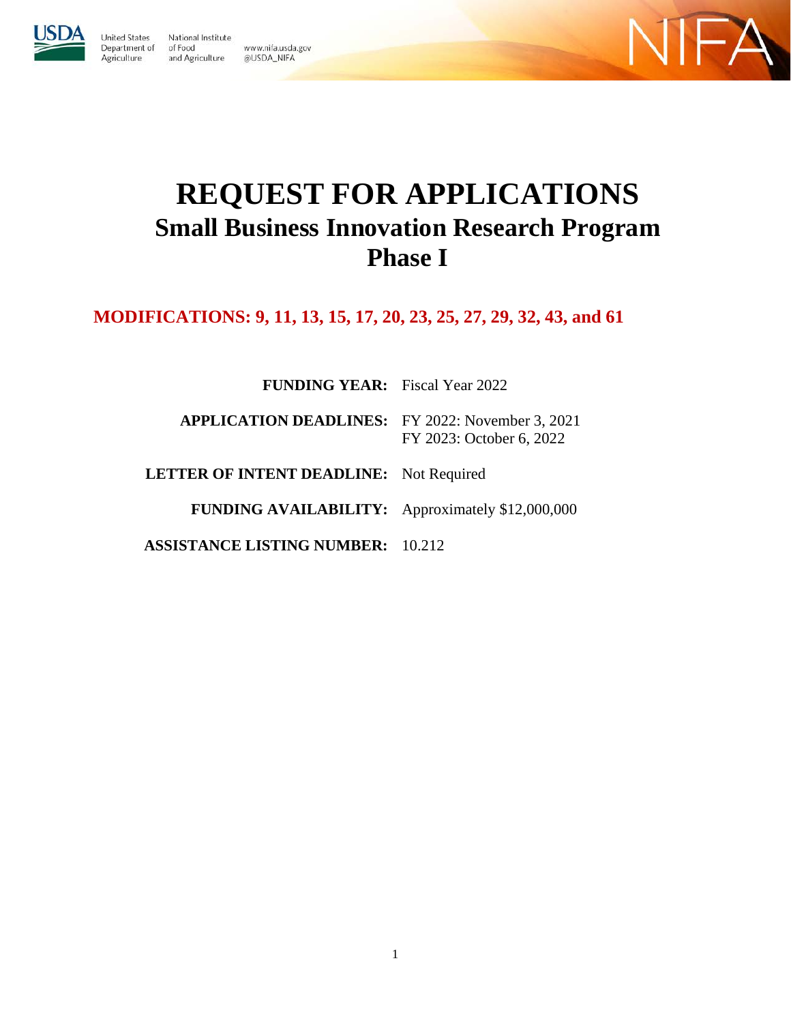

Agriculture

**Inited States** National Institute Department of of Food and Agriculture @USDA\_NIFA





# **REQUEST FOR APPLICATIONS Small Business Innovation Research Program Phase I**

**MODIFICATIONS: 9, 11, 13, 15, 17, 20, 23, 25, 27, 29, 32, 43, and 61**

**FUNDING YEAR:** Fiscal Year 2022

**APPLICATION DEADLINES:** FY 2022: November 3, 2021 FY 2023: October 6, 2022

**LETTER OF INTENT DEADLINE:** Not Required

**FUNDING AVAILABILITY:** Approximately \$12,000,000

**ASSISTANCE LISTING NUMBER:** 10.212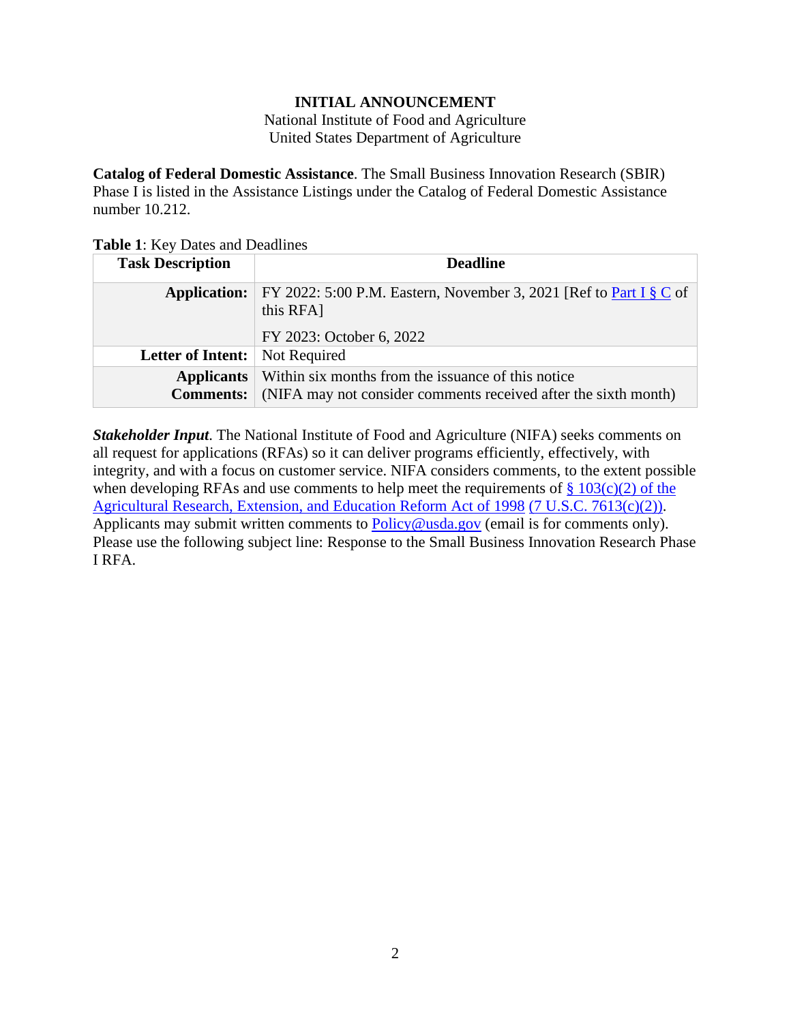### **INITIAL ANNOUNCEMENT**

National Institute of Food and Agriculture United States Department of Agriculture

<span id="page-1-0"></span>**Catalog of Federal Domestic Assistance**. The Small Business Innovation Research (SBIR) Phase I is listed in the Assistance Listings under the Catalog of Federal Domestic Assistance number 10.212.

<span id="page-1-1"></span>**Table 1**: Key Dates and Deadlines

| <b>Task Description</b>               | <b>Deadline</b>                                                                                                         |
|---------------------------------------|-------------------------------------------------------------------------------------------------------------------------|
| <b>Application:</b>                   | FY 2022: 5:00 P.M. Eastern, November 3, 2021 [Ref to Part I $\S \mathbb{C}$ of<br>this RFA]<br>FY 2023: October 6, 2022 |
| Letter of Intent:                     | Not Required                                                                                                            |
| <b>Applicants</b><br><b>Comments:</b> | Within six months from the issuance of this notice<br>(NIFA may not consider comments received after the sixth month)   |

*Stakeholder Input*. The National Institute of Food and Agriculture (NIFA) seeks comments on all request for applications (RFAs) so it can deliver programs efficiently, effectively, with integrity, and with a focus on customer service. NIFA considers comments, to the extent possible when developing RFAs and use comments to help meet the requirements of  $\S 103(c)(2)$  of the [Agricultural Research, Extension, and Education Reform Act of 1998](https://nifa.usda.gov/sites/default/files/resource/Agricultural-Research-Extension-and-Education-Reform-Act-of-1998.pdf) [\(7 U.S.C. 7613\(c\)\(2\)\).](https://uscode.house.gov/view.xhtml?req=(title:7%20section:7613%20edition:prelim)%20OR%20(granuleid:USC-prelim-title7-section7613)&f=treesort&edition=prelim&num=0&jumpTo=true) Applicants may submit written comments to [Policy@usda.gov](mailto:Policy@usda.gov) (email is for comments only). Please use the following subject line: Response to the Small Business Innovation Research Phase I RFA.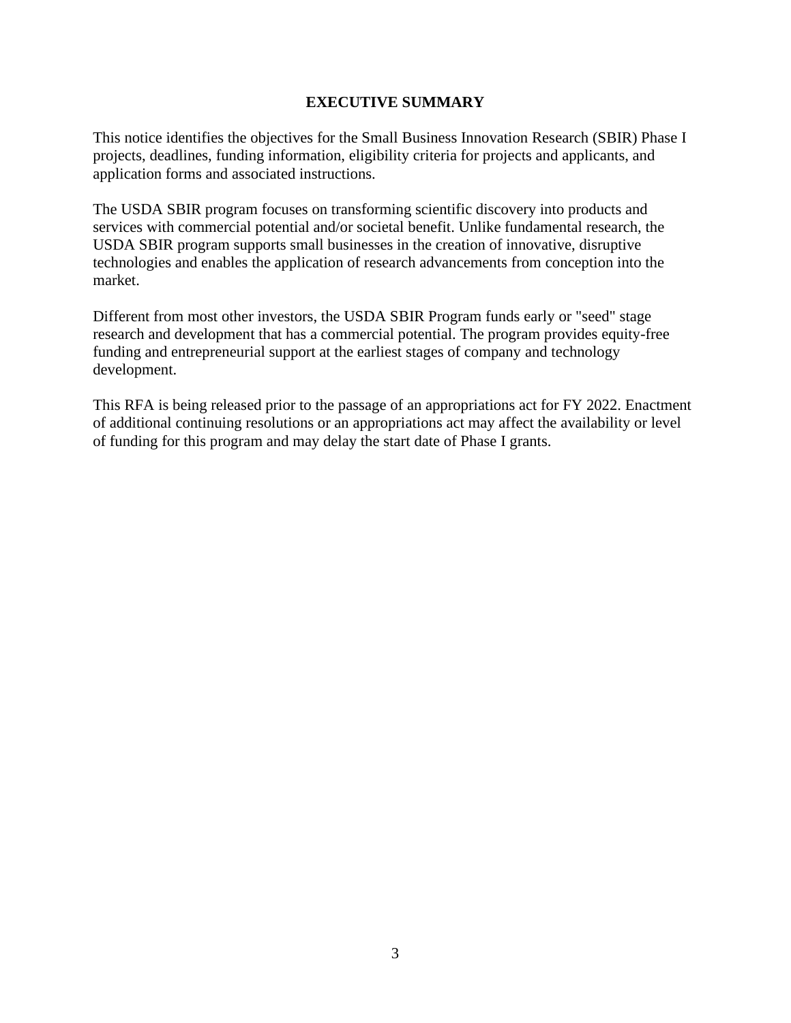### **EXECUTIVE SUMMARY**

<span id="page-2-0"></span>This notice identifies the objectives for the Small Business Innovation Research (SBIR) Phase I projects, deadlines, funding information, eligibility criteria for projects and applicants, and application forms and associated instructions.

The USDA SBIR program focuses on transforming scientific discovery into products and services with commercial potential and/or societal benefit. Unlike fundamental research, the USDA SBIR program supports small businesses in the creation of innovative, disruptive technologies and enables the application of research advancements from conception into the market.

Different from most other investors, the USDA SBIR Program funds early or "seed" stage research and development that has a commercial potential. The program provides equity-free funding and entrepreneurial support at the earliest stages of company and technology development.

This RFA is being released prior to the passage of an appropriations act for FY 2022. Enactment of additional continuing resolutions or an appropriations act may affect the availability or level of funding for this program and may delay the start date of Phase I grants.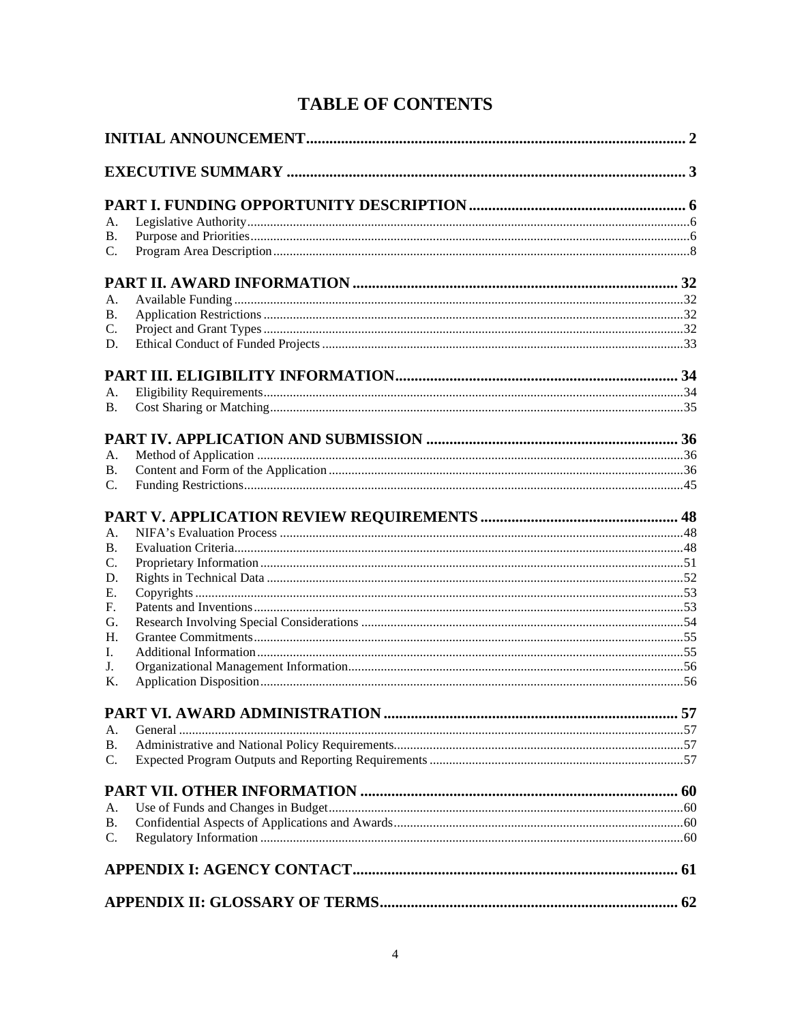# **TABLE OF CONTENTS**

| А.              |  |
|-----------------|--|
| <b>B.</b>       |  |
| $\mathcal{C}$ . |  |
|                 |  |
|                 |  |
| А.              |  |
| <b>B.</b>       |  |
| C.<br>D.        |  |
|                 |  |
|                 |  |
| А.              |  |
| <b>B.</b>       |  |
|                 |  |
| А.              |  |
| <b>B.</b>       |  |
| C.              |  |
|                 |  |
| А.              |  |
| <b>B.</b>       |  |
| C.              |  |
| D.              |  |
| Е.              |  |
| F.              |  |
| G.              |  |
| H.              |  |
| L.              |  |
| J.              |  |
| Κ.              |  |
|                 |  |
| А.              |  |
| <b>B.</b>       |  |
| $\mathcal{C}$ . |  |
|                 |  |
|                 |  |
| А.              |  |
| <b>B.</b>       |  |
| C.              |  |
|                 |  |
|                 |  |
|                 |  |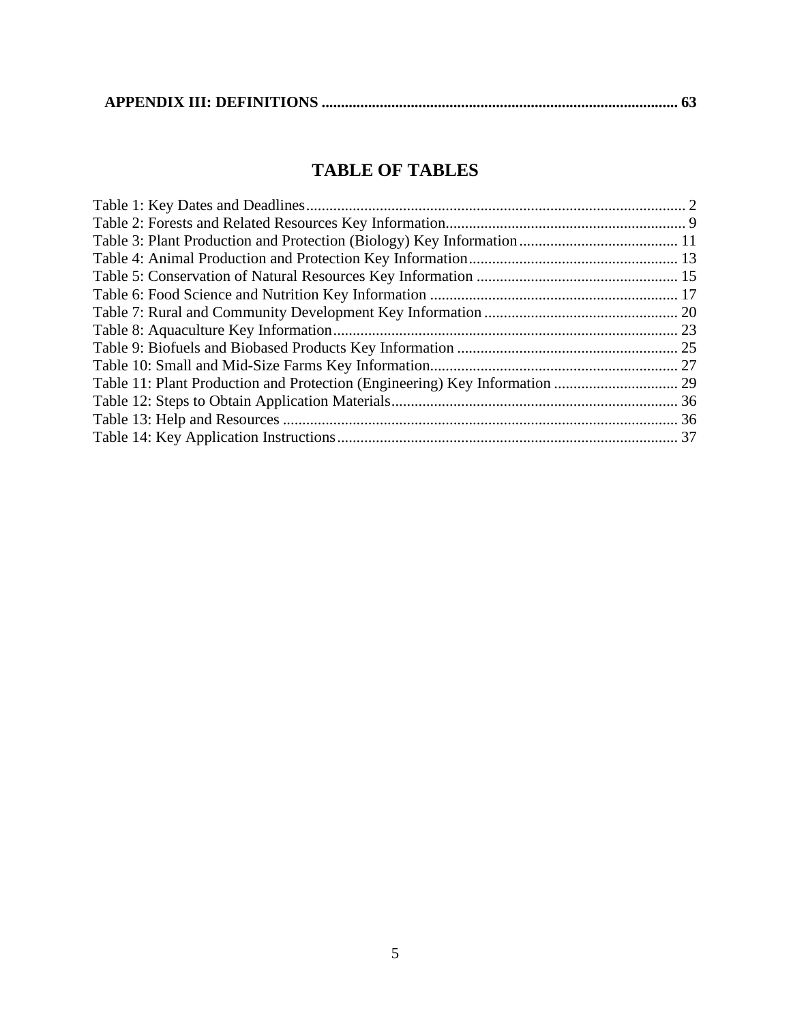|--|--|

# **TABLE OF TABLES**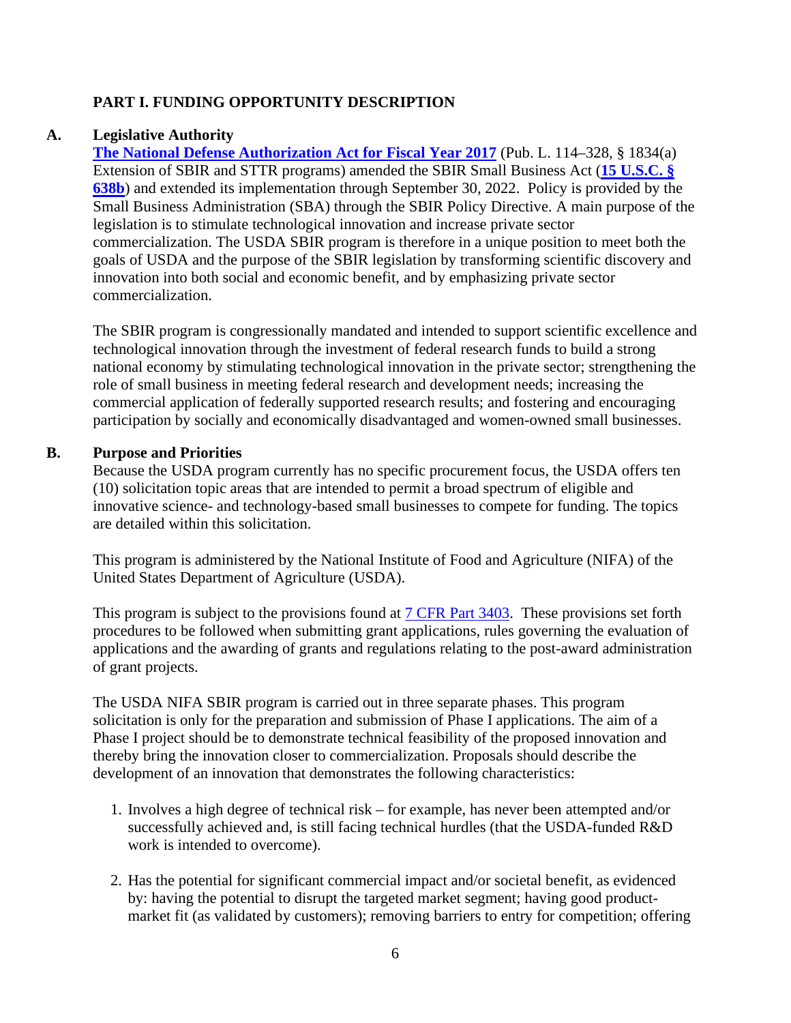# <span id="page-5-0"></span>**PART I. FUNDING OPPORTUNITY DESCRIPTION**

### **A. Legislative Authority**

<span id="page-5-1"></span>**[The National Defense Authorization Act for Fiscal Year 2017](https://www.congress.gov/114/plaws/publ328/PLAW-114publ328.pdf)** (Pub. L. 114–328, § 1834(a) Extension of SBIR and STTR programs) amended the SBIR Small Business Act (**[15 U.S.C. §](https://uscode.house.gov/view.xhtml?req=granuleid:USC-prelim-title15-section638b&num=0&edition=prelim)  [638b](https://uscode.house.gov/view.xhtml?req=granuleid:USC-prelim-title15-section638b&num=0&edition=prelim)**) and extended its implementation through September 30, 2022. Policy is provided by the Small Business Administration (SBA) through the SBIR Policy Directive. A main purpose of the legislation is to stimulate technological innovation and increase private sector commercialization. The USDA SBIR program is therefore in a unique position to meet both the goals of USDA and the purpose of the SBIR legislation by transforming scientific discovery and innovation into both social and economic benefit, and by emphasizing private sector commercialization.

The SBIR program is congressionally mandated and intended to support scientific excellence and technological innovation through the investment of federal research funds to build a strong national economy by stimulating technological innovation in the private sector; strengthening the role of small business in meeting federal research and development needs; increasing the commercial application of federally supported research results; and fostering and encouraging participation by socially and economically disadvantaged and women-owned small businesses.

### **B. Purpose and Priorities**

<span id="page-5-2"></span>Because the USDA program currently has no specific procurement focus, the USDA offers ten (10) solicitation topic areas that are intended to permit a broad spectrum of eligible and innovative science- and technology-based small businesses to compete for funding. The topics are detailed within this solicitation.

This program is administered by the National Institute of Food and Agriculture (NIFA) of the United States Department of Agriculture (USDA).

This program is subject to the provisions found at [7 CFR Part 3403.](https://www.ecfr.gov/cgi-bin/text-idx?c=ecfr&SID=2a6f6bfbef4c918616eebe5353d0793c&rgn=div5&view=text&node=7:15.1.12.2.13&idno=7#7:15.1.12.2.13.1.17.2) These provisions set forth procedures to be followed when submitting grant applications, rules governing the evaluation of applications and the awarding of grants and regulations relating to the post-award administration of grant projects.

The USDA NIFA SBIR program is carried out in three separate phases. This program solicitation is only for the preparation and submission of Phase I applications. The aim of a Phase I project should be to demonstrate technical feasibility of the proposed innovation and thereby bring the innovation closer to commercialization. Proposals should describe the development of an innovation that demonstrates the following characteristics:

- 1. Involves a high degree of technical risk for example, has never been attempted and/or successfully achieved and, is still facing technical hurdles (that the USDA-funded R&D work is intended to overcome).
- 2. Has the potential for significant commercial impact and/or societal benefit, as evidenced by: having the potential to disrupt the targeted market segment; having good productmarket fit (as validated by customers); removing barriers to entry for competition; offering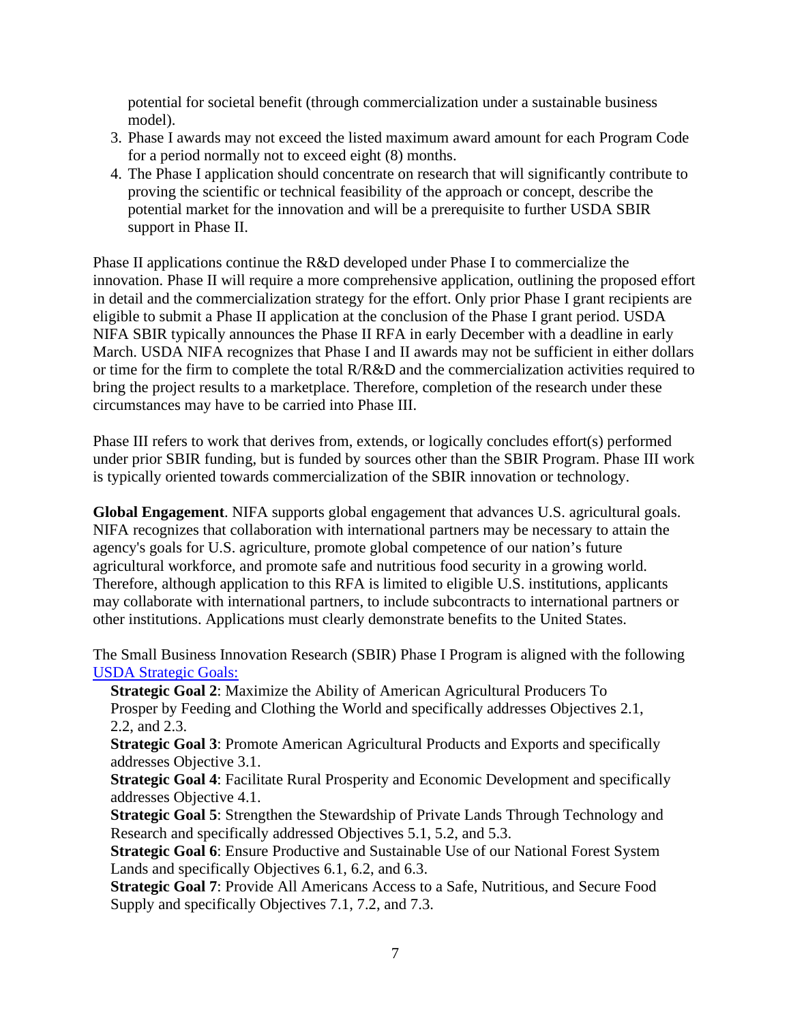potential for societal benefit (through commercialization under a sustainable business model).

- 3. Phase I awards may not exceed the listed maximum award amount for each Program Code for a period normally not to exceed eight (8) months.
- 4. The Phase I application should concentrate on research that will significantly contribute to proving the scientific or technical feasibility of the approach or concept, describe the potential market for the innovation and will be a prerequisite to further USDA SBIR support in Phase II.

Phase II applications continue the R&D developed under Phase I to commercialize the innovation. Phase II will require a more comprehensive application, outlining the proposed effort in detail and the commercialization strategy for the effort. Only prior Phase I grant recipients are eligible to submit a Phase II application at the conclusion of the Phase I grant period. USDA NIFA SBIR typically announces the Phase II RFA in early December with a deadline in early March. USDA NIFA recognizes that Phase I and II awards may not be sufficient in either dollars or time for the firm to complete the total R/R&D and the commercialization activities required to bring the project results to a marketplace. Therefore, completion of the research under these circumstances may have to be carried into Phase III.

Phase III refers to work that derives from, extends, or logically concludes effort(s) performed under prior SBIR funding, but is funded by sources other than the SBIR Program. Phase III work is typically oriented towards commercialization of the SBIR innovation or technology.

**Global Engagement**. NIFA supports global engagement that advances U.S. agricultural goals. NIFA recognizes that collaboration with international partners may be necessary to attain the agency's goals for U.S. agriculture, promote global competence of our nation's future agricultural workforce, and promote safe and nutritious food security in a growing world. Therefore, although application to this RFA is limited to eligible U.S. institutions, applicants may collaborate with international partners, to include subcontracts to international partners or other institutions. Applications must clearly demonstrate benefits to the United States.

The Small Business Innovation Research (SBIR) Phase I Program is aligned with the following [USDA Strategic Goals:](https://www.usda.gov/sites/default/files/documents/usda-strategic-plan-2018-2022.pdf) 

**Strategic Goal 2**: Maximize the Ability of American Agricultural Producers To Prosper by Feeding and Clothing the World and specifically addresses Objectives 2.1, 2.2, and 2.3.

**Strategic Goal 3**: Promote American Agricultural Products and Exports and specifically addresses Objective 3.1.

**Strategic Goal 4**: Facilitate Rural Prosperity and Economic Development and specifically addresses Objective 4.1.

**Strategic Goal 5**: Strengthen the Stewardship of Private Lands Through Technology and Research and specifically addressed Objectives 5.1, 5.2, and 5.3.

**Strategic Goal 6**: Ensure Productive and Sustainable Use of our National Forest System Lands and specifically Objectives 6.1, 6.2, and 6.3.

**Strategic Goal 7**: Provide All Americans Access to a Safe, Nutritious, and Secure Food Supply and specifically Objectives 7.1, 7.2, and 7.3.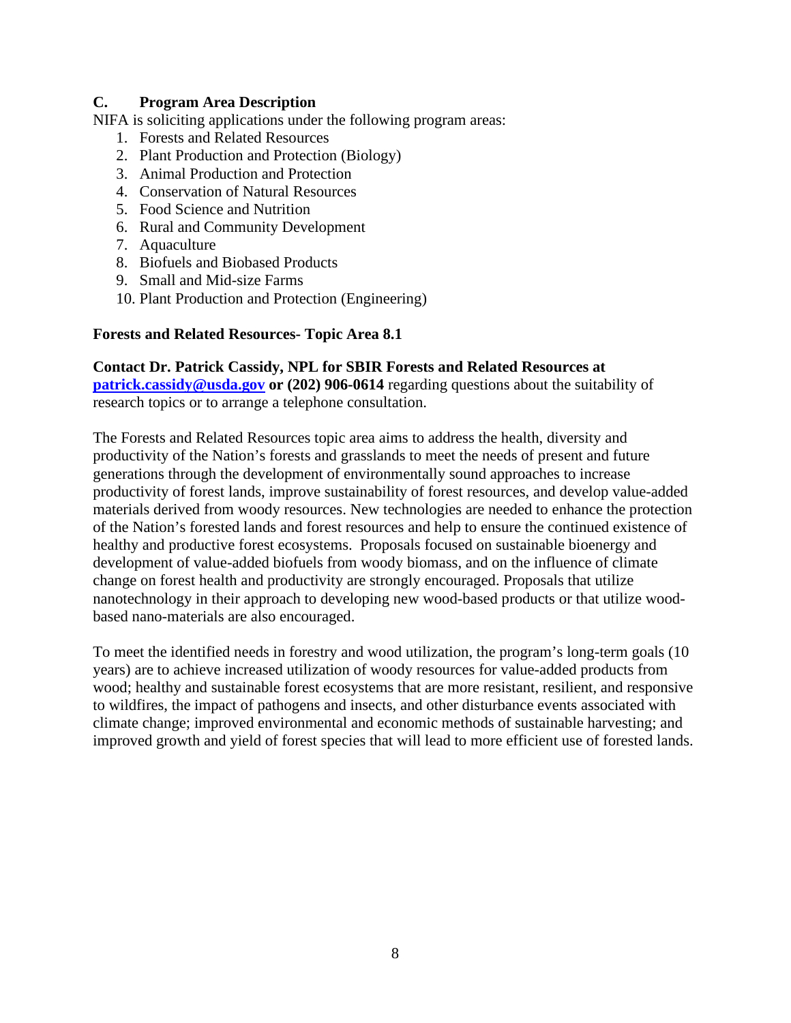### <span id="page-7-0"></span>**C. Program Area Description**

NIFA is soliciting applications under the following program areas:

- 1. Forests and Related Resources
- 2. Plant Production and Protection (Biology)
- 3. Animal Production and Protection
- 4. Conservation of Natural Resources
- 5. Food Science and Nutrition
- 6. Rural and Community Development
- 7. Aquaculture
- 8. Biofuels and Biobased Products
- 9. Small and Mid-size Farms
- 10. Plant Production and Protection (Engineering)

#### **Forests and Related Resources- Topic Area 8.1**

**Contact Dr. Patrick Cassidy, NPL for SBIR Forests and Related Resources at [patrick.cassidy@usda.gov](mailto:patrick.cassidy@usda.gov) or (202) 906-0614** regarding questions about the suitability of research topics or to arrange a telephone consultation.

The Forests and Related Resources topic area aims to address the health, diversity and productivity of the Nation's forests and grasslands to meet the needs of present and future generations through the development of environmentally sound approaches to increase productivity of forest lands, improve sustainability of forest resources, and develop value-added materials derived from woody resources. New technologies are needed to enhance the protection of the Nation's forested lands and forest resources and help to ensure the continued existence of healthy and productive forest ecosystems. Proposals focused on sustainable bioenergy and development of value-added biofuels from woody biomass, and on the influence of climate change on forest health and productivity are strongly encouraged. Proposals that utilize nanotechnology in their approach to developing new wood-based products or that utilize woodbased nano-materials are also encouraged.

To meet the identified needs in forestry and wood utilization, the program's long-term goals (10 years) are to achieve increased utilization of woody resources for value-added products from wood; healthy and sustainable forest ecosystems that are more resistant, resilient, and responsive to wildfires, the impact of pathogens and insects, and other disturbance events associated with climate change; improved environmental and economic methods of sustainable harvesting; and improved growth and yield of forest species that will lead to more efficient use of forested lands.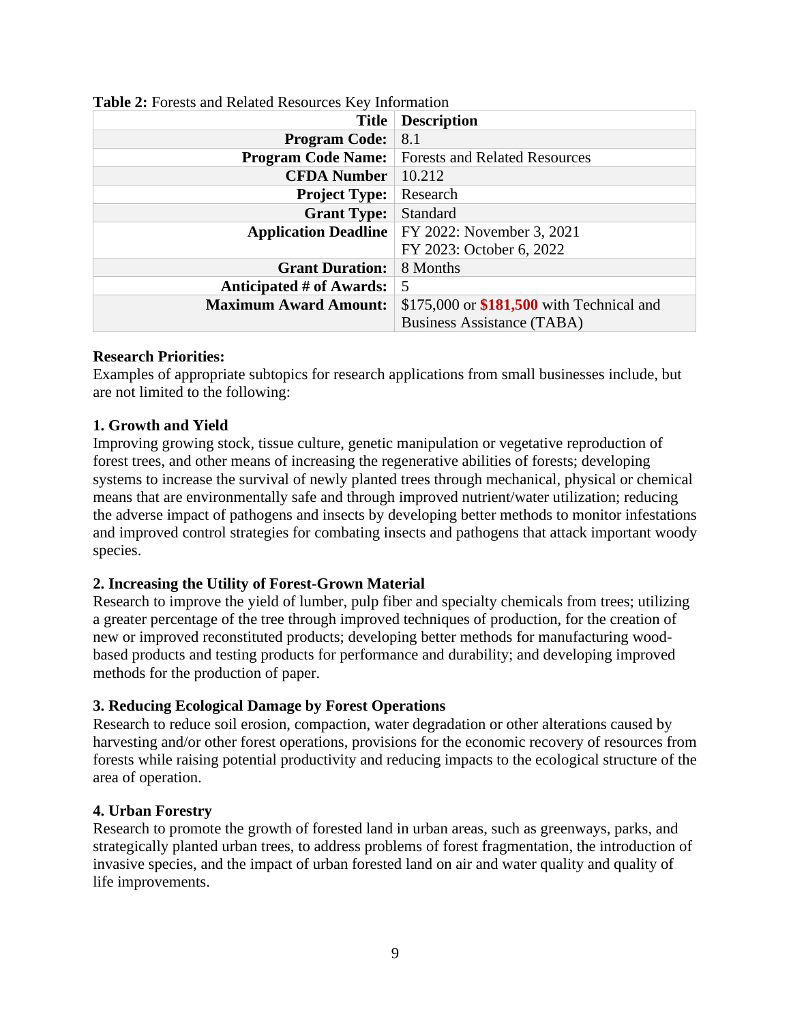| $\mathbf{1}_{\mathbf{1}_{\mathbf{2}_{\mathbf{3}}\mathbf{4}}\mathbf{1}_{\mathbf{3}}\mathbf{1}_{\mathbf{4}}\mathbf{1}_{\mathbf{5}_{\mathbf{4}}\mathbf{1}_{\mathbf{5}}\mathbf{1}_{\mathbf{6}_{\mathbf{5}}\mathbf{1}}\mathbf{1}_{\mathbf{6}_{\mathbf{6}}\mathbf{1}_{\mathbf{6}_{\mathbf{6}}\mathbf{1}}\mathbf{1}_{\mathbf{6}_{\mathbf{6}}\mathbf{1}}\mathbf{1}_{\mathbf{6}_{\mathbf{6}}\mathbf{1}_{\mathbf{6}_{\mathbf{6}}\mathbf{1}}\mathbf{$ |                                                         |
|--------------------------------------------------------------------------------------------------------------------------------------------------------------------------------------------------------------------------------------------------------------------------------------------------------------------------------------------------------------------------------------------------------------------------------------------|---------------------------------------------------------|
| <b>Title</b>                                                                                                                                                                                                                                                                                                                                                                                                                               | <b>Description</b>                                      |
| <b>Program Code:</b>                                                                                                                                                                                                                                                                                                                                                                                                                       | 8.1                                                     |
| <b>Program Code Name:</b>                                                                                                                                                                                                                                                                                                                                                                                                                  | <b>Forests and Related Resources</b>                    |
| <b>CFDA Number</b>                                                                                                                                                                                                                                                                                                                                                                                                                         | 10.212                                                  |
| <b>Project Type:</b>                                                                                                                                                                                                                                                                                                                                                                                                                       | Research                                                |
| <b>Grant Type:</b>                                                                                                                                                                                                                                                                                                                                                                                                                         | Standard                                                |
|                                                                                                                                                                                                                                                                                                                                                                                                                                            | <b>Application Deadline</b>   FY 2022: November 3, 2021 |
|                                                                                                                                                                                                                                                                                                                                                                                                                                            | FY 2023: October 6, 2022                                |
| <b>Grant Duration:</b>                                                                                                                                                                                                                                                                                                                                                                                                                     | 8 Months                                                |
| Anticipated # of Awards:                                                                                                                                                                                                                                                                                                                                                                                                                   | 5                                                       |
| <b>Maximum Award Amount:</b>                                                                                                                                                                                                                                                                                                                                                                                                               | \$175,000 or \$181,500 with Technical and               |
|                                                                                                                                                                                                                                                                                                                                                                                                                                            | <b>Business Assistance (TABA)</b>                       |

### <span id="page-8-0"></span>**Table 2:** Forests and Related Resources Key Information

### **Research Priorities:**

Examples of appropriate subtopics for research applications from small businesses include, but are not limited to the following:

### **1. Growth and Yield**

Improving growing stock, tissue culture, genetic manipulation or vegetative reproduction of forest trees, and other means of increasing the regenerative abilities of forests; developing systems to increase the survival of newly planted trees through mechanical, physical or chemical means that are environmentally safe and through improved nutrient/water utilization; reducing the adverse impact of pathogens and insects by developing better methods to monitor infestations and improved control strategies for combating insects and pathogens that attack important woody species.

### **2. Increasing the Utility of Forest-Grown Material**

Research to improve the yield of lumber, pulp fiber and specialty chemicals from trees; utilizing a greater percentage of the tree through improved techniques of production, for the creation of new or improved reconstituted products; developing better methods for manufacturing woodbased products and testing products for performance and durability; and developing improved methods for the production of paper.

# **3. Reducing Ecological Damage by Forest Operations**

Research to reduce soil erosion, compaction, water degradation or other alterations caused by harvesting and/or other forest operations, provisions for the economic recovery of resources from forests while raising potential productivity and reducing impacts to the ecological structure of the area of operation.

### **4. Urban Forestry**

Research to promote the growth of forested land in urban areas, such as greenways, parks, and strategically planted urban trees, to address problems of forest fragmentation, the introduction of invasive species, and the impact of urban forested land on air and water quality and quality of life improvements.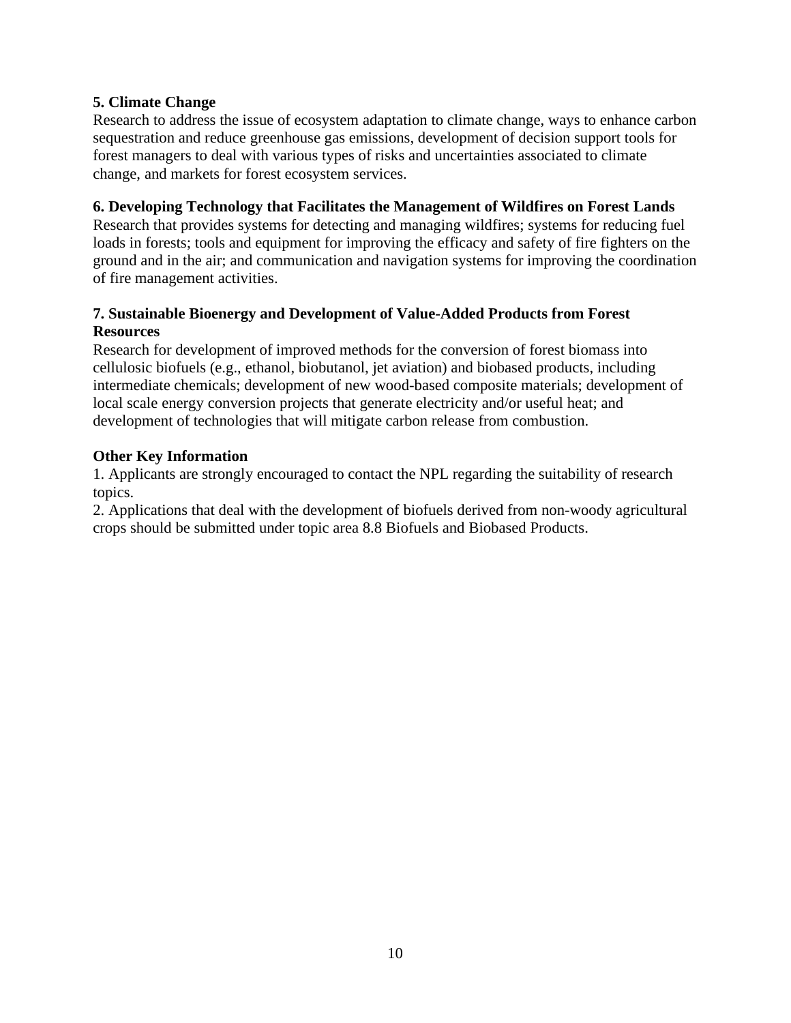# **5. Climate Change**

Research to address the issue of ecosystem adaptation to climate change, ways to enhance carbon sequestration and reduce greenhouse gas emissions, development of decision support tools for forest managers to deal with various types of risks and uncertainties associated to climate change, and markets for forest ecosystem services.

### **6. Developing Technology that Facilitates the Management of Wildfires on Forest Lands**

Research that provides systems for detecting and managing wildfires; systems for reducing fuel loads in forests; tools and equipment for improving the efficacy and safety of fire fighters on the ground and in the air; and communication and navigation systems for improving the coordination of fire management activities.

# **7. Sustainable Bioenergy and Development of Value-Added Products from Forest Resources**

Research for development of improved methods for the conversion of forest biomass into cellulosic biofuels (e.g., ethanol, biobutanol, jet aviation) and biobased products, including intermediate chemicals; development of new wood-based composite materials; development of local scale energy conversion projects that generate electricity and/or useful heat; and development of technologies that will mitigate carbon release from combustion.

# **Other Key Information**

1. Applicants are strongly encouraged to contact the NPL regarding the suitability of research topics.

2. Applications that deal with the development of biofuels derived from non-woody agricultural crops should be submitted under topic area 8.8 Biofuels and Biobased Products.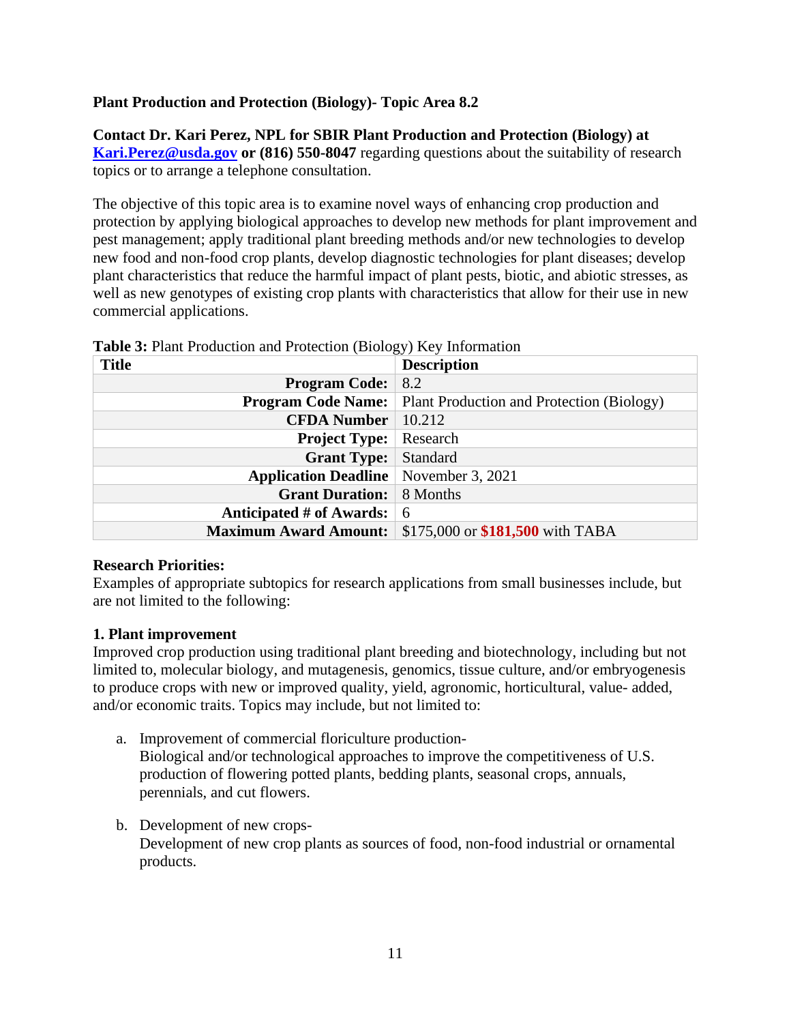# **Plant Production and Protection (Biology)- Topic Area 8.2**

**Contact Dr. Kari Perez, NPL for SBIR Plant Production and Protection (Biology) at [Kari.Perez@usda.gov](mailto:Kari.Perez@usda.gov) or (816) 550-8047** regarding questions about the suitability of research topics or to arrange a telephone consultation.

The objective of this topic area is to examine novel ways of enhancing crop production and protection by applying biological approaches to develop new methods for plant improvement and pest management; apply traditional plant breeding methods and/or new technologies to develop new food and non-food crop plants, develop diagnostic technologies for plant diseases; develop plant characteristics that reduce the harmful impact of plant pests, biotic, and abiotic stresses, as well as new genotypes of existing crop plants with characteristics that allow for their use in new commercial applications.

| <b>Title</b>                                 | <b>Description</b>                                                  |
|----------------------------------------------|---------------------------------------------------------------------|
| <b>Program Code:</b>                         | 8.2                                                                 |
|                                              | <b>Program Code Name:</b> Plant Production and Protection (Biology) |
| <b>CFDA Number</b>                           | 10.212                                                              |
| <b>Project Type:</b>                         | Research                                                            |
| <b>Grant Type:</b>                           | <b>Standard</b>                                                     |
| <b>Application Deadline</b> November 3, 2021 |                                                                     |
| <b>Grant Duration:</b> 8 Months              |                                                                     |
| Anticipated # of Awards:                     | -6                                                                  |
| <b>Maximum Award Amount:</b>                 | \$175,000 or \$181,500 with TABA                                    |

<span id="page-10-0"></span>**Table 3:** Plant Production and Protection (Biology) Key Information

# **Research Priorities:**

Examples of appropriate subtopics for research applications from small businesses include, but are not limited to the following:

# **1. Plant improvement**

Improved crop production using traditional plant breeding and biotechnology, including but not limited to, molecular biology, and mutagenesis, genomics, tissue culture, and/or embryogenesis to produce crops with new or improved quality, yield, agronomic, horticultural, value- added, and/or economic traits. Topics may include, but not limited to:

- a. Improvement of commercial floriculture production-Biological and/or technological approaches to improve the competitiveness of U.S. production of flowering potted plants, bedding plants, seasonal crops, annuals, perennials, and cut flowers.
- b. Development of new crops-Development of new crop plants as sources of food, non-food industrial or ornamental products.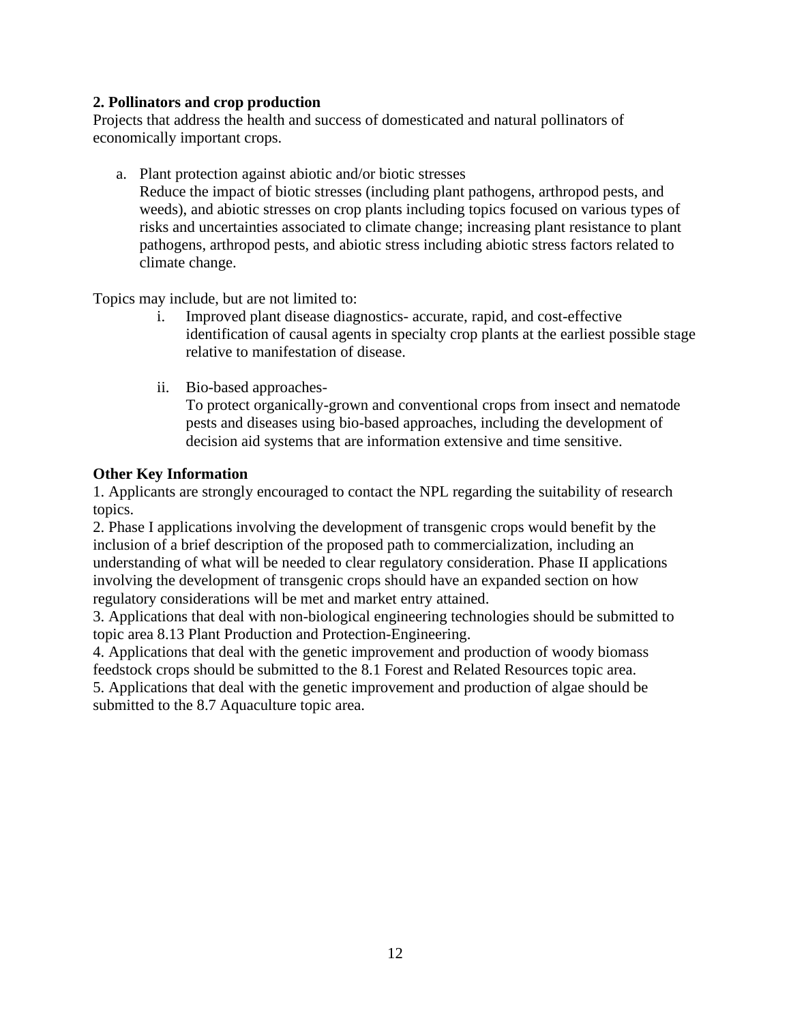# **2. Pollinators and crop production**

Projects that address the health and success of domesticated and natural pollinators of economically important crops.

a. Plant protection against abiotic and/or biotic stresses

Reduce the impact of biotic stresses (including plant pathogens, arthropod pests, and weeds), and abiotic stresses on crop plants including topics focused on various types of risks and uncertainties associated to climate change; increasing plant resistance to plant pathogens, arthropod pests, and abiotic stress including abiotic stress factors related to climate change.

Topics may include, but are not limited to:

- i. Improved plant disease diagnostics- accurate, rapid, and cost-effective identification of causal agents in specialty crop plants at the earliest possible stage relative to manifestation of disease.
- ii. Bio-based approaches-

To protect organically-grown and conventional crops from insect and nematode pests and diseases using bio-based approaches, including the development of decision aid systems that are information extensive and time sensitive.

### **Other Key Information**

1. Applicants are strongly encouraged to contact the NPL regarding the suitability of research topics.

2. Phase I applications involving the development of transgenic crops would benefit by the inclusion of a brief description of the proposed path to commercialization, including an understanding of what will be needed to clear regulatory consideration. Phase II applications involving the development of transgenic crops should have an expanded section on how regulatory considerations will be met and market entry attained.

3. Applications that deal with non-biological engineering technologies should be submitted to topic area 8.13 Plant Production and Protection-Engineering.

4. Applications that deal with the genetic improvement and production of woody biomass feedstock crops should be submitted to the 8.1 Forest and Related Resources topic area.

5. Applications that deal with the genetic improvement and production of algae should be submitted to the 8.7 Aquaculture topic area.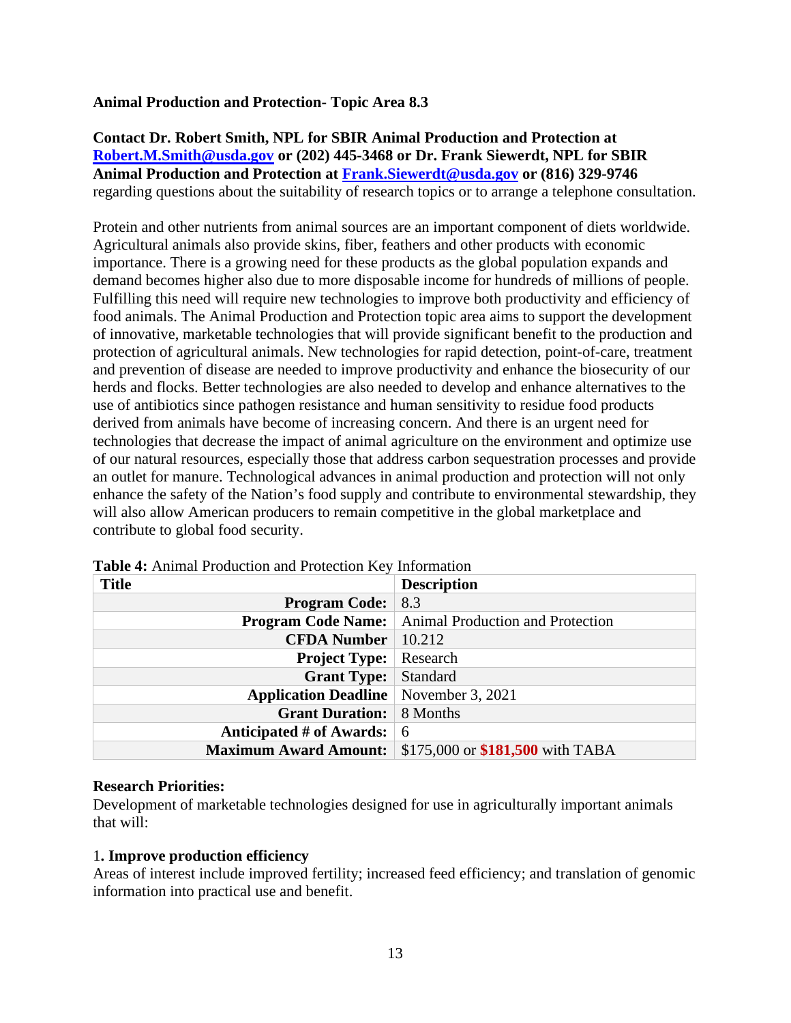### **Animal Production and Protection- Topic Area 8.3**

**Contact Dr. Robert Smith, NPL for SBIR Animal Production and Protection at [Robert.M.Smith@usda.gov](mailto:Robert.M.Smith@usda.gov) or (202) 445-3468 or Dr. Frank Siewerdt, NPL for SBIR Animal Production and Protection at [Frank.Siewerdt@usda.gov](mailto:Frank.Siewerdt@usda.gov) or (816) 329-9746** regarding questions about the suitability of research topics or to arrange a telephone consultation.

Protein and other nutrients from animal sources are an important component of diets worldwide. Agricultural animals also provide skins, fiber, feathers and other products with economic importance. There is a growing need for these products as the global population expands and demand becomes higher also due to more disposable income for hundreds of millions of people. Fulfilling this need will require new technologies to improve both productivity and efficiency of food animals. The Animal Production and Protection topic area aims to support the development of innovative, marketable technologies that will provide significant benefit to the production and protection of agricultural animals. New technologies for rapid detection, point-of-care, treatment and prevention of disease are needed to improve productivity and enhance the biosecurity of our herds and flocks. Better technologies are also needed to develop and enhance alternatives to the use of antibiotics since pathogen resistance and human sensitivity to residue food products derived from animals have become of increasing concern. And there is an urgent need for technologies that decrease the impact of animal agriculture on the environment and optimize use of our natural resources, especially those that address carbon sequestration processes and provide an outlet for manure. Technological advances in animal production and protection will not only enhance the safety of the Nation's food supply and contribute to environmental stewardship, they will also allow American producers to remain competitive in the global marketplace and contribute to global food security.

| <b>Title</b>                                   | <b>Description</b>                                           |
|------------------------------------------------|--------------------------------------------------------------|
| <b>Program Code:</b>                           | 8.3                                                          |
|                                                | <b>Program Code Name:</b>   Animal Production and Protection |
| <b>CFDA Number</b>   $10.212$                  |                                                              |
| <b>Project Type:</b>                           | Research                                                     |
| <b>Grant Type:</b> Standard                    |                                                              |
| <b>Application Deadline</b>   November 3, 2021 |                                                              |
| <b>Grant Duration:</b> 8 Months                |                                                              |
| Anticipated # of Awards: $\vert 6 \rangle$     |                                                              |
| <b>Maximum Award Amount:</b>                   | \$175,000 or \$181,500 with TABA                             |

<span id="page-12-0"></span>**Table 4:** Animal Production and Protection Key Information

### **Research Priorities:**

Development of marketable technologies designed for use in agriculturally important animals that will:

### 1**. Improve production efficiency**

Areas of interest include improved fertility; increased feed efficiency; and translation of genomic information into practical use and benefit.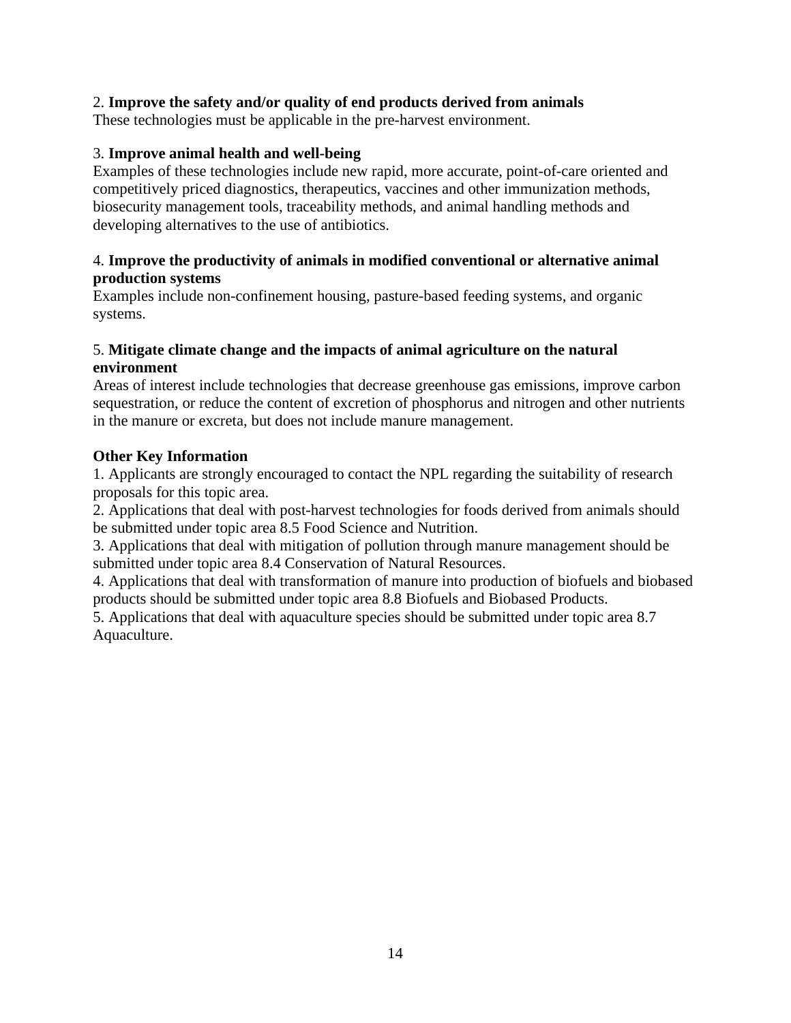# 2. **Improve the safety and/or quality of end products derived from animals**

These technologies must be applicable in the pre-harvest environment.

### 3. **Improve animal health and well-being**

Examples of these technologies include new rapid, more accurate, point-of-care oriented and competitively priced diagnostics, therapeutics, vaccines and other immunization methods, biosecurity management tools, traceability methods, and animal handling methods and developing alternatives to the use of antibiotics.

### 4. **Improve the productivity of animals in modified conventional or alternative animal production systems**

Examples include non-confinement housing, pasture-based feeding systems, and organic systems.

### 5. **Mitigate climate change and the impacts of animal agriculture on the natural environment**

Areas of interest include technologies that decrease greenhouse gas emissions, improve carbon sequestration, or reduce the content of excretion of phosphorus and nitrogen and other nutrients in the manure or excreta, but does not include manure management.

### **Other Key Information**

1. Applicants are strongly encouraged to contact the NPL regarding the suitability of research proposals for this topic area.

2. Applications that deal with post-harvest technologies for foods derived from animals should be submitted under topic area 8.5 Food Science and Nutrition.

3. Applications that deal with mitigation of pollution through manure management should be submitted under topic area 8.4 Conservation of Natural Resources.

4. Applications that deal with transformation of manure into production of biofuels and biobased products should be submitted under topic area 8.8 Biofuels and Biobased Products.

5. Applications that deal with aquaculture species should be submitted under topic area 8.7 Aquaculture.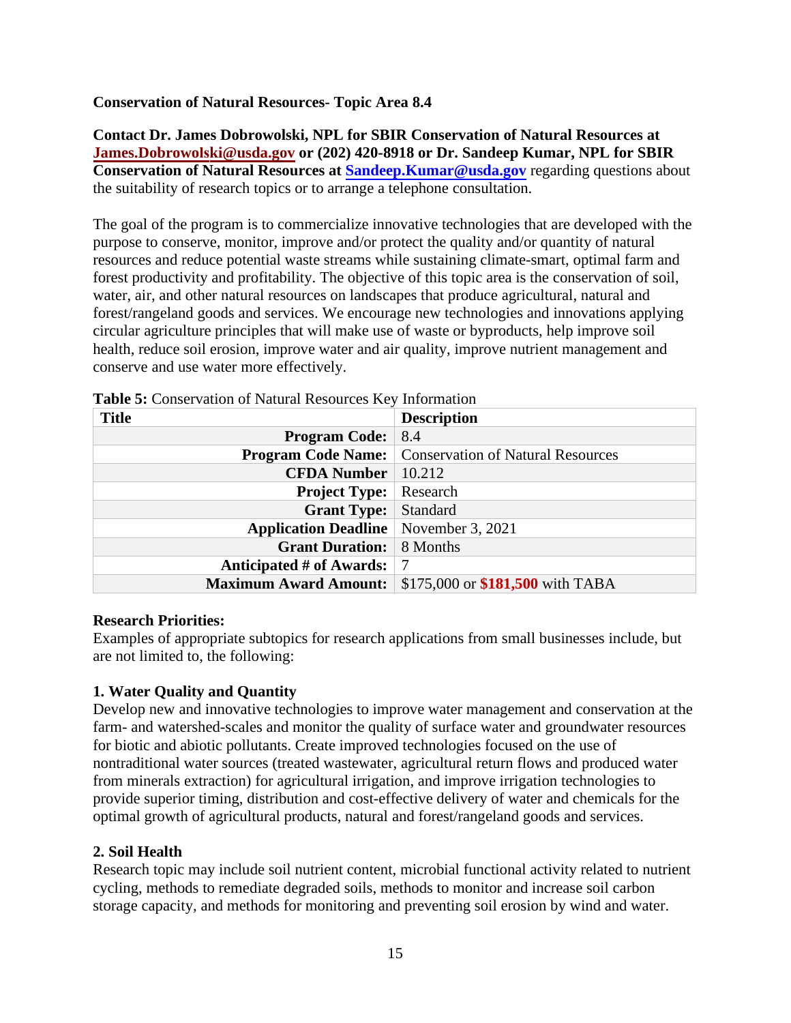# **Conservation of Natural Resources- Topic Area 8.4**

**Contact Dr. James Dobrowolski, NPL for SBIR Conservation of Natural Resources at [James.Dobrowo](mailto:James.Dobrowolski@usda.gov)lski@usda.gov or (202) 420-8918 or Dr. Sandeep Kumar, NPL for SBIR Conservation of Natural Resources at Sandeep. Kumar@usda.gov** regarding questions about the suitability of research topics or to arrange a telephone consultation.

The goal of the program is to commercialize innovative technologies that are developed with the purpose to conserve, monitor, improve and/or protect the quality and/or quantity of natural resources and reduce potential waste streams while sustaining climate-smart, optimal farm and forest productivity and profitability. The objective of this topic area is the conservation of soil, water, air, and other natural resources on landscapes that produce agricultural, natural and forest/rangeland goods and services. We encourage new technologies and innovations applying circular agriculture principles that will make use of waste or byproducts, help improve soil health, reduce soil erosion, improve water and air quality, improve nutrient management and conserve and use water more effectively.

| <b>Title</b>                                   | <b>Description</b>                       |
|------------------------------------------------|------------------------------------------|
| <b>Program Code:</b>                           | 8.4                                      |
| <b>Program Code Name:</b>                      | <b>Conservation of Natural Resources</b> |
| <b>CFDA Number</b>                             | 10.212                                   |
| <b>Project Type:</b>                           | Research                                 |
| <b>Grant Type:</b>                             | Standard                                 |
| <b>Application Deadline</b>   November 3, 2021 |                                          |
| <b>Grant Duration:</b>                         | 8 Months                                 |
| Anticipated # of Awards:                       |                                          |
| <b>Maximum Award Amount:</b>                   | \$175,000 or \$181,500 with TABA         |

<span id="page-14-0"></span>**Table 5:** Conservation of Natural Resources Key Information

# **Research Priorities:**

Examples of appropriate subtopics for research applications from small businesses include, but are not limited to, the following:

# **1. Water Quality and Quantity**

Develop new and innovative technologies to improve water management and conservation at the farm- and watershed-scales and monitor the quality of surface water and groundwater resources for biotic and abiotic pollutants. Create improved technologies focused on the use of nontraditional water sources (treated wastewater, agricultural return flows and produced water from minerals extraction) for agricultural irrigation, and improve irrigation technologies to provide superior timing, distribution and cost-effective delivery of water and chemicals for the optimal growth of agricultural products, natural and forest/rangeland goods and services.

# **2. Soil Health**

Research topic may include soil nutrient content, microbial functional activity related to nutrient cycling, methods to remediate degraded soils, methods to monitor and increase soil carbon storage capacity, and methods for monitoring and preventing soil erosion by wind and water.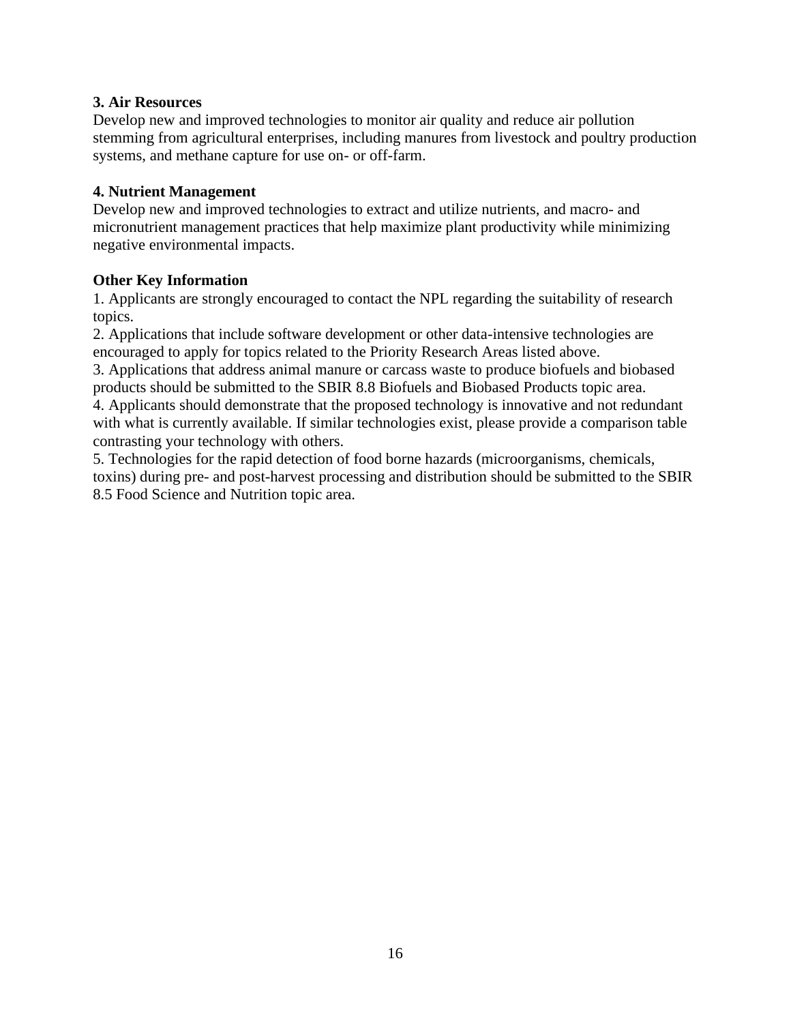# **3. Air Resources**

Develop new and improved technologies to monitor air quality and reduce air pollution stemming from agricultural enterprises, including manures from livestock and poultry production systems, and methane capture for use on- or off-farm.

### **4. Nutrient Management**

Develop new and improved technologies to extract and utilize nutrients, and macro- and micronutrient management practices that help maximize plant productivity while minimizing negative environmental impacts.

### **Other Key Information**

1. Applicants are strongly encouraged to contact the NPL regarding the suitability of research topics.

2. Applications that include software development or other data-intensive technologies are encouraged to apply for topics related to the Priority Research Areas listed above.

3. Applications that address animal manure or carcass waste to produce biofuels and biobased products should be submitted to the SBIR 8.8 Biofuels and Biobased Products topic area.

4. Applicants should demonstrate that the proposed technology is innovative and not redundant with what is currently available. If similar technologies exist, please provide a comparison table contrasting your technology with others.

5. Technologies for the rapid detection of food borne hazards (microorganisms, chemicals, toxins) during pre- and post-harvest processing and distribution should be submitted to the SBIR 8.5 Food Science and Nutrition topic area.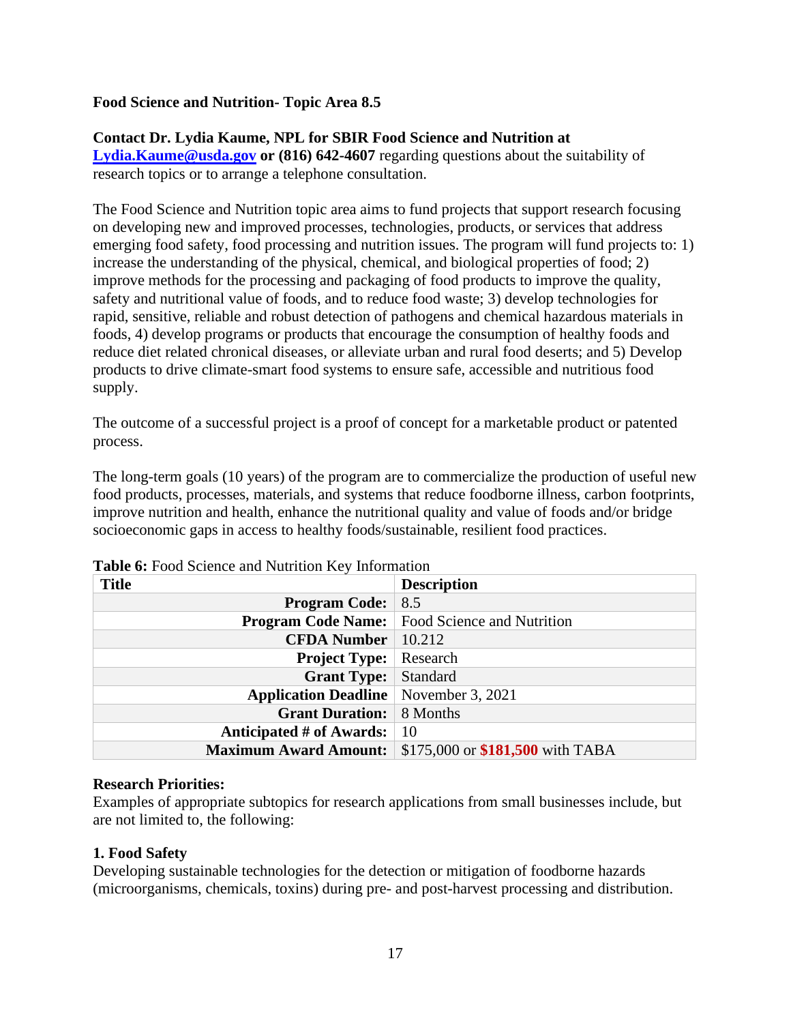### **Food Science and Nutrition- Topic Area 8.5**

### **Contact Dr. Lydia Kaume, NPL for SBIR Food Science and Nutrition at**

**[Lydia.Kaume@usda.gov](mailto:Lydia.Kaume@usda.gov) or (816) 642-4607** regarding questions about the suitability of research topics or to arrange a telephone consultation.

The Food Science and Nutrition topic area aims to fund projects that support research focusing on developing new and improved processes, technologies, products, or services that address emerging food safety, food processing and nutrition issues. The program will fund projects to: 1) increase the understanding of the physical, chemical, and biological properties of food; 2) improve methods for the processing and packaging of food products to improve the quality, safety and nutritional value of foods, and to reduce food waste; 3) develop technologies for rapid, sensitive, reliable and robust detection of pathogens and chemical hazardous materials in foods, 4) develop programs or products that encourage the consumption of healthy foods and reduce diet related chronical diseases, or alleviate urban and rural food deserts; and 5) Develop products to drive climate-smart food systems to ensure safe, accessible and nutritious food supply.

The outcome of a successful project is a proof of concept for a marketable product or patented process.

The long-term goals (10 years) of the program are to commercialize the production of useful new food products, processes, materials, and systems that reduce foodborne illness, carbon footprints, improve nutrition and health, enhance the nutritional quality and value of foods and/or bridge socioeconomic gaps in access to healthy foods/sustainable, resilient food practices.

| <b>Title</b>                                   | <b>Description</b>                      |
|------------------------------------------------|-----------------------------------------|
| <b>Program Code:</b>                           | 8.5                                     |
| <b>Program Code Name:</b>                      | Food Science and Nutrition              |
| <b>CFDA Number</b>                             | 10.212                                  |
| <b>Project Type:</b>                           | Research                                |
| <b>Grant Type:</b>                             | Standard                                |
| <b>Application Deadline</b>   November 3, 2021 |                                         |
| <b>Grant Duration:</b>                         | 8 Months                                |
| Anticipated # of Awards:                       | -10                                     |
| <b>Maximum Award Amount:</b>                   | \$175,000 or <b>\$181,500</b> with TABA |

<span id="page-16-0"></span>**Table 6:** Food Science and Nutrition Key Information

#### **Research Priorities:**

Examples of appropriate subtopics for research applications from small businesses include, but are not limited to, the following:

### **1. Food Safety**

Developing sustainable technologies for the detection or mitigation of foodborne hazards (microorganisms, chemicals, toxins) during pre- and post-harvest processing and distribution.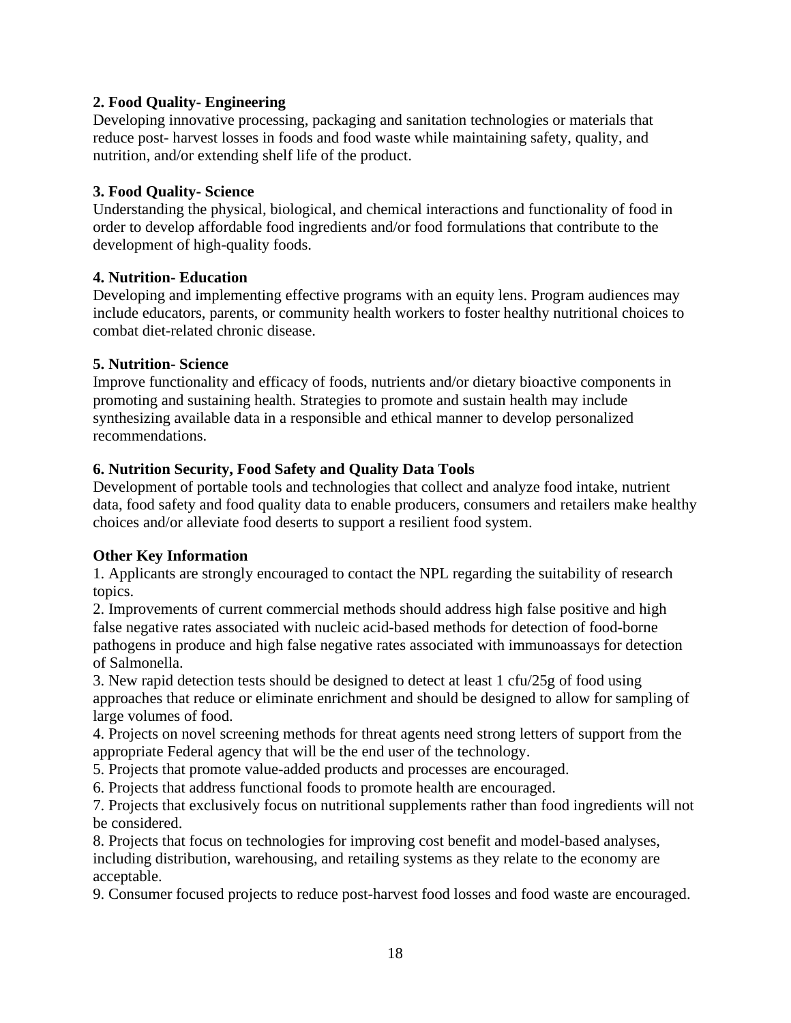# **2. Food Quality- Engineering**

Developing innovative processing, packaging and sanitation technologies or materials that reduce post- harvest losses in foods and food waste while maintaining safety, quality, and nutrition, and/or extending shelf life of the product.

# **3. Food Quality- Science**

Understanding the physical, biological, and chemical interactions and functionality of food in order to develop affordable food ingredients and/or food formulations that contribute to the development of high-quality foods.

# **4. Nutrition- Education**

Developing and implementing effective programs with an equity lens. Program audiences may include educators, parents, or community health workers to foster healthy nutritional choices to combat diet-related chronic disease.

### **5. Nutrition- Science**

Improve functionality and efficacy of foods, nutrients and/or dietary bioactive components in promoting and sustaining health. Strategies to promote and sustain health may include synthesizing available data in a responsible and ethical manner to develop personalized recommendations.

# **6. Nutrition Security, Food Safety and Quality Data Tools**

Development of portable tools and technologies that collect and analyze food intake, nutrient data, food safety and food quality data to enable producers, consumers and retailers make healthy choices and/or alleviate food deserts to support a resilient food system.

# **Other Key Information**

1. Applicants are strongly encouraged to contact the NPL regarding the suitability of research topics.

2. Improvements of current commercial methods should address high false positive and high false negative rates associated with nucleic acid-based methods for detection of food-borne pathogens in produce and high false negative rates associated with immunoassays for detection of Salmonella.

3. New rapid detection tests should be designed to detect at least 1 cfu/25g of food using approaches that reduce or eliminate enrichment and should be designed to allow for sampling of large volumes of food.

4. Projects on novel screening methods for threat agents need strong letters of support from the appropriate Federal agency that will be the end user of the technology.

5. Projects that promote value-added products and processes are encouraged.

6. Projects that address functional foods to promote health are encouraged.

7. Projects that exclusively focus on nutritional supplements rather than food ingredients will not be considered.

8. Projects that focus on technologies for improving cost benefit and model-based analyses, including distribution, warehousing, and retailing systems as they relate to the economy are acceptable.

9. Consumer focused projects to reduce post-harvest food losses and food waste are encouraged.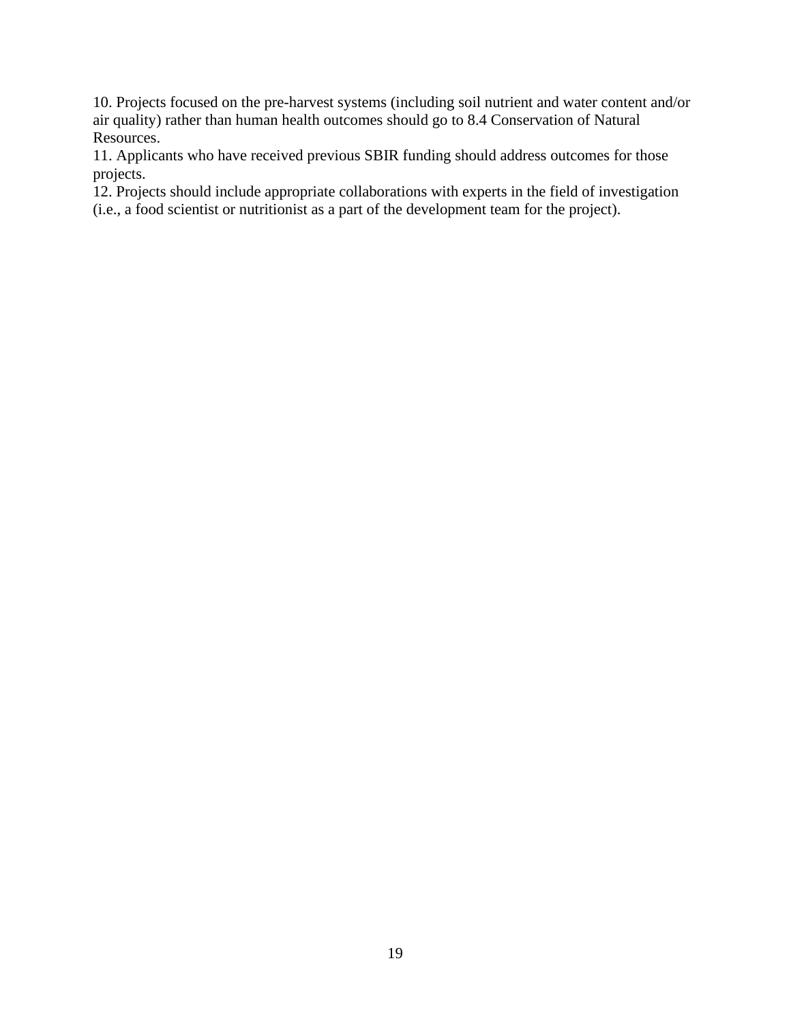10. Projects focused on the pre-harvest systems (including soil nutrient and water content and/or air quality) rather than human health outcomes should go to 8.4 Conservation of Natural Resources.

11. Applicants who have received previous SBIR funding should address outcomes for those projects.

12. Projects should include appropriate collaborations with experts in the field of investigation (i.e., a food scientist or nutritionist as a part of the development team for the project).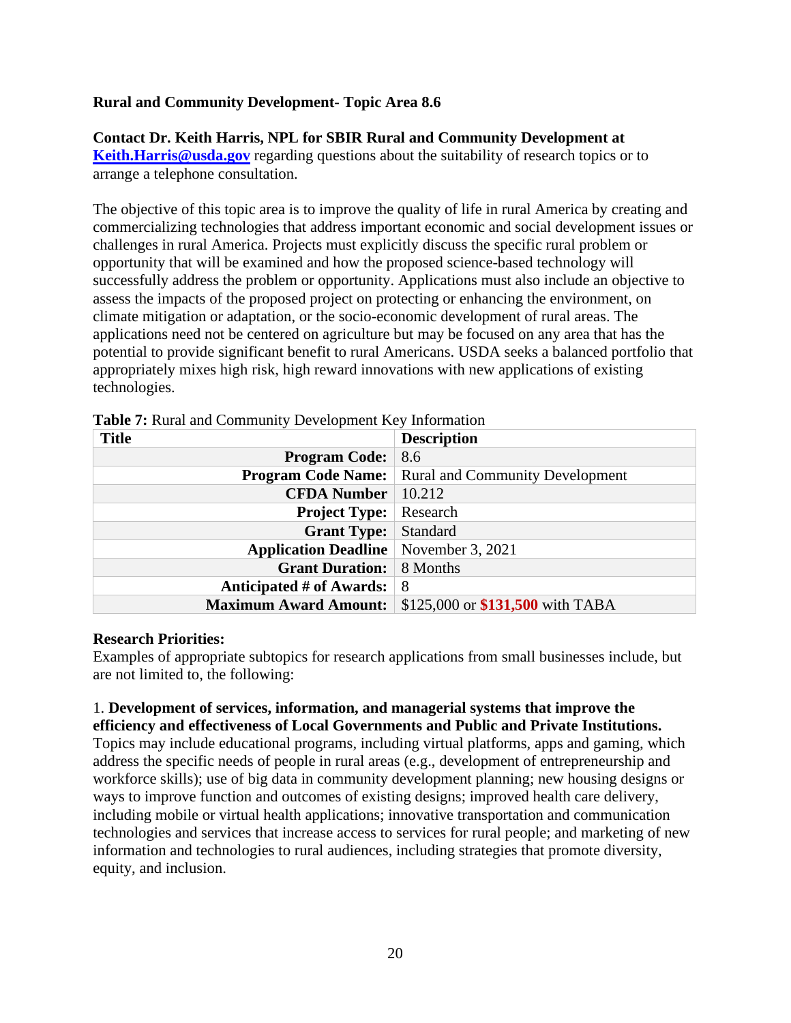### **Rural and Community Development- Topic Area 8.6**

### **Contact Dr. Keith Harris, NPL for SBIR Rural and Community Development at**

**[Keith.Harris@usda.gov](mailto:Keith.Harris@usda.gov)** regarding questions about the suitability of research topics or to arrange a telephone consultation.

The objective of this topic area is to improve the quality of life in rural America by creating and commercializing technologies that address important economic and social development issues or challenges in rural America. Projects must explicitly discuss the specific rural problem or opportunity that will be examined and how the proposed science-based technology will successfully address the problem or opportunity. Applications must also include an objective to assess the impacts of the proposed project on protecting or enhancing the environment, on climate mitigation or adaptation, or the socio-economic development of rural areas. The applications need not be centered on agriculture but may be focused on any area that has the potential to provide significant benefit to rural Americans. USDA seeks a balanced portfolio that appropriately mixes high risk, high reward innovations with new applications of existing technologies.

| <b>Title</b>                 | <b>Description</b>                     |
|------------------------------|----------------------------------------|
| <b>Program Code:</b>         | 8.6                                    |
| <b>Program Code Name:</b>    | <b>Rural and Community Development</b> |
| <b>CFDA Number</b>           | 10.212                                 |
| <b>Project Type:</b>         | Research                               |
| <b>Grant Type:</b>           | Standard                               |
| <b>Application Deadline</b>  | November 3, 2021                       |
| <b>Grant Duration:</b>       | 8 Months                               |
| Anticipated # of Awards:     | -8                                     |
| <b>Maximum Award Amount:</b> | \$125,000 or \$131,500 with TABA       |

<span id="page-19-0"></span>**Table 7:** Rural and Community Development Key Information

### **Research Priorities:**

Examples of appropriate subtopics for research applications from small businesses include, but are not limited to, the following:

# 1. **Development of services, information, and managerial systems that improve the efficiency and effectiveness of Local Governments and Public and Private Institutions.**

Topics may include educational programs, including virtual platforms, apps and gaming, which address the specific needs of people in rural areas (e.g., development of entrepreneurship and workforce skills); use of big data in community development planning; new housing designs or ways to improve function and outcomes of existing designs; improved health care delivery, including mobile or virtual health applications; innovative transportation and communication technologies and services that increase access to services for rural people; and marketing of new information and technologies to rural audiences, including strategies that promote diversity, equity, and inclusion.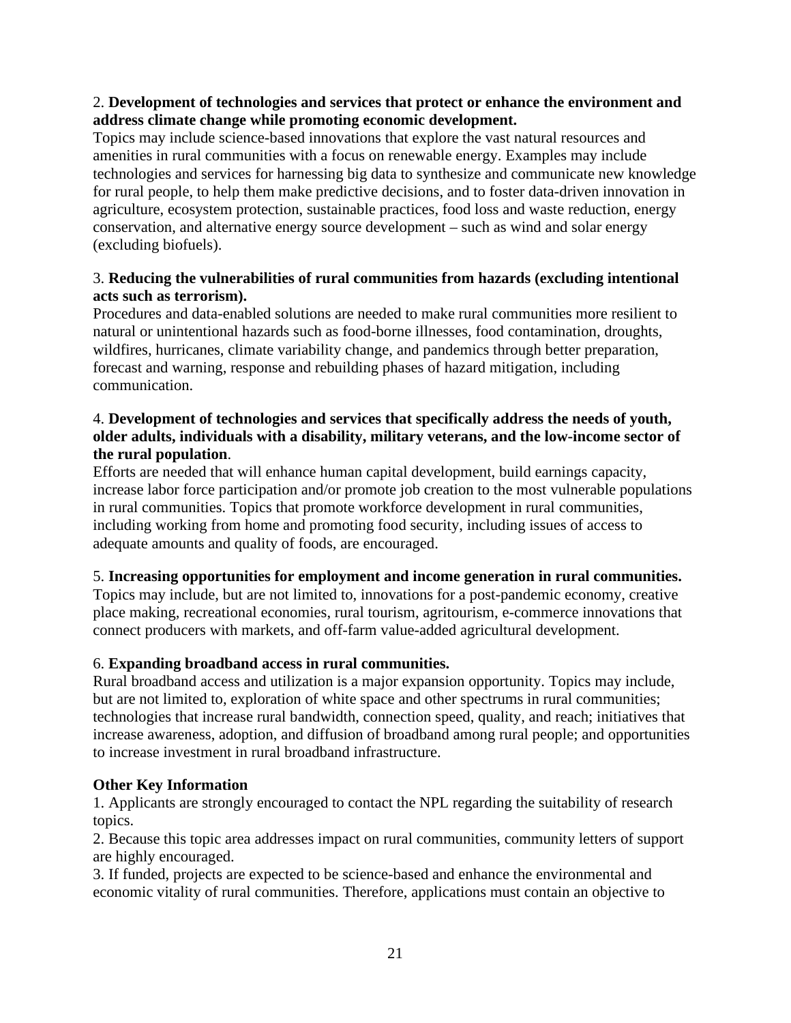# 2. **Development of technologies and services that protect or enhance the environment and address climate change while promoting economic development.**

Topics may include science-based innovations that explore the vast natural resources and amenities in rural communities with a focus on renewable energy. Examples may include technologies and services for harnessing big data to synthesize and communicate new knowledge for rural people, to help them make predictive decisions, and to foster data-driven innovation in agriculture, ecosystem protection, sustainable practices, food loss and waste reduction, energy conservation, and alternative energy source development – such as wind and solar energy (excluding biofuels).

# 3. **Reducing the vulnerabilities of rural communities from hazards (excluding intentional acts such as terrorism).**

Procedures and data-enabled solutions are needed to make rural communities more resilient to natural or unintentional hazards such as food-borne illnesses, food contamination, droughts, wildfires, hurricanes, climate variability change, and pandemics through better preparation, forecast and warning, response and rebuilding phases of hazard mitigation, including communication.

# 4. **Development of technologies and services that specifically address the needs of youth, older adults, individuals with a disability, military veterans, and the low-income sector of the rural population**.

Efforts are needed that will enhance human capital development, build earnings capacity, increase labor force participation and/or promote job creation to the most vulnerable populations in rural communities. Topics that promote workforce development in rural communities, including working from home and promoting food security, including issues of access to adequate amounts and quality of foods, are encouraged.

# 5. **Increasing opportunities for employment and income generation in rural communities.**

Topics may include, but are not limited to, innovations for a post-pandemic economy, creative place making, recreational economies, rural tourism, agritourism, e-commerce innovations that connect producers with markets, and off-farm value-added agricultural development.

# 6. **Expanding broadband access in rural communities.**

Rural broadband access and utilization is a major expansion opportunity. Topics may include, but are not limited to, exploration of white space and other spectrums in rural communities; technologies that increase rural bandwidth, connection speed, quality, and reach; initiatives that increase awareness, adoption, and diffusion of broadband among rural people; and opportunities to increase investment in rural broadband infrastructure.

# **Other Key Information**

1. Applicants are strongly encouraged to contact the NPL regarding the suitability of research topics.

2. Because this topic area addresses impact on rural communities, community letters of support are highly encouraged.

3. If funded, projects are expected to be science-based and enhance the environmental and economic vitality of rural communities. Therefore, applications must contain an objective to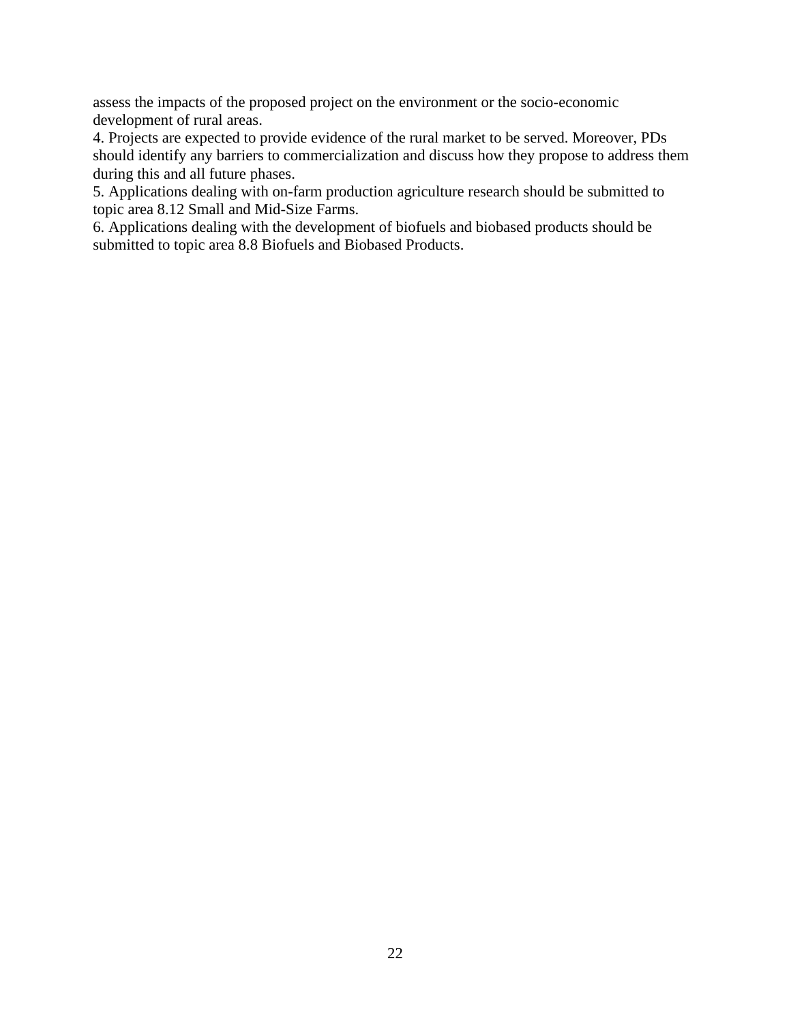assess the impacts of the proposed project on the environment or the socio-economic development of rural areas.

4. Projects are expected to provide evidence of the rural market to be served. Moreover, PDs should identify any barriers to commercialization and discuss how they propose to address them during this and all future phases.

5. Applications dealing with on-farm production agriculture research should be submitted to topic area 8.12 Small and Mid-Size Farms.

6. Applications dealing with the development of biofuels and biobased products should be submitted to topic area 8.8 Biofuels and Biobased Products.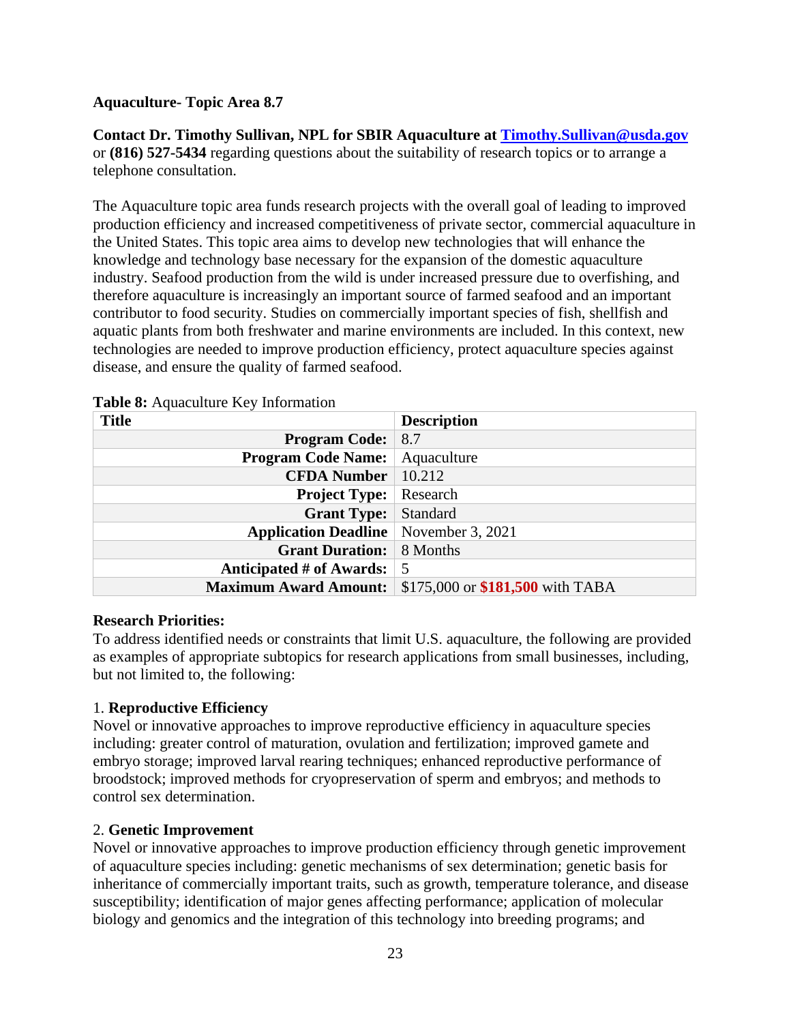# **Aquaculture- Topic Area 8.7**

**Contact Dr. Timothy Sullivan, NPL for SBIR Aquaculture at [Timothy.Sullivan@usda.gov](mailto:Timothy.Sullivan@usda.gov)** or **(816) 527-5434** regarding questions about the suitability of research topics or to arrange a telephone consultation.

The Aquaculture topic area funds research projects with the overall goal of leading to improved production efficiency and increased competitiveness of private sector, commercial aquaculture in the United States. This topic area aims to develop new technologies that will enhance the knowledge and technology base necessary for the expansion of the domestic aquaculture industry. Seafood production from the wild is under increased pressure due to overfishing, and therefore aquaculture is increasingly an important source of farmed seafood and an important contributor to food security. Studies on commercially important species of fish, shellfish and aquatic plants from both freshwater and marine environments are included. In this context, new technologies are needed to improve production efficiency, protect aquaculture species against disease, and ensure the quality of farmed seafood.

| <b>Title</b>                 | <b>Description</b>               |
|------------------------------|----------------------------------|
| <b>Program Code:</b>         | 8.7                              |
| <b>Program Code Name:</b>    | Aquaculture                      |
| <b>CFDA Number</b>           | 10.212                           |
| <b>Project Type:</b>         | Research                         |
| <b>Grant Type:</b>           | Standard                         |
| <b>Application Deadline</b>  | November 3, 2021                 |
| <b>Grant Duration:</b>       | 8 Months                         |
| Anticipated # of Awards:     | -5                               |
| <b>Maximum Award Amount:</b> | \$175,000 or \$181,500 with TABA |

<span id="page-22-0"></span>**Table 8:** Aquaculture Key Information

# **Research Priorities:**

To address identified needs or constraints that limit U.S. aquaculture, the following are provided as examples of appropriate subtopics for research applications from small businesses, including, but not limited to, the following:

# 1. **Reproductive Efficiency**

Novel or innovative approaches to improve reproductive efficiency in aquaculture species including: greater control of maturation, ovulation and fertilization; improved gamete and embryo storage; improved larval rearing techniques; enhanced reproductive performance of broodstock; improved methods for cryopreservation of sperm and embryos; and methods to control sex determination.

# 2. **Genetic Improvement**

Novel or innovative approaches to improve production efficiency through genetic improvement of aquaculture species including: genetic mechanisms of sex determination; genetic basis for inheritance of commercially important traits, such as growth, temperature tolerance, and disease susceptibility; identification of major genes affecting performance; application of molecular biology and genomics and the integration of this technology into breeding programs; and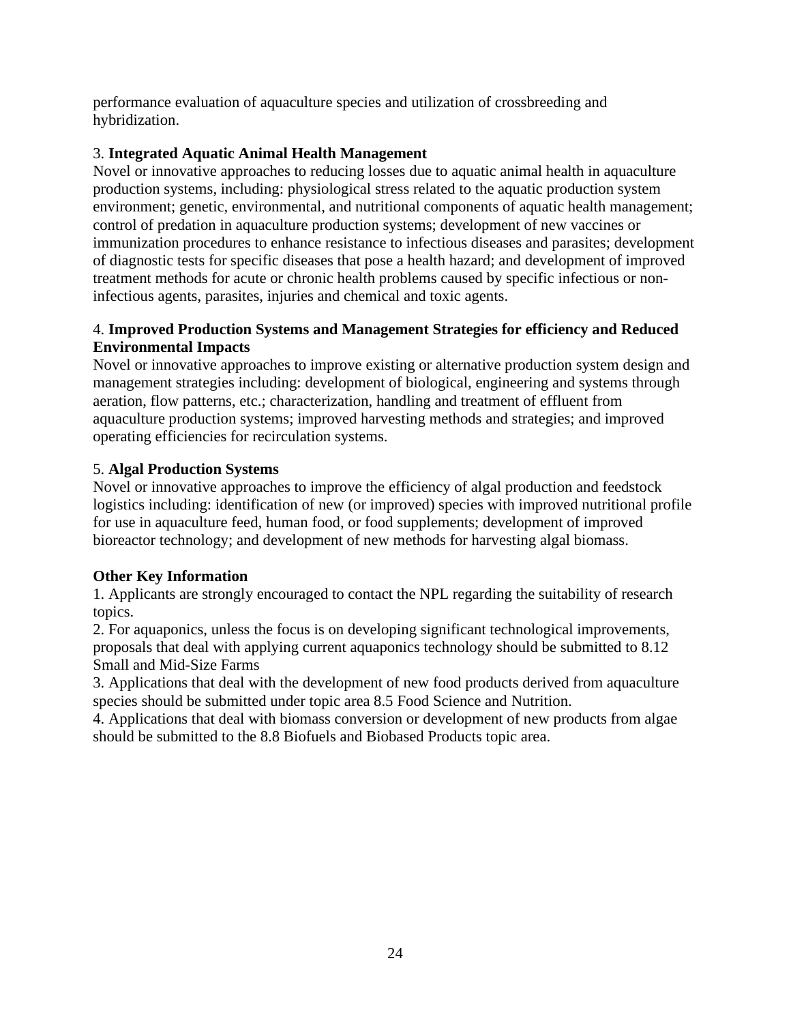performance evaluation of aquaculture species and utilization of crossbreeding and hybridization.

# 3. **Integrated Aquatic Animal Health Management**

Novel or innovative approaches to reducing losses due to aquatic animal health in aquaculture production systems, including: physiological stress related to the aquatic production system environment; genetic, environmental, and nutritional components of aquatic health management; control of predation in aquaculture production systems; development of new vaccines or immunization procedures to enhance resistance to infectious diseases and parasites; development of diagnostic tests for specific diseases that pose a health hazard; and development of improved treatment methods for acute or chronic health problems caused by specific infectious or noninfectious agents, parasites, injuries and chemical and toxic agents.

# 4. **Improved Production Systems and Management Strategies for efficiency and Reduced Environmental Impacts**

Novel or innovative approaches to improve existing or alternative production system design and management strategies including: development of biological, engineering and systems through aeration, flow patterns, etc.; characterization, handling and treatment of effluent from aquaculture production systems; improved harvesting methods and strategies; and improved operating efficiencies for recirculation systems.

# 5. **Algal Production Systems**

Novel or innovative approaches to improve the efficiency of algal production and feedstock logistics including: identification of new (or improved) species with improved nutritional profile for use in aquaculture feed, human food, or food supplements; development of improved bioreactor technology; and development of new methods for harvesting algal biomass.

# **Other Key Information**

1. Applicants are strongly encouraged to contact the NPL regarding the suitability of research topics.

2. For aquaponics, unless the focus is on developing significant technological improvements, proposals that deal with applying current aquaponics technology should be submitted to 8.12 Small and Mid-Size Farms

3. Applications that deal with the development of new food products derived from aquaculture species should be submitted under topic area 8.5 Food Science and Nutrition.

4. Applications that deal with biomass conversion or development of new products from algae should be submitted to the 8.8 Biofuels and Biobased Products topic area.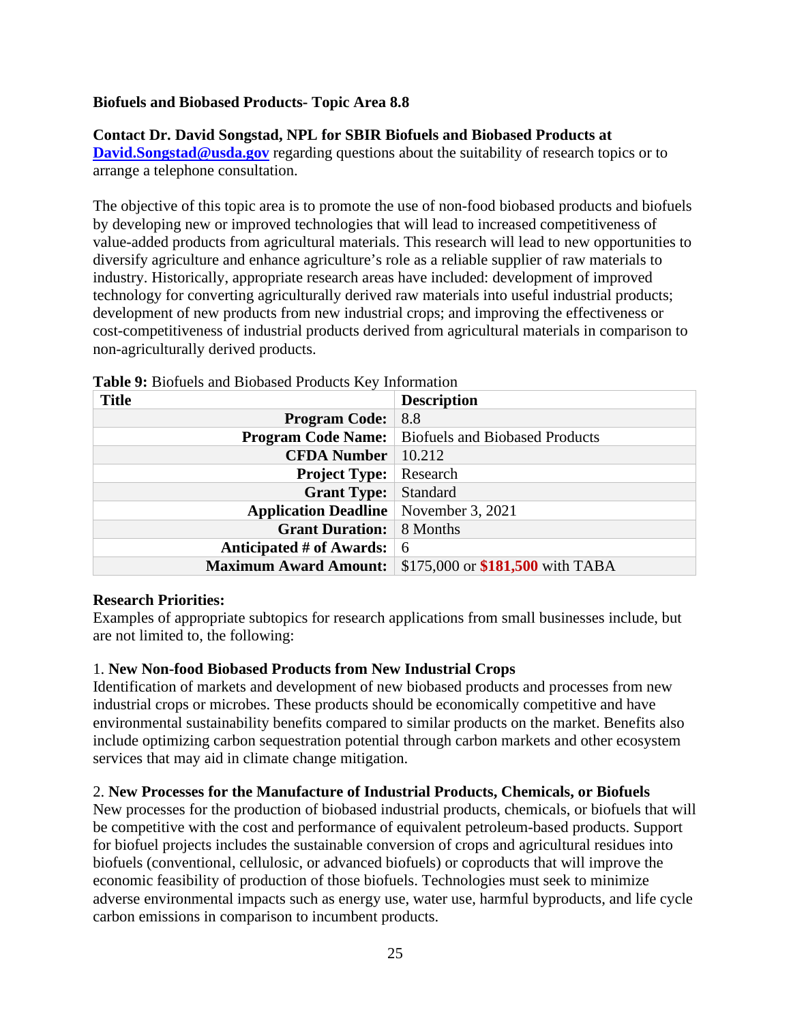### **Biofuels and Biobased Products- Topic Area 8.8**

### **Contact Dr. David Songstad, NPL for SBIR Biofuels and Biobased Products at**

**[David.Songstad@usda.gov](mailto:David.Songstad@usda.gov)** regarding questions about the suitability of research topics or to arrange a telephone consultation.

The objective of this topic area is to promote the use of non-food biobased products and biofuels by developing new or improved technologies that will lead to increased competitiveness of value-added products from agricultural materials. This research will lead to new opportunities to diversify agriculture and enhance agriculture's role as a reliable supplier of raw materials to industry. Historically, appropriate research areas have included: development of improved technology for converting agriculturally derived raw materials into useful industrial products; development of new products from new industrial crops; and improving the effectiveness or cost-competitiveness of industrial products derived from agricultural materials in comparison to non-agriculturally derived products.

| $\sim$ which is the contraction of $\sim$ . The contract of $\sim$ introduced in $\sim$ |                                       |
|-----------------------------------------------------------------------------------------|---------------------------------------|
| <b>Title</b>                                                                            | <b>Description</b>                    |
| <b>Program Code:</b>                                                                    | 8.8                                   |
| <b>Program Code Name:</b>                                                               | <b>Biofuels and Biobased Products</b> |
| <b>CFDA Number</b>                                                                      | 10.212                                |
| <b>Project Type:</b>                                                                    | Research                              |
| <b>Grant Type:</b>                                                                      | Standard                              |
| <b>Application Deadline</b>   November 3, 2021                                          |                                       |
| <b>Grant Duration:</b>                                                                  | 8 Months                              |
| Anticipated # of Awards:                                                                | -6                                    |
| <b>Maximum Award Amount:</b>                                                            | \$175,000 or \$181,500 with TABA      |

### <span id="page-24-0"></span>**Table 9:** Biofuels and Biobased Products Key Information

### **Research Priorities:**

Examples of appropriate subtopics for research applications from small businesses include, but are not limited to, the following:

### 1. **New Non-food Biobased Products from New Industrial Crops**

Identification of markets and development of new biobased products and processes from new industrial crops or microbes. These products should be economically competitive and have environmental sustainability benefits compared to similar products on the market. Benefits also include optimizing carbon sequestration potential through carbon markets and other ecosystem services that may aid in climate change mitigation.

# 2. **New Processes for the Manufacture of Industrial Products, Chemicals, or Biofuels**

New processes for the production of biobased industrial products, chemicals, or biofuels that will be competitive with the cost and performance of equivalent petroleum-based products. Support for biofuel projects includes the sustainable conversion of crops and agricultural residues into biofuels (conventional, cellulosic, or advanced biofuels) or coproducts that will improve the economic feasibility of production of those biofuels. Technologies must seek to minimize adverse environmental impacts such as energy use, water use, harmful byproducts, and life cycle carbon emissions in comparison to incumbent products.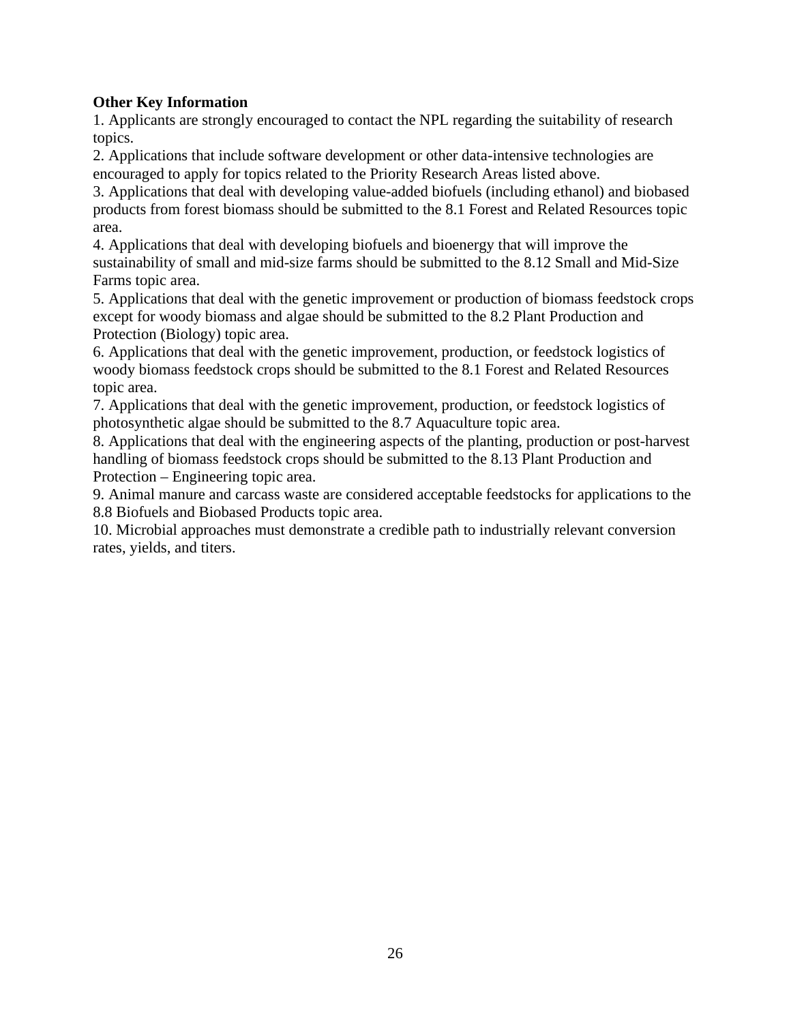# **Other Key Information**

1. Applicants are strongly encouraged to contact the NPL regarding the suitability of research topics.

2. Applications that include software development or other data-intensive technologies are encouraged to apply for topics related to the Priority Research Areas listed above.

3. Applications that deal with developing value-added biofuels (including ethanol) and biobased products from forest biomass should be submitted to the 8.1 Forest and Related Resources topic area.

4. Applications that deal with developing biofuels and bioenergy that will improve the sustainability of small and mid-size farms should be submitted to the 8.12 Small and Mid-Size Farms topic area.

5. Applications that deal with the genetic improvement or production of biomass feedstock crops except for woody biomass and algae should be submitted to the 8.2 Plant Production and Protection (Biology) topic area.

6. Applications that deal with the genetic improvement, production, or feedstock logistics of woody biomass feedstock crops should be submitted to the 8.1 Forest and Related Resources topic area.

7. Applications that deal with the genetic improvement, production, or feedstock logistics of photosynthetic algae should be submitted to the 8.7 Aquaculture topic area.

8. Applications that deal with the engineering aspects of the planting, production or post-harvest handling of biomass feedstock crops should be submitted to the 8.13 Plant Production and Protection – Engineering topic area.

9. Animal manure and carcass waste are considered acceptable feedstocks for applications to the 8.8 Biofuels and Biobased Products topic area.

10. Microbial approaches must demonstrate a credible path to industrially relevant conversion rates, yields, and titers.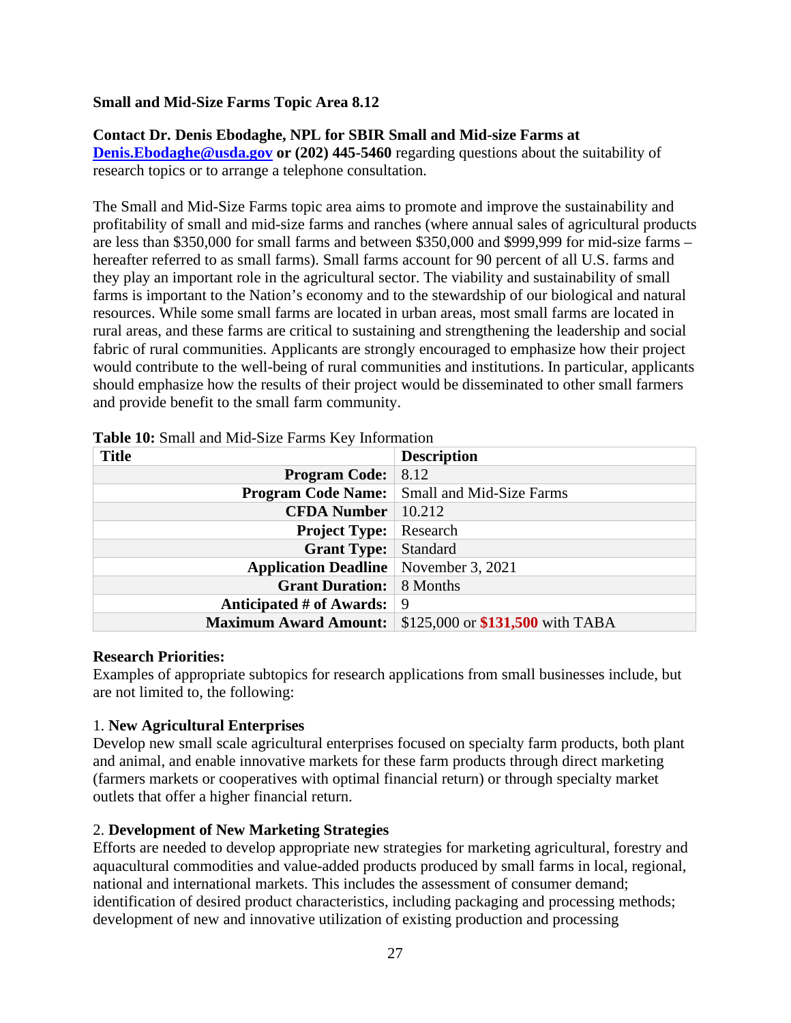### **Small and Mid-Size Farms Topic Area 8.12**

### **Contact Dr. Denis Ebodaghe, NPL for SBIR Small and Mid-size Farms at**

**[Denis.Ebodaghe@usda.gov](mailto:Denis.Ebodaghe@usda.gov) or** (202) 445-5460 regarding questions about the suitability of research topics or to arrange a telephone consultation.

The Small and Mid-Size Farms topic area aims to promote and improve the sustainability and profitability of small and mid-size farms and ranches (where annual sales of agricultural products are less than \$350,000 for small farms and between \$350,000 and \$999,999 for mid-size farms – hereafter referred to as small farms). Small farms account for 90 percent of all U.S. farms and they play an important role in the agricultural sector. The viability and sustainability of small farms is important to the Nation's economy and to the stewardship of our biological and natural resources. While some small farms are located in urban areas, most small farms are located in rural areas, and these farms are critical to sustaining and strengthening the leadership and social fabric of rural communities. Applicants are strongly encouraged to emphasize how their project would contribute to the well-being of rural communities and institutions. In particular, applicants should emphasize how the results of their project would be disseminated to other small farmers and provide benefit to the small farm community.

| <b>Title</b>                                   | <b>Description</b>               |
|------------------------------------------------|----------------------------------|
| <b>Program Code:</b>                           | 8.12                             |
| <b>Program Code Name:</b>                      | Small and Mid-Size Farms         |
| <b>CFDA Number</b>                             | 10.212                           |
| <b>Project Type:</b>                           | Research                         |
| <b>Grant Type:</b>                             | Standard                         |
| <b>Application Deadline</b>   November 3, 2021 |                                  |
| <b>Grant Duration:</b>                         | 8 Months                         |
| Anticipated # of Awards:                       | 9                                |
| <b>Maximum Award Amount:</b>                   | \$125,000 or \$131,500 with TABA |

### <span id="page-26-0"></span>**Table 10:** Small and Mid-Size Farms Key Information

#### **Research Priorities:**

Examples of appropriate subtopics for research applications from small businesses include, but are not limited to, the following:

### 1. **New Agricultural Enterprises**

Develop new small scale agricultural enterprises focused on specialty farm products, both plant and animal, and enable innovative markets for these farm products through direct marketing (farmers markets or cooperatives with optimal financial return) or through specialty market outlets that offer a higher financial return.

### 2. **Development of New Marketing Strategies**

Efforts are needed to develop appropriate new strategies for marketing agricultural, forestry and aquacultural commodities and value-added products produced by small farms in local, regional, national and international markets. This includes the assessment of consumer demand; identification of desired product characteristics, including packaging and processing methods; development of new and innovative utilization of existing production and processing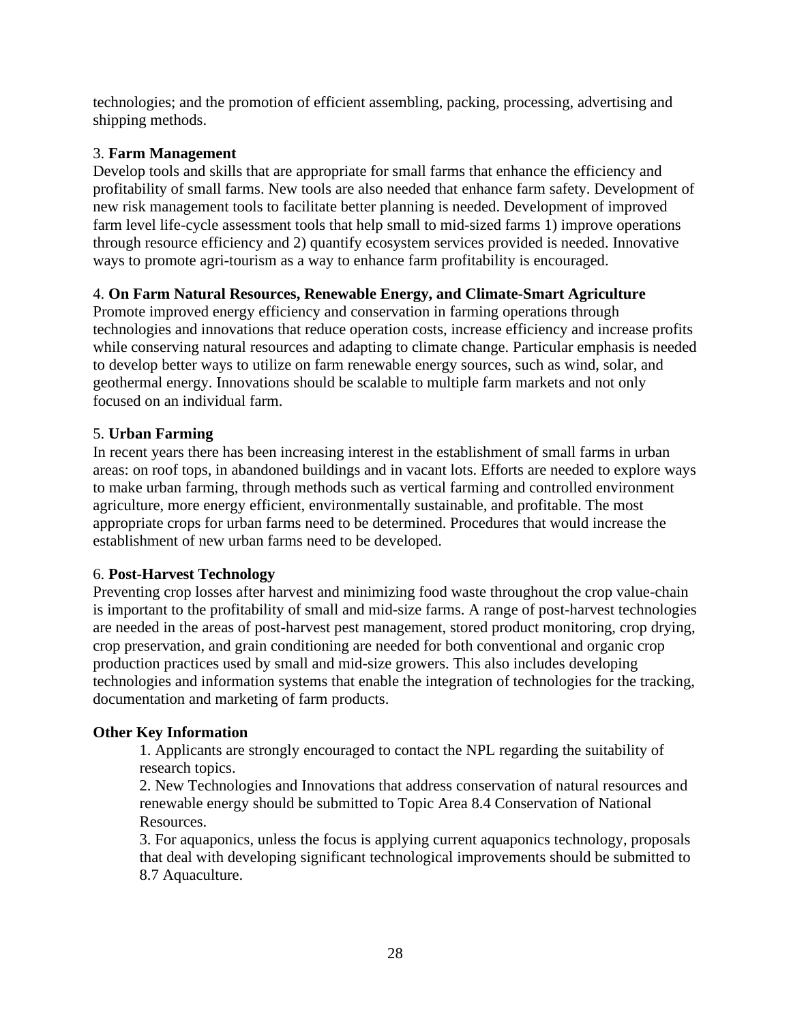technologies; and the promotion of efficient assembling, packing, processing, advertising and shipping methods.

# 3. **Farm Management**

Develop tools and skills that are appropriate for small farms that enhance the efficiency and profitability of small farms. New tools are also needed that enhance farm safety. Development of new risk management tools to facilitate better planning is needed. Development of improved farm level life-cycle assessment tools that help small to mid-sized farms 1) improve operations through resource efficiency and 2) quantify ecosystem services provided is needed. Innovative ways to promote agri-tourism as a way to enhance farm profitability is encouraged.

# 4. **On Farm Natural Resources, Renewable Energy, and Climate-Smart Agriculture**

Promote improved energy efficiency and conservation in farming operations through technologies and innovations that reduce operation costs, increase efficiency and increase profits while conserving natural resources and adapting to climate change. Particular emphasis is needed to develop better ways to utilize on farm renewable energy sources, such as wind, solar, and geothermal energy. Innovations should be scalable to multiple farm markets and not only focused on an individual farm.

# 5. **Urban Farming**

In recent years there has been increasing interest in the establishment of small farms in urban areas: on roof tops, in abandoned buildings and in vacant lots. Efforts are needed to explore ways to make urban farming, through methods such as vertical farming and controlled environment agriculture, more energy efficient, environmentally sustainable, and profitable. The most appropriate crops for urban farms need to be determined. Procedures that would increase the establishment of new urban farms need to be developed.

# 6. **Post-Harvest Technology**

Preventing crop losses after harvest and minimizing food waste throughout the crop value-chain is important to the profitability of small and mid-size farms. A range of post-harvest technologies are needed in the areas of post-harvest pest management, stored product monitoring, crop drying, crop preservation, and grain conditioning are needed for both conventional and organic crop production practices used by small and mid-size growers. This also includes developing technologies and information systems that enable the integration of technologies for the tracking, documentation and marketing of farm products.

# **Other Key Information**

1. Applicants are strongly encouraged to contact the NPL regarding the suitability of research topics.

2. New Technologies and Innovations that address conservation of natural resources and renewable energy should be submitted to Topic Area 8.4 Conservation of National Resources.

3. For aquaponics, unless the focus is applying current aquaponics technology, proposals that deal with developing significant technological improvements should be submitted to 8.7 Aquaculture.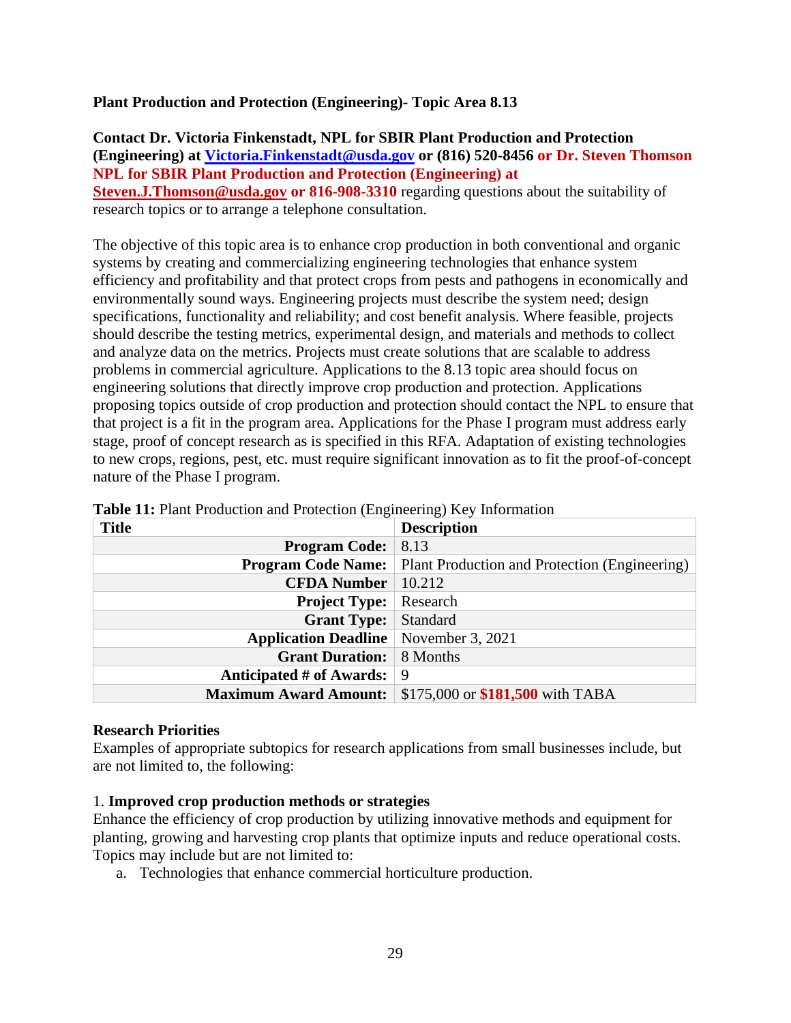### **Plant Production and Protection (Engineering)- Topic Area 8.13**

**Contact Dr. Victoria Finkenstadt, NPL for SBIR Plant Production and Protection (Engineering) at [Victoria.Finkenstadt@usda.gov](mailto:Victoria.Finkenstadt@usda.gov) or (816) 520-8456 or Dr. Steven Thomson NPL for SBIR Plant Production and Protection (Engineering) at [Steven.J.Thomson@usda.gov](mailto:Steven.J.Thomson@usda.gov) or 816-908-3310** regarding questions about the suitability of research topics or to arrange a telephone consultation.

The objective of this topic area is to enhance crop production in both conventional and organic systems by creating and commercializing engineering technologies that enhance system efficiency and profitability and that protect crops from pests and pathogens in economically and environmentally sound ways. Engineering projects must describe the system need; design specifications, functionality and reliability; and cost benefit analysis. Where feasible, projects should describe the testing metrics, experimental design, and materials and methods to collect and analyze data on the metrics. Projects must create solutions that are scalable to address problems in commercial agriculture. Applications to the 8.13 topic area should focus on engineering solutions that directly improve crop production and protection. Applications proposing topics outside of crop production and protection should contact the NPL to ensure that that project is a fit in the program area. Applications for the Phase I program must address early stage, proof of concept research as is specified in this RFA. Adaptation of existing technologies to new crops, regions, pest, etc. must require significant innovation as to fit the proof-of-concept nature of the Phase I program.

| <b>Title</b>                                   | <b>Description</b>                                                      |
|------------------------------------------------|-------------------------------------------------------------------------|
| <b>Program Code:</b>                           | 8.13                                                                    |
|                                                | <b>Program Code Name:</b> Plant Production and Protection (Engineering) |
| <b>CFDA Number</b>                             | 10.212                                                                  |
| <b>Project Type:</b>                           | Research                                                                |
| <b>Grant Type:</b>                             | Standard                                                                |
| <b>Application Deadline</b>   November 3, 2021 |                                                                         |
| <b>Grant Duration:</b> 8 Months                |                                                                         |
| <b>Anticipated # of Awards:</b>                | 9                                                                       |
| <b>Maximum Award Amount:</b>                   | \$175,000 or \$181,500 with TABA                                        |

<span id="page-28-0"></span>

| Table 11: Plant Production and Protection (Engineering) Key Information |  |  |  |
|-------------------------------------------------------------------------|--|--|--|
|-------------------------------------------------------------------------|--|--|--|

### **Research Priorities**

Examples of appropriate subtopics for research applications from small businesses include, but are not limited to, the following:

### 1. **Improved crop production methods or strategies**

Enhance the efficiency of crop production by utilizing innovative methods and equipment for planting, growing and harvesting crop plants that optimize inputs and reduce operational costs. Topics may include but are not limited to:

a. Technologies that enhance commercial horticulture production.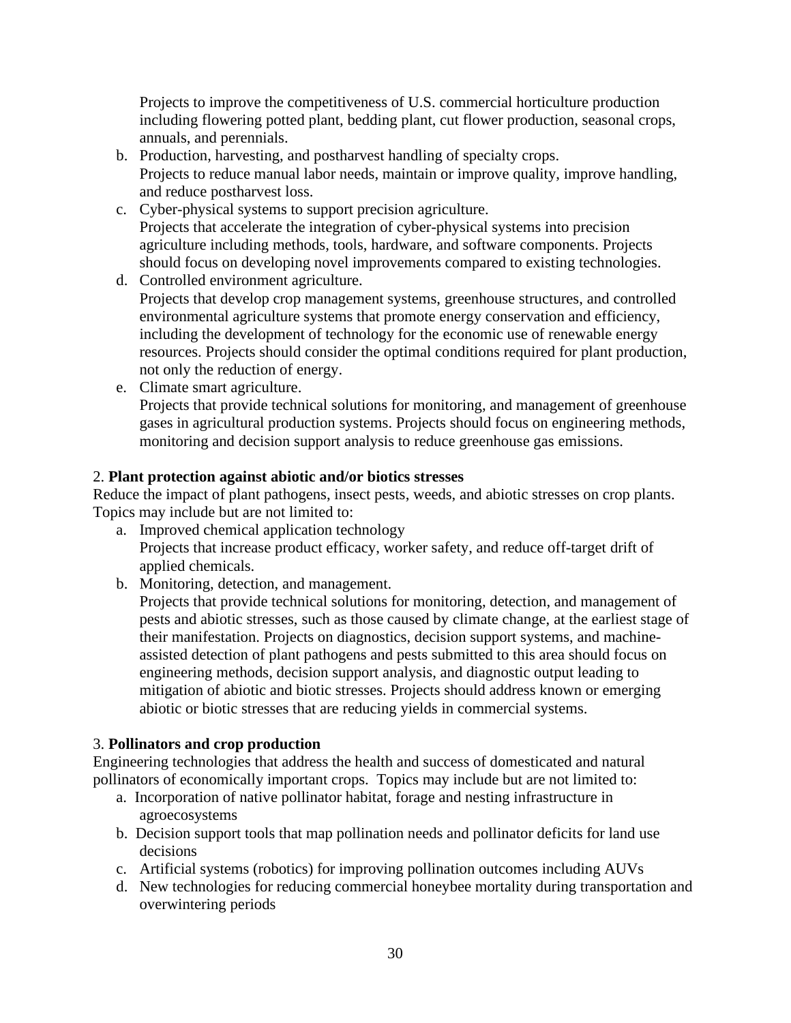Projects to improve the competitiveness of U.S. commercial horticulture production including flowering potted plant, bedding plant, cut flower production, seasonal crops, annuals, and perennials.

- b. Production, harvesting, and postharvest handling of specialty crops. Projects to reduce manual labor needs, maintain or improve quality, improve handling, and reduce postharvest loss.
- c. Cyber-physical systems to support precision agriculture. Projects that accelerate the integration of cyber-physical systems into precision agriculture including methods, tools, hardware, and software components. Projects should focus on developing novel improvements compared to existing technologies.
- d. Controlled environment agriculture. Projects that develop crop management systems, greenhouse structures, and controlled environmental agriculture systems that promote energy conservation and efficiency, including the development of technology for the economic use of renewable energy resources. Projects should consider the optimal conditions required for plant production, not only the reduction of energy.
- e. Climate smart agriculture.

Projects that provide technical solutions for monitoring, and management of greenhouse gases in agricultural production systems. Projects should focus on engineering methods, monitoring and decision support analysis to reduce greenhouse gas emissions.

# 2. **Plant protection against abiotic and/or biotics stresses**

Reduce the impact of plant pathogens, insect pests, weeds, and abiotic stresses on crop plants. Topics may include but are not limited to:

- a. Improved chemical application technology Projects that increase product efficacy, worker safety, and reduce off-target drift of applied chemicals.
- b. Monitoring, detection, and management.

Projects that provide technical solutions for monitoring, detection, and management of pests and abiotic stresses, such as those caused by climate change, at the earliest stage of their manifestation. Projects on diagnostics, decision support systems, and machineassisted detection of plant pathogens and pests submitted to this area should focus on engineering methods, decision support analysis, and diagnostic output leading to mitigation of abiotic and biotic stresses. Projects should address known or emerging abiotic or biotic stresses that are reducing yields in commercial systems.

# 3. **Pollinators and crop production**

Engineering technologies that address the health and success of domesticated and natural pollinators of economically important crops. Topics may include but are not limited to:

- a. Incorporation of native pollinator habitat, forage and nesting infrastructure in agroecosystems
- b. Decision support tools that map pollination needs and pollinator deficits for land use decisions
- c. Artificial systems (robotics) for improving pollination outcomes including AUVs
- d. New technologies for reducing commercial honeybee mortality during transportation and overwintering periods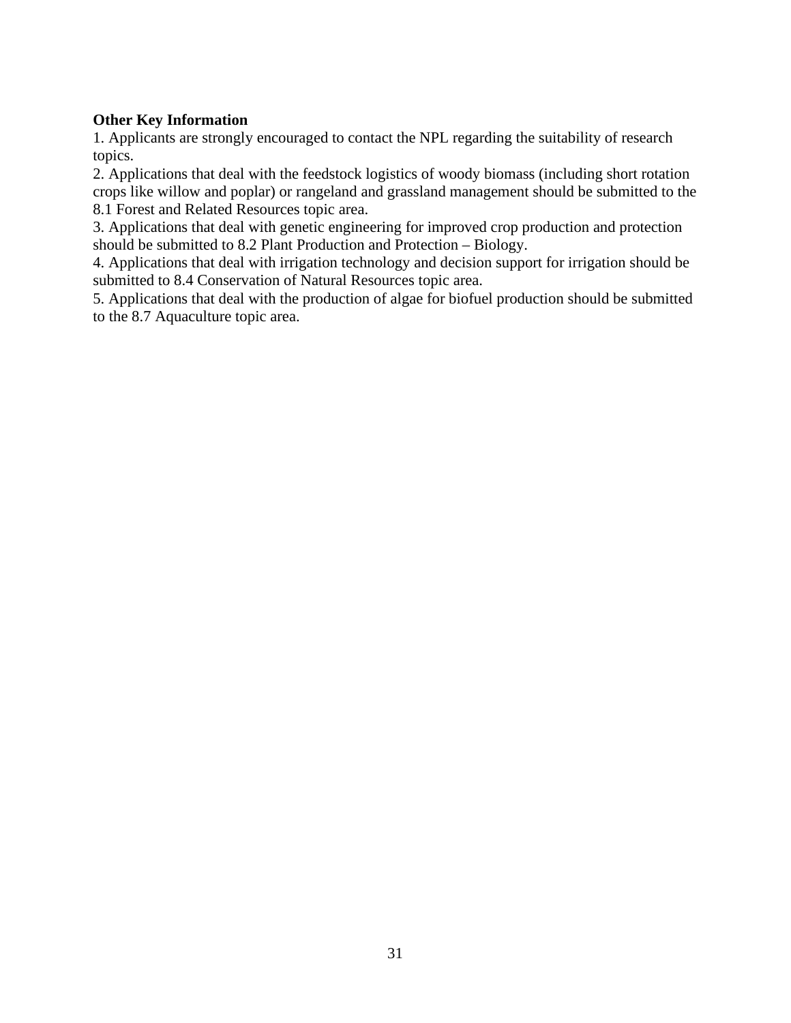# **Other Key Information**

1. Applicants are strongly encouraged to contact the NPL regarding the suitability of research topics.

2. Applications that deal with the feedstock logistics of woody biomass (including short rotation crops like willow and poplar) or rangeland and grassland management should be submitted to the 8.1 Forest and Related Resources topic area.

3. Applications that deal with genetic engineering for improved crop production and protection should be submitted to 8.2 Plant Production and Protection – Biology.

4. Applications that deal with irrigation technology and decision support for irrigation should be submitted to 8.4 Conservation of Natural Resources topic area.

5. Applications that deal with the production of algae for biofuel production should be submitted to the 8.7 Aquaculture topic area.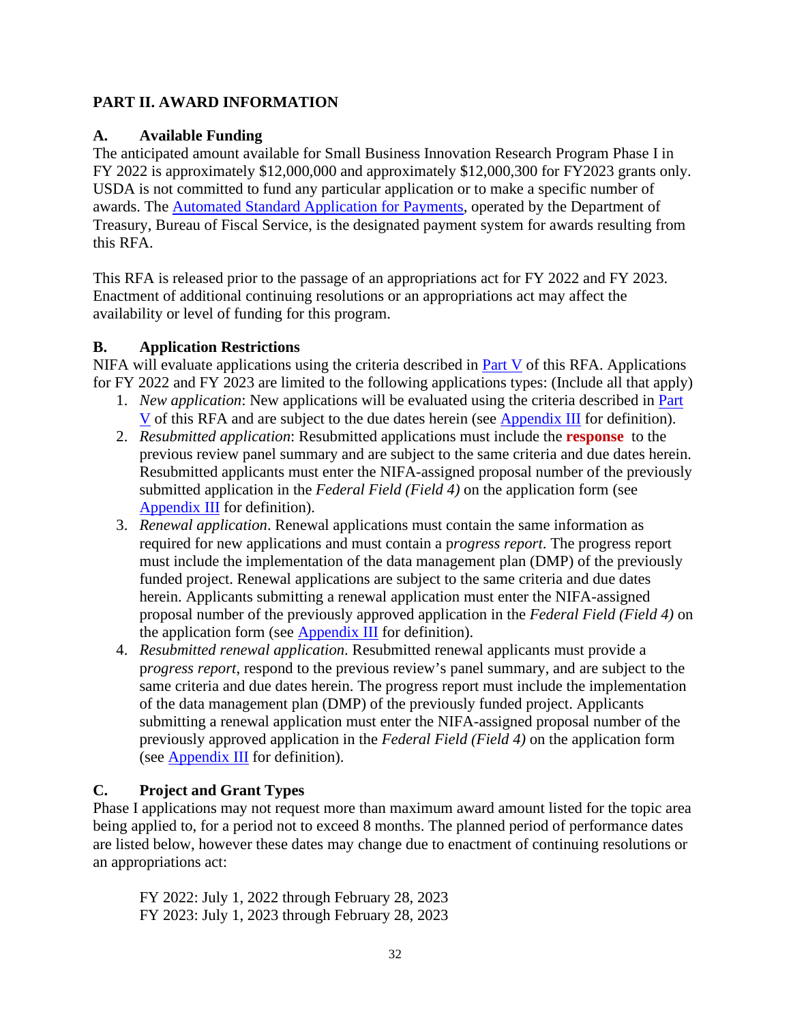# <span id="page-31-0"></span>**PART II. AWARD INFORMATION**

# <span id="page-31-1"></span>**A. Available Funding**

The anticipated amount available for Small Business Innovation Research Program Phase I in FY 2022 is approximately \$12,000,000 and approximately \$12,000,300 for FY2023 grants only. USDA is not committed to fund any particular application or to make a specific number of awards. The [Automated Standard Application for Payments,](https://www.fiscal.treasury.gov/fsservices/gov/pmt/asap/asap_home.htm) operated by the Department of Treasury, Bureau of Fiscal Service, is the designated payment system for awards resulting from this RFA.

This RFA is released prior to the passage of an appropriations act for FY 2022 and FY 2023. Enactment of additional continuing resolutions or an appropriations act may affect the availability or level of funding for this program.

# <span id="page-31-2"></span>**B. Application Restrictions**

NIFA will evaluate applications using the criteria described in [Part V](#page-47-0) of this RFA. Applications for FY 2022 and FY 2023 are limited to the following applications types: (Include all that apply)

- 1. *New application*: New applications will be evaluated using the criteria described in [Part](#page-47-0)  [V](#page-47-0) of this RFA and are subject to the due dates herein (see [Appendix III](#page-62-0) for definition).
- 2. *Resubmitted application*: Resubmitted applications must include the **response** to the previous review panel summary and are subject to the same criteria and due dates herein. Resubmitted applicants must enter the NIFA-assigned proposal number of the previously submitted application in the *Federal Field (Field 4)* on the application form (see [Appendix III](#page-62-0) for definition).
- 3. *Renewal application*. Renewal applications must contain the same information as required for new applications and must contain a p*rogress report*. The progress report must include the implementation of the data management plan (DMP) of the previously funded project. Renewal applications are subject to the same criteria and due dates herein. Applicants submitting a renewal application must enter the NIFA-assigned proposal number of the previously approved application in the *Federal Field (Field 4)* on the application form (see  $\Delta$ ppendix III for definition).
- 4. *Resubmitted renewal application*. Resubmitted renewal applicants must provide a p*rogress report*, respond to the previous review's panel summary, and are subject to the same criteria and due dates herein. The progress report must include the implementation of the data management plan (DMP) of the previously funded project. Applicants submitting a renewal application must enter the NIFA-assigned proposal number of the previously approved application in the *Federal Field (Field 4)* on the application form (see **Appendix III** for definition).

# <span id="page-31-3"></span>**C. Project and Grant Types**

Phase I applications may not request more than maximum award amount listed for the topic area being applied to, for a period not to exceed 8 months. The planned period of performance dates are listed below, however these dates may change due to enactment of continuing resolutions or an appropriations act:

FY 2022: July 1, 2022 through February 28, 2023 FY 2023: July 1, 2023 through February 28, 2023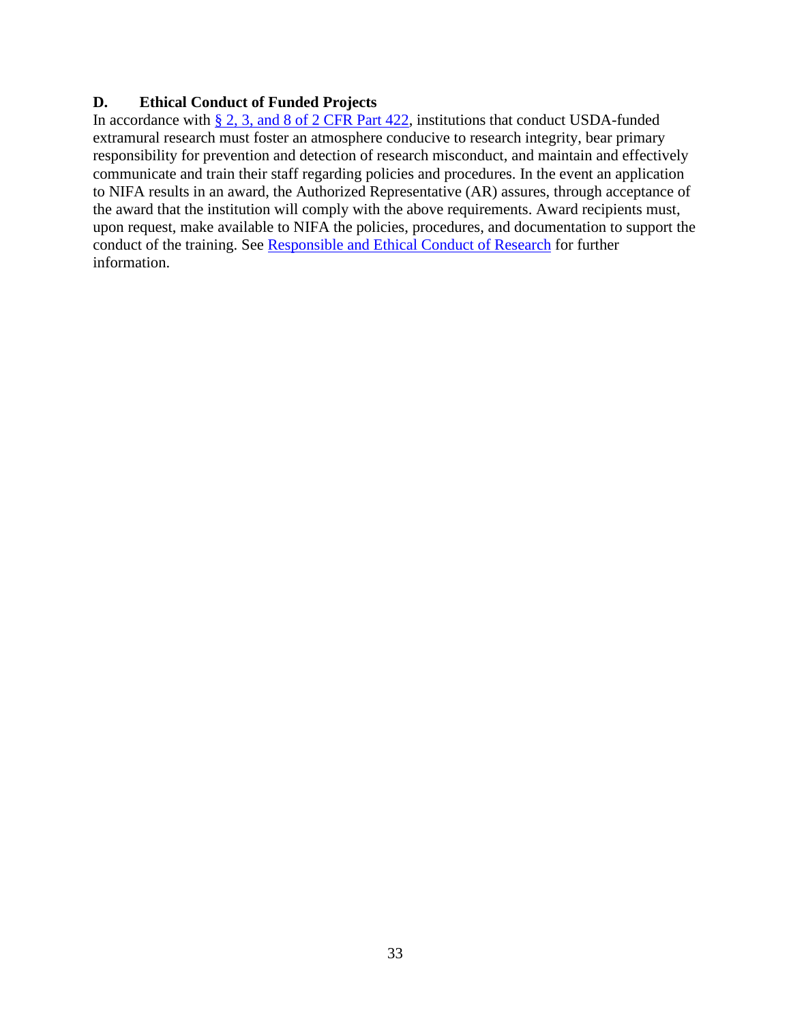# <span id="page-32-0"></span>**D. Ethical Conduct of Funded Projects**

In accordance with  $\S 2$ , 3, and 8 of 2 CFR Part 422, institutions that conduct USDA-funded extramural research must foster an atmosphere conducive to research integrity, bear primary responsibility for prevention and detection of research misconduct, and maintain and effectively communicate and train their staff regarding policies and procedures. In the event an application to NIFA results in an award, the Authorized Representative (AR) assures, through acceptance of the award that the institution will comply with the above requirements. Award recipients must, upon request, make available to NIFA the policies, procedures, and documentation to support the conduct of the training. See [Responsible and Ethical Conduct of Research](https://nifa.usda.gov/responsible-and-ethical-conduct-research) for further information.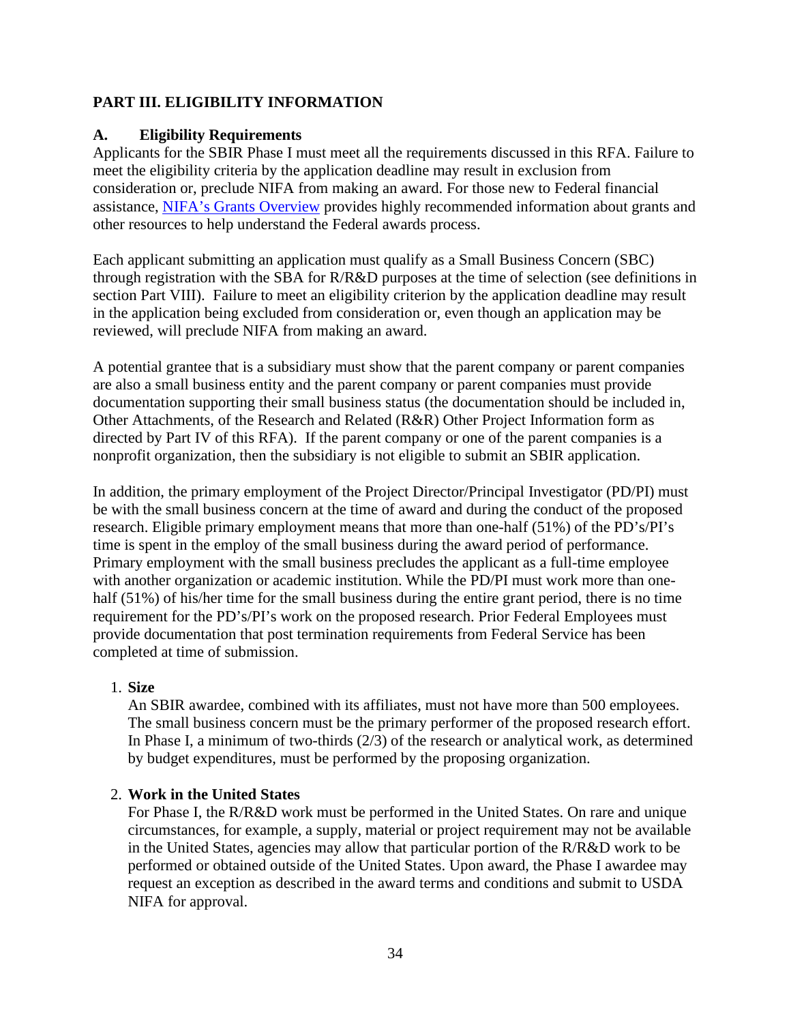# <span id="page-33-0"></span>**PART III. ELIGIBILITY INFORMATION**

# <span id="page-33-1"></span>**A. Eligibility Requirements**

Applicants for the SBIR Phase I must meet all the requirements discussed in this RFA. Failure to meet the eligibility criteria by the application deadline may result in exclusion from consideration or, preclude NIFA from making an award. For those new to Federal financial assistance, [NIFA's Grants Overview](https://nifa.usda.gov/resource/grants-overview) provides highly recommended information about grants and other resources to help understand the Federal awards process.

Each applicant submitting an application must qualify as a Small Business Concern (SBC) through registration with the SBA for R/R&D purposes at the time of selection (see definitions in section Part VIII). Failure to meet an eligibility criterion by the application deadline may result in the application being excluded from consideration or, even though an application may be reviewed, will preclude NIFA from making an award.

A potential grantee that is a subsidiary must show that the parent company or parent companies are also a small business entity and the parent company or parent companies must provide documentation supporting their small business status (the documentation should be included in, Other Attachments, of the Research and Related (R&R) Other Project Information form as directed by Part IV of this RFA). If the parent company or one of the parent companies is a nonprofit organization, then the subsidiary is not eligible to submit an SBIR application.

In addition, the primary employment of the Project Director/Principal Investigator (PD/PI) must be with the small business concern at the time of award and during the conduct of the proposed research. Eligible primary employment means that more than one-half (51%) of the PD's/PI's time is spent in the employ of the small business during the award period of performance. Primary employment with the small business precludes the applicant as a full-time employee with another organization or academic institution. While the PD/PI must work more than onehalf (51%) of his/her time for the small business during the entire grant period, there is no time requirement for the PD's/PI's work on the proposed research. Prior Federal Employees must provide documentation that post termination requirements from Federal Service has been completed at time of submission.

# 1. **Size**

An SBIR awardee, combined with its affiliates, must not have more than 500 employees. The small business concern must be the primary performer of the proposed research effort. In Phase I, a minimum of two-thirds (2/3) of the research or analytical work, as determined by budget expenditures, must be performed by the proposing organization.

# 2. **Work in the United States**

For Phase I, the R/R&D work must be performed in the United States. On rare and unique circumstances, for example, a supply, material or project requirement may not be available in the United States, agencies may allow that particular portion of the R/R&D work to be performed or obtained outside of the United States. Upon award, the Phase I awardee may request an exception as described in the award terms and conditions and submit to USDA NIFA for approval.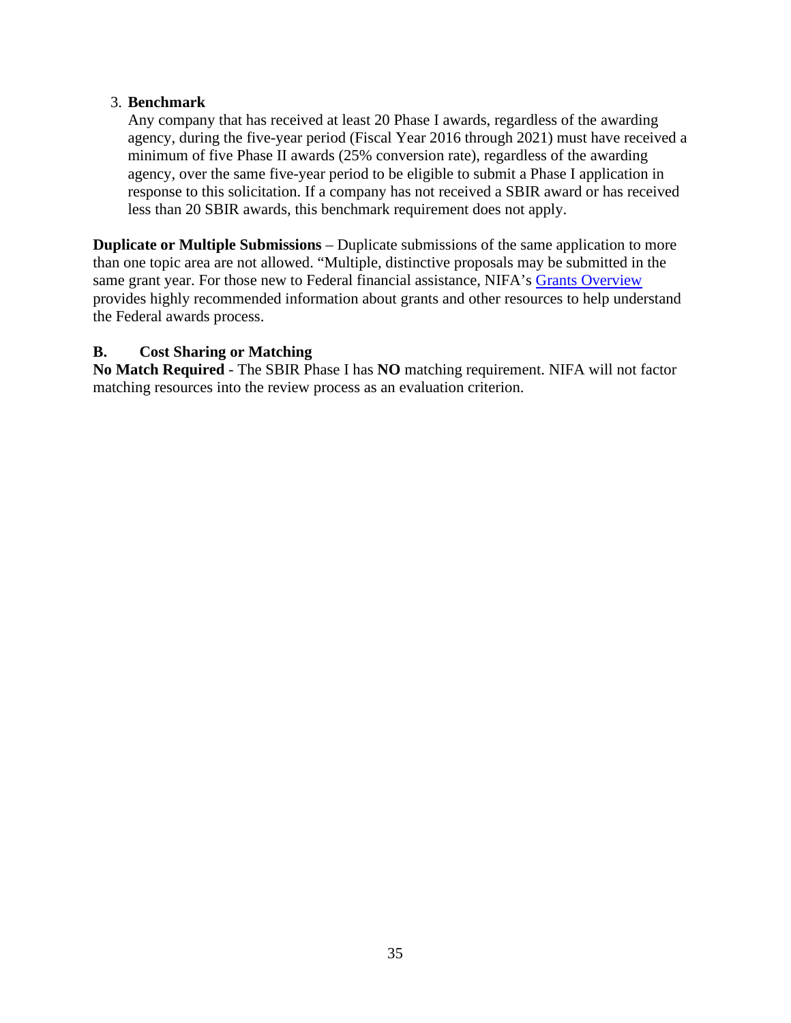# 3. **Benchmark**

Any company that has received at least 20 Phase I awards, regardless of the awarding agency, during the five-year period (Fiscal Year 2016 through 2021) must have received a minimum of five Phase II awards (25% conversion rate), regardless of the awarding agency, over the same five-year period to be eligible to submit a Phase I application in response to this solicitation. If a company has not received a SBIR award or has received less than 20 SBIR awards, this benchmark requirement does not apply.

**Duplicate or Multiple Submissions** – Duplicate submissions of the same application to more than one topic area are not allowed. "Multiple, distinctive proposals may be submitted in the same grant year. For those new to Federal financial assistance, NIFA's [Grants Overview](https://nifa.usda.gov/resource/grants-overview) provides highly recommended information about grants and other resources to help understand the Federal awards process.

# <span id="page-34-0"></span>**B. Cost Sharing or Matching**

**No Match Required** - The SBIR Phase I has **NO** matching requirement. NIFA will not factor matching resources into the review process as an evaluation criterion.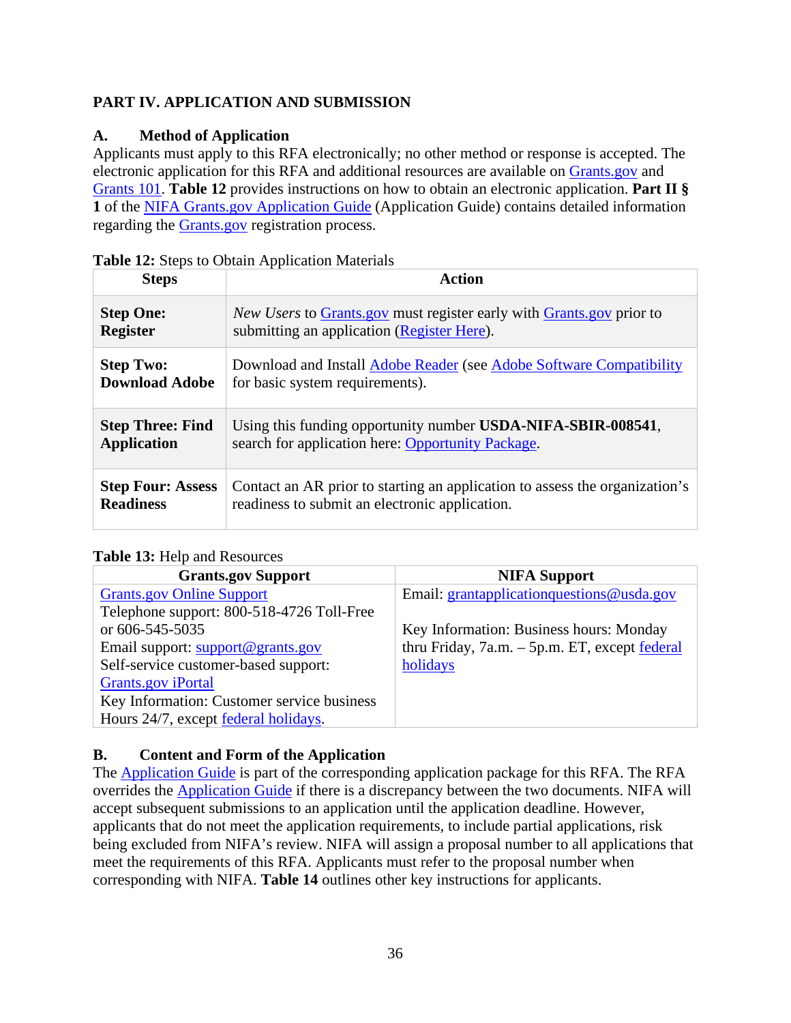# <span id="page-35-0"></span>**PART IV. APPLICATION AND SUBMISSION**

# <span id="page-35-1"></span>**A. Method of Application**

Applicants must apply to this RFA electronically; no other method or response is accepted. The electronic application for this RFA and additional resources are available on [Grants.gov](https://www.grants.gov/) and [Grants 101.](https://www.grants.gov/web/grants/learn-grants/grants-101/pre-award-phase.html/) **Table 12** provides instructions on how to obtain an electronic application. **Part II § 1** of the [NIFA Grants.gov Application Guide](https://apply07.grants.gov/apply/opportunities/instructions/PKG00249520-instructions.pdf) (Application Guide) contains detailed information regarding the [Grants.gov](https://www.grants.gov/) registration process.

| <b>Steps</b>             | <b>Action</b>                                                               |
|--------------------------|-----------------------------------------------------------------------------|
| <b>Step One:</b>         | <i>New Users</i> to Grants gov must register early with Grants gov prior to |
| <b>Register</b>          | submitting an application (Register Here).                                  |
| <b>Step Two:</b>         | Download and Install Adobe Reader (see Adobe Software Compatibility         |
| <b>Download Adobe</b>    | for basic system requirements).                                             |
| <b>Step Three: Find</b>  | Using this funding opportunity number <b>USDA-NIFA-SBIR-008541</b> ,        |
| <b>Application</b>       | search for application here: Opportunity Package.                           |
| <b>Step Four: Assess</b> | Contact an AR prior to starting an application to assess the organization's |
| <b>Readiness</b>         | readiness to submit an electronic application.                              |

<span id="page-35-3"></span>

|  |  |  |  | Table 12: Steps to Obtain Application Materials |  |
|--|--|--|--|-------------------------------------------------|--|
|--|--|--|--|-------------------------------------------------|--|

# <span id="page-35-4"></span>**Table 13:** Help and Resources

| <b>NIFA Support</b>                                     |
|---------------------------------------------------------|
| Email: grantapplication questions @usda.gov             |
|                                                         |
| Key Information: Business hours: Monday                 |
| thru Friday, $7a.m. - 5p.m. ET$ , except <u>federal</u> |
| holidays                                                |
|                                                         |
|                                                         |
|                                                         |
|                                                         |

# <span id="page-35-2"></span>**B. Content and Form of the Application**

The **Application Guide** is part of the corresponding application package for this RFA. The RFA overrides the [Application Guide](https://apply07.grants.gov/apply/opportunities/instructions/PKG00249520-instructions.pdf) if there is a discrepancy between the two documents. NIFA will accept subsequent submissions to an application until the application deadline. However, applicants that do not meet the application requirements, to include partial applications, risk being excluded from NIFA's review. NIFA will assign a proposal number to all applications that meet the requirements of this RFA. Applicants must refer to the proposal number when corresponding with NIFA. **Table 14** outlines other key instructions for applicants.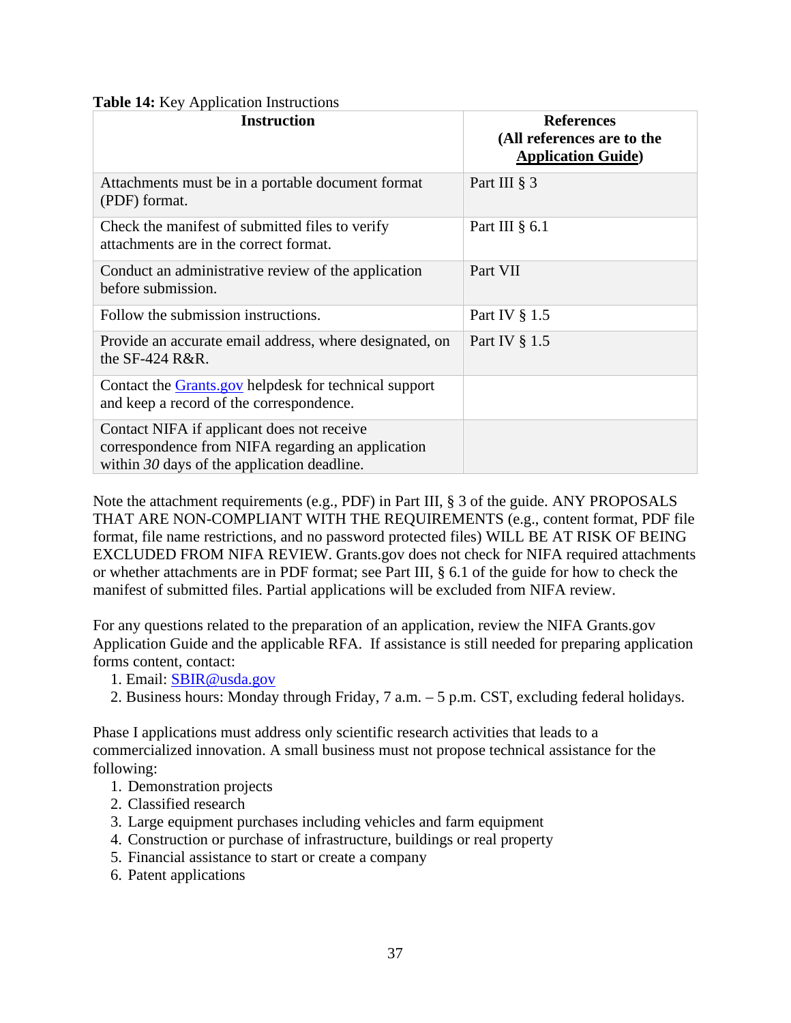### <span id="page-36-0"></span>**Table 14:** Key Application Instructions

| <b>Instruction</b>                                                                                                                               | <b>References</b><br>(All references are to the<br><b>Application Guide)</b> |
|--------------------------------------------------------------------------------------------------------------------------------------------------|------------------------------------------------------------------------------|
| Attachments must be in a portable document format<br>(PDF) format.                                                                               | Part III § 3                                                                 |
| Check the manifest of submitted files to verify<br>attachments are in the correct format.                                                        | Part III $\S$ 6.1                                                            |
| Conduct an administrative review of the application<br>before submission.                                                                        | Part VII                                                                     |
| Follow the submission instructions.                                                                                                              | Part IV § 1.5                                                                |
| Provide an accurate email address, where designated, on<br>the $SF-424$ R&R.                                                                     | Part IV § 1.5                                                                |
| Contact the <b>Grants</b> gov helpdesk for technical support<br>and keep a record of the correspondence.                                         |                                                                              |
| Contact NIFA if applicant does not receive<br>correspondence from NIFA regarding an application<br>within $30$ days of the application deadline. |                                                                              |

Note the attachment requirements (e.g., PDF) in Part III, § 3 of the guide. ANY PROPOSALS THAT ARE NON-COMPLIANT WITH THE REQUIREMENTS (e.g., content format, PDF file format, file name restrictions, and no password protected files) WILL BE AT RISK OF BEING EXCLUDED FROM NIFA REVIEW. Grants.gov does not check for NIFA required attachments or whether attachments are in PDF format; see Part III, § 6.1 of the guide for how to check the manifest of submitted files. Partial applications will be excluded from NIFA review.

For any questions related to the preparation of an application, review the NIFA Grants.gov Application Guide and the applicable RFA. If assistance is still needed for preparing application forms content, contact:

- 1. Email: [SBIR@usda.gov](mailto:SBIR@usda.gov)
- 2. Business hours: Monday through Friday, 7 a.m. 5 p.m. CST, excluding federal holidays.

Phase I applications must address only scientific research activities that leads to a commercialized innovation. A small business must not propose technical assistance for the following:

- 1. Demonstration projects
- 2. Classified research
- 3. Large equipment purchases including vehicles and farm equipment
- 4. Construction or purchase of infrastructure, buildings or real property
- 5. Financial assistance to start or create a company
- 6. Patent applications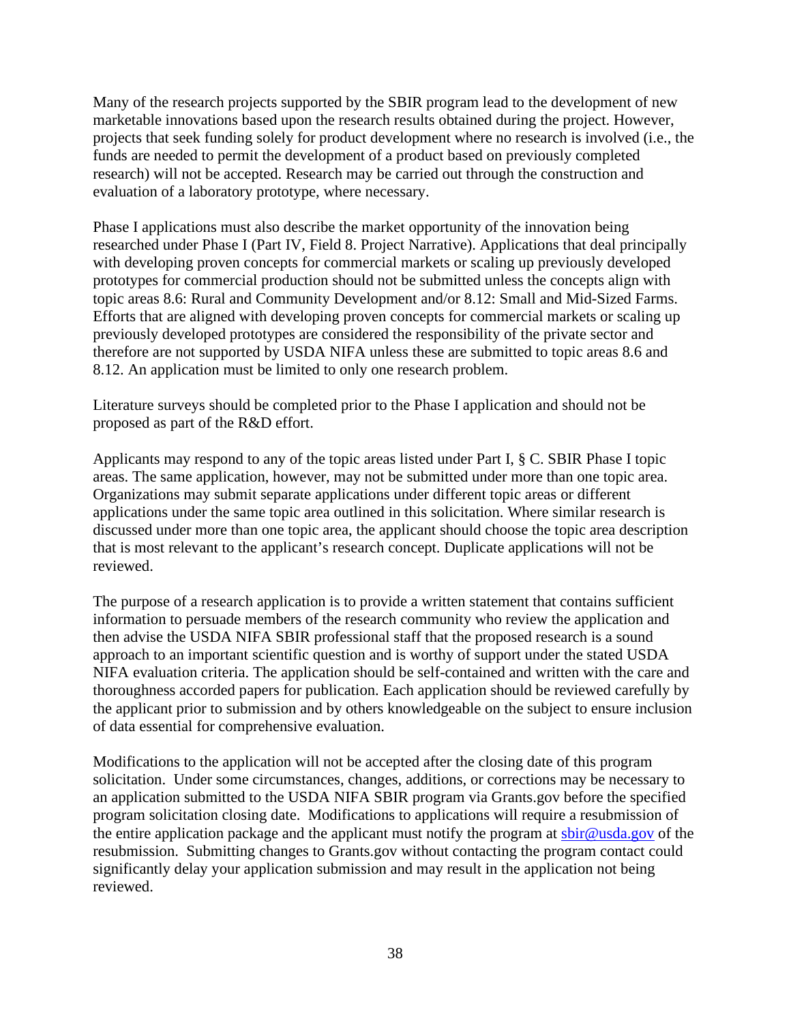Many of the research projects supported by the SBIR program lead to the development of new marketable innovations based upon the research results obtained during the project. However, projects that seek funding solely for product development where no research is involved (i.e., the funds are needed to permit the development of a product based on previously completed research) will not be accepted. Research may be carried out through the construction and evaluation of a laboratory prototype, where necessary.

Phase I applications must also describe the market opportunity of the innovation being researched under Phase I (Part IV, Field 8. Project Narrative). Applications that deal principally with developing proven concepts for commercial markets or scaling up previously developed prototypes for commercial production should not be submitted unless the concepts align with topic areas 8.6: Rural and Community Development and/or 8.12: Small and Mid-Sized Farms. Efforts that are aligned with developing proven concepts for commercial markets or scaling up previously developed prototypes are considered the responsibility of the private sector and therefore are not supported by USDA NIFA unless these are submitted to topic areas 8.6 and 8.12. An application must be limited to only one research problem.

Literature surveys should be completed prior to the Phase I application and should not be proposed as part of the R&D effort.

Applicants may respond to any of the topic areas listed under Part I, § C. SBIR Phase I topic areas. The same application, however, may not be submitted under more than one topic area. Organizations may submit separate applications under different topic areas or different applications under the same topic area outlined in this solicitation. Where similar research is discussed under more than one topic area, the applicant should choose the topic area description that is most relevant to the applicant's research concept. Duplicate applications will not be reviewed.

The purpose of a research application is to provide a written statement that contains sufficient information to persuade members of the research community who review the application and then advise the USDA NIFA SBIR professional staff that the proposed research is a sound approach to an important scientific question and is worthy of support under the stated USDA NIFA evaluation criteria. The application should be self-contained and written with the care and thoroughness accorded papers for publication. Each application should be reviewed carefully by the applicant prior to submission and by others knowledgeable on the subject to ensure inclusion of data essential for comprehensive evaluation.

Modifications to the application will not be accepted after the closing date of this program solicitation. Under some circumstances, changes, additions, or corrections may be necessary to an application submitted to the USDA NIFA SBIR program via Grants.gov before the specified program solicitation closing date. Modifications to applications will require a resubmission of the entire application package and the applicant must notify the program at [sbir@usda.gov](mailto:sbir@usda.gov) of the resubmission. Submitting changes to Grants.gov without contacting the program contact could significantly delay your application submission and may result in the application not being reviewed.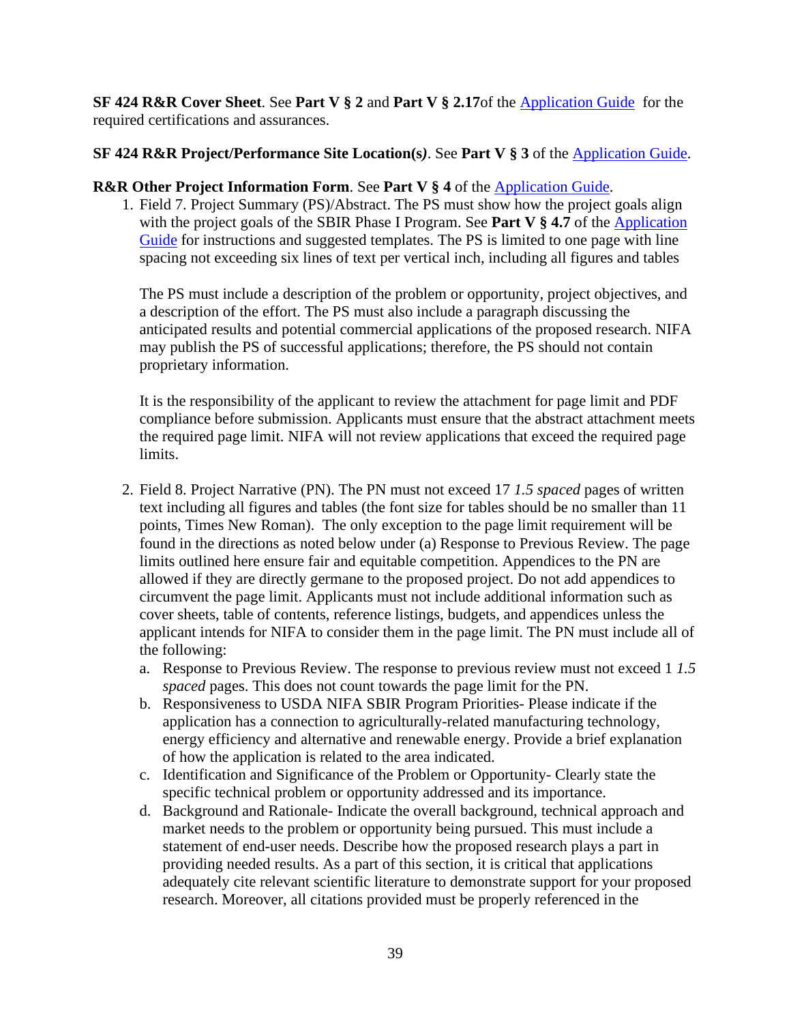**SF 424 R&R Cover Sheet**. See **Part V § 2** and **Part V § 2.17**of the [Application Guide](https://apply07.grants.gov/apply/opportunities/instructions/PKG00249520-instructions.pdf) for the required certifications and assurances.

### **SF 424 R&R Project/Performance Site Location(s***)*. See **Part V § 3** of the [Application Guide.](https://apply07.grants.gov/apply/opportunities/instructions/PKG00249520-instructions.pdf)

### **R&R Other Project Information Form**. See **Part V § 4** of the [Application Guide.](https://apply07.grants.gov/apply/opportunities/instructions/PKG00249520-instructions.pdf)

1. Field 7. Project Summary (PS)/Abstract. The PS must show how the project goals align with the project goals of the SBIR Phase I Program. See **Part V § 4.7** of the [Application](https://apply07.grants.gov/apply/opportunities/instructions/PKG00249520-instructions.pdf)  [Guide](https://apply07.grants.gov/apply/opportunities/instructions/PKG00249520-instructions.pdf) for instructions and suggested templates. The PS is limited to one page with line spacing not exceeding six lines of text per vertical inch, including all figures and tables

The PS must include a description of the problem or opportunity, project objectives, and a description of the effort. The PS must also include a paragraph discussing the anticipated results and potential commercial applications of the proposed research. NIFA may publish the PS of successful applications; therefore, the PS should not contain proprietary information.

It is the responsibility of the applicant to review the attachment for page limit and PDF compliance before submission. Applicants must ensure that the abstract attachment meets the required page limit. NIFA will not review applications that exceed the required page limits.

- 2. Field 8. Project Narrative (PN). The PN must not exceed 17 *1.5 spaced* pages of written text including all figures and tables (the font size for tables should be no smaller than 11 points, Times New Roman). The only exception to the page limit requirement will be found in the directions as noted below under (a) Response to Previous Review. The page limits outlined here ensure fair and equitable competition. Appendices to the PN are allowed if they are directly germane to the proposed project. Do not add appendices to circumvent the page limit. Applicants must not include additional information such as cover sheets, table of contents, reference listings, budgets, and appendices unless the applicant intends for NIFA to consider them in the page limit. The PN must include all of the following:
	- a. Response to Previous Review. The response to previous review must not exceed 1 *1.5 spaced* pages. This does not count towards the page limit for the PN.
	- b. Responsiveness to USDA NIFA SBIR Program Priorities- Please indicate if the application has a connection to agriculturally-related manufacturing technology, energy efficiency and alternative and renewable energy. Provide a brief explanation of how the application is related to the area indicated.
	- c. Identification and Significance of the Problem or Opportunity- Clearly state the specific technical problem or opportunity addressed and its importance.
	- d. Background and Rationale- Indicate the overall background, technical approach and market needs to the problem or opportunity being pursued. This must include a statement of end-user needs. Describe how the proposed research plays a part in providing needed results. As a part of this section, it is critical that applications adequately cite relevant scientific literature to demonstrate support for your proposed research. Moreover, all citations provided must be properly referenced in the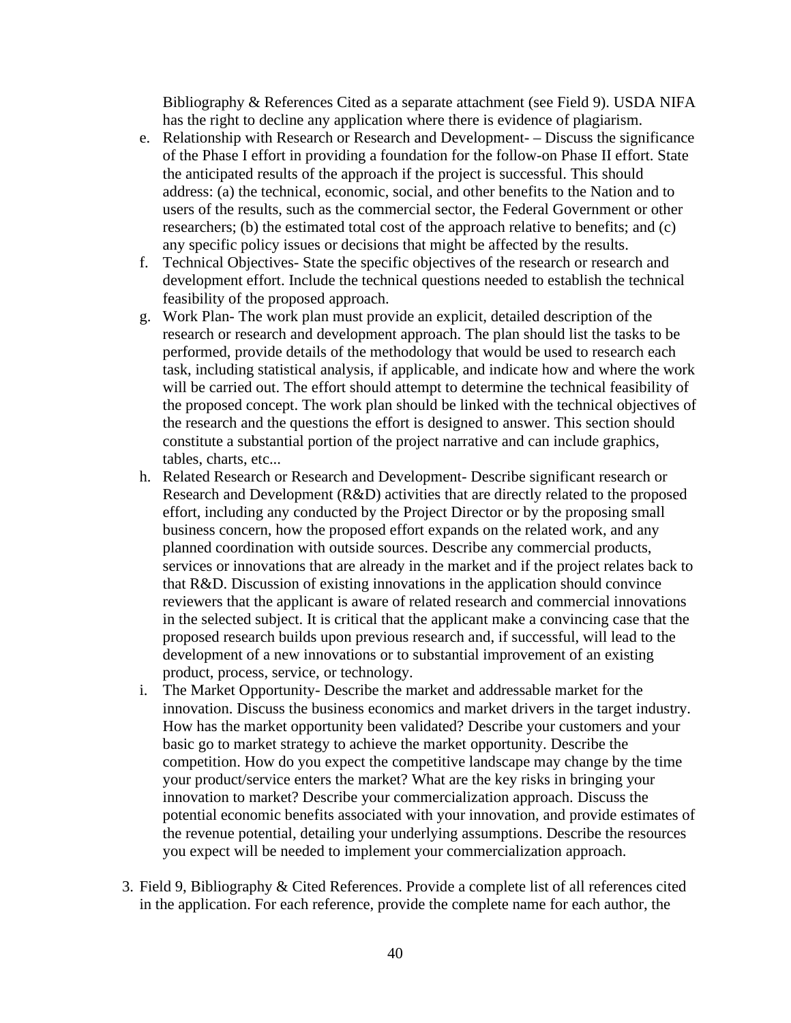Bibliography & References Cited as a separate attachment (see Field 9). USDA NIFA has the right to decline any application where there is evidence of plagiarism.

- e. Relationship with Research or Research and Development- Discuss the significance of the Phase I effort in providing a foundation for the follow-on Phase II effort. State the anticipated results of the approach if the project is successful. This should address: (a) the technical, economic, social, and other benefits to the Nation and to users of the results, such as the commercial sector, the Federal Government or other researchers; (b) the estimated total cost of the approach relative to benefits; and (c) any specific policy issues or decisions that might be affected by the results.
- f. Technical Objectives- State the specific objectives of the research or research and development effort. Include the technical questions needed to establish the technical feasibility of the proposed approach.
- g. Work Plan- The work plan must provide an explicit, detailed description of the research or research and development approach. The plan should list the tasks to be performed, provide details of the methodology that would be used to research each task, including statistical analysis, if applicable, and indicate how and where the work will be carried out. The effort should attempt to determine the technical feasibility of the proposed concept. The work plan should be linked with the technical objectives of the research and the questions the effort is designed to answer. This section should constitute a substantial portion of the project narrative and can include graphics, tables, charts, etc...
- h. Related Research or Research and Development- Describe significant research or Research and Development (R&D) activities that are directly related to the proposed effort, including any conducted by the Project Director or by the proposing small business concern, how the proposed effort expands on the related work, and any planned coordination with outside sources. Describe any commercial products, services or innovations that are already in the market and if the project relates back to that R&D. Discussion of existing innovations in the application should convince reviewers that the applicant is aware of related research and commercial innovations in the selected subject. It is critical that the applicant make a convincing case that the proposed research builds upon previous research and, if successful, will lead to the development of a new innovations or to substantial improvement of an existing product, process, service, or technology.
- i. The Market Opportunity- Describe the market and addressable market for the innovation. Discuss the business economics and market drivers in the target industry. How has the market opportunity been validated? Describe your customers and your basic go to market strategy to achieve the market opportunity. Describe the competition. How do you expect the competitive landscape may change by the time your product/service enters the market? What are the key risks in bringing your innovation to market? Describe your commercialization approach. Discuss the potential economic benefits associated with your innovation, and provide estimates of the revenue potential, detailing your underlying assumptions. Describe the resources you expect will be needed to implement your commercialization approach.
- 3. Field 9, Bibliography & Cited References. Provide a complete list of all references cited in the application. For each reference, provide the complete name for each author, the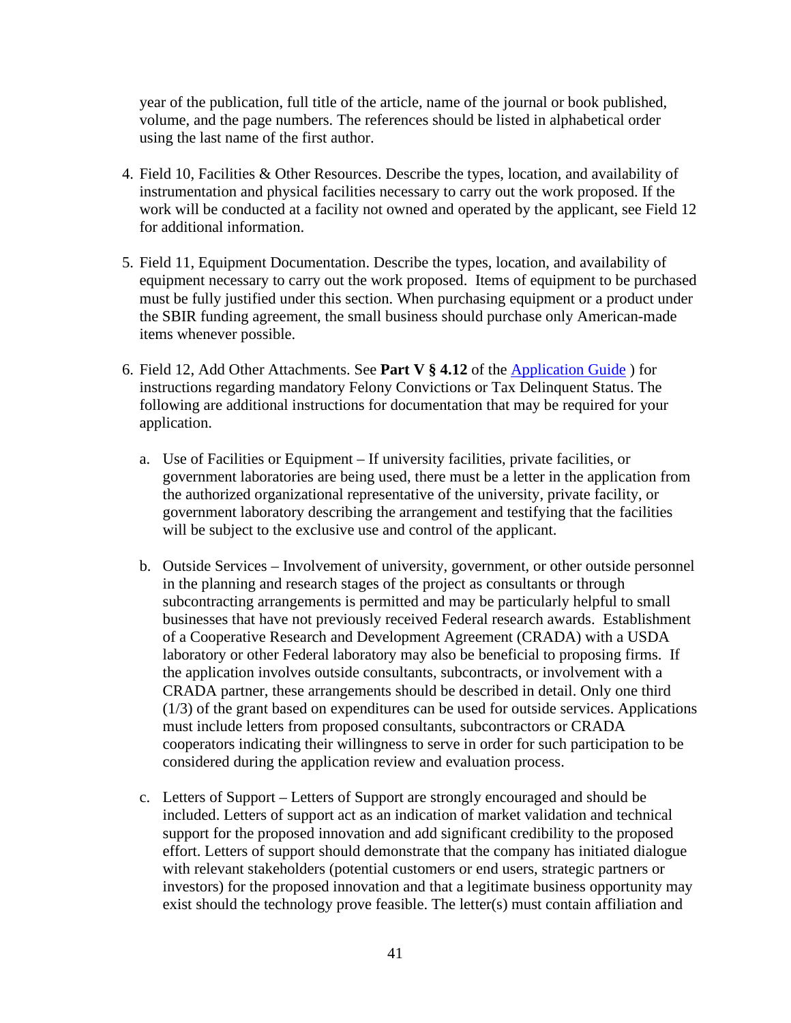year of the publication, full title of the article, name of the journal or book published, volume, and the page numbers. The references should be listed in alphabetical order using the last name of the first author.

- 4. Field 10, Facilities & Other Resources. Describe the types, location, and availability of instrumentation and physical facilities necessary to carry out the work proposed. If the work will be conducted at a facility not owned and operated by the applicant, see Field 12 for additional information.
- 5. Field 11, Equipment Documentation. Describe the types, location, and availability of equipment necessary to carry out the work proposed. Items of equipment to be purchased must be fully justified under this section. When purchasing equipment or a product under the SBIR funding agreement, the small business should purchase only American-made items whenever possible.
- 6. Field 12, Add Other Attachments. See **Part V § 4.12** of the [Application Guide](https://apply07.grants.gov/apply/opportunities/instructions/PKG00249520-instructions.pdf) ) for instructions regarding mandatory Felony Convictions or Tax Delinquent Status. The following are additional instructions for documentation that may be required for your application.
	- a. Use of Facilities or Equipment If university facilities, private facilities, or government laboratories are being used, there must be a letter in the application from the authorized organizational representative of the university, private facility, or government laboratory describing the arrangement and testifying that the facilities will be subject to the exclusive use and control of the applicant.
	- b. Outside Services Involvement of university, government, or other outside personnel in the planning and research stages of the project as consultants or through subcontracting arrangements is permitted and may be particularly helpful to small businesses that have not previously received Federal research awards. Establishment of a Cooperative Research and Development Agreement (CRADA) with a USDA laboratory or other Federal laboratory may also be beneficial to proposing firms. If the application involves outside consultants, subcontracts, or involvement with a CRADA partner, these arrangements should be described in detail. Only one third (1/3) of the grant based on expenditures can be used for outside services. Applications must include letters from proposed consultants, subcontractors or CRADA cooperators indicating their willingness to serve in order for such participation to be considered during the application review and evaluation process.
	- c. Letters of Support Letters of Support are strongly encouraged and should be included. Letters of support act as an indication of market validation and technical support for the proposed innovation and add significant credibility to the proposed effort. Letters of support should demonstrate that the company has initiated dialogue with relevant stakeholders (potential customers or end users, strategic partners or investors) for the proposed innovation and that a legitimate business opportunity may exist should the technology prove feasible. The letter(s) must contain affiliation and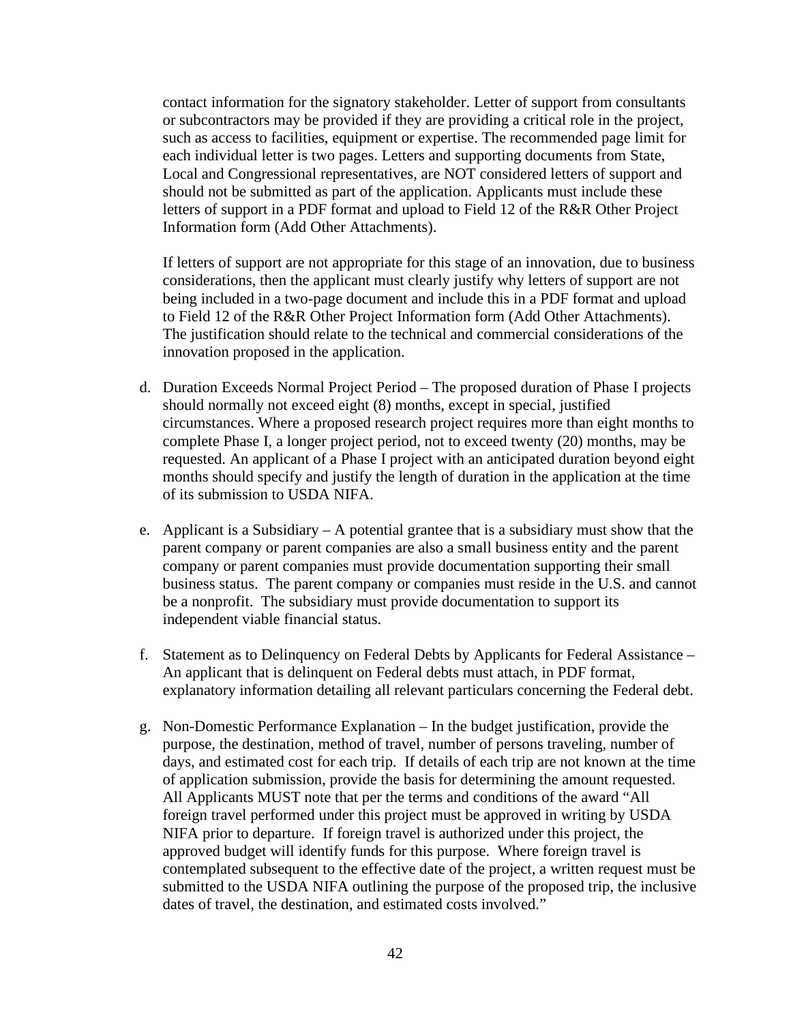contact information for the signatory stakeholder. Letter of support from consultants or subcontractors may be provided if they are providing a critical role in the project, such as access to facilities, equipment or expertise. The recommended page limit for each individual letter is two pages. Letters and supporting documents from State, Local and Congressional representatives, are NOT considered letters of support and should not be submitted as part of the application. Applicants must include these letters of support in a PDF format and upload to Field 12 of the R&R Other Project Information form (Add Other Attachments).

If letters of support are not appropriate for this stage of an innovation, due to business considerations, then the applicant must clearly justify why letters of support are not being included in a two-page document and include this in a PDF format and upload to Field 12 of the R&R Other Project Information form (Add Other Attachments). The justification should relate to the technical and commercial considerations of the innovation proposed in the application.

- d. Duration Exceeds Normal Project Period The proposed duration of Phase I projects should normally not exceed eight (8) months, except in special, justified circumstances. Where a proposed research project requires more than eight months to complete Phase I, a longer project period, not to exceed twenty (20) months, may be requested. An applicant of a Phase I project with an anticipated duration beyond eight months should specify and justify the length of duration in the application at the time of its submission to USDA NIFA.
- e. Applicant is a Subsidiary A potential grantee that is a subsidiary must show that the parent company or parent companies are also a small business entity and the parent company or parent companies must provide documentation supporting their small business status. The parent company or companies must reside in the U.S. and cannot be a nonprofit. The subsidiary must provide documentation to support its independent viable financial status.
- f. Statement as to Delinquency on Federal Debts by Applicants for Federal Assistance An applicant that is delinquent on Federal debts must attach, in PDF format, explanatory information detailing all relevant particulars concerning the Federal debt.
- g. Non-Domestic Performance Explanation In the budget justification, provide the purpose, the destination, method of travel, number of persons traveling, number of days, and estimated cost for each trip. If details of each trip are not known at the time of application submission, provide the basis for determining the amount requested. All Applicants MUST note that per the terms and conditions of the award "All foreign travel performed under this project must be approved in writing by USDA NIFA prior to departure. If foreign travel is authorized under this project, the approved budget will identify funds for this purpose. Where foreign travel is contemplated subsequent to the effective date of the project, a written request must be submitted to the USDA NIFA outlining the purpose of the proposed trip, the inclusive dates of travel, the destination, and estimated costs involved."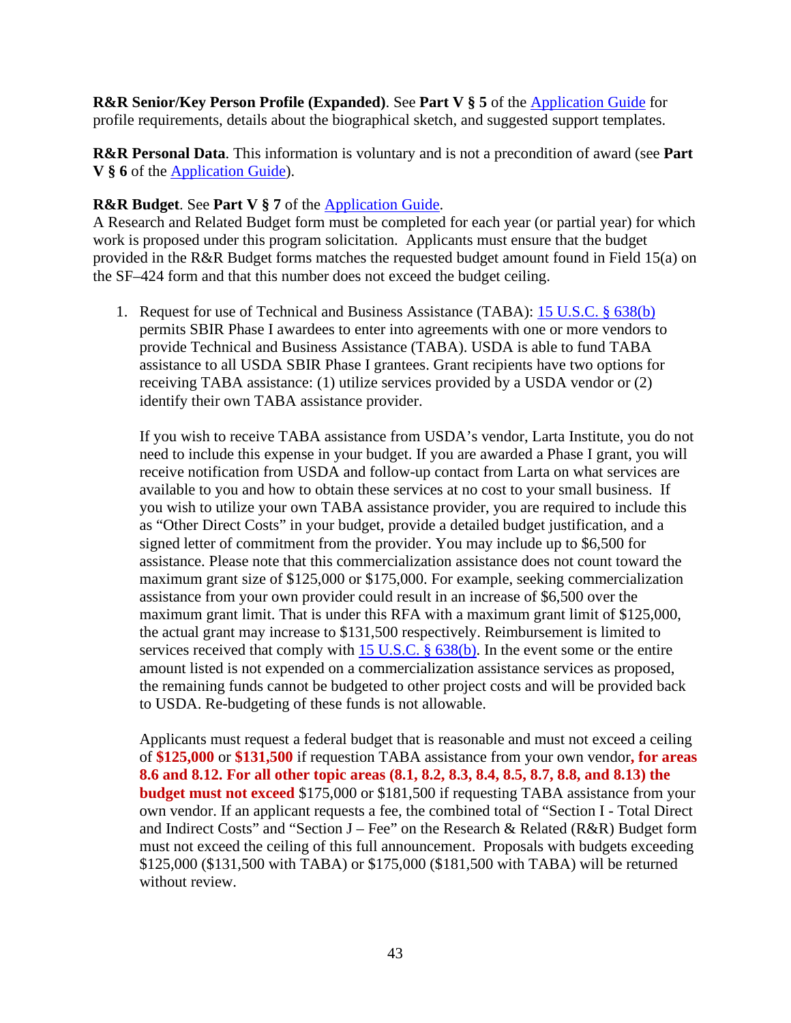**R&R Senior/Key Person Profile (Expanded)**. See **Part V § 5** of the [Application Guide](https://apply07.grants.gov/apply/opportunities/instructions/PKG00249520-instructions.pdf) for profile requirements, details about the biographical sketch, and suggested support templates.

**R&R Personal Data**. This information is voluntary and is not a precondition of award (see **Part V § 6** of the [Application Guide\)](https://apply07.grants.gov/apply/opportunities/instructions/PKG00249520-instructions.pdf).

### **R&R Budget**. See **Part V § 7** of the [Application Guide.](https://apply07.grants.gov/apply/opportunities/instructions/PKG00249520-instructions.pdf)

A Research and Related Budget form must be completed for each year (or partial year) for which work is proposed under this program solicitation. Applicants must ensure that the budget provided in the R&R Budget forms matches the requested budget amount found in Field 15(a) on the SF–424 form and that this number does not exceed the budget ceiling.

1. Request for use of Technical and Business Assistance (TABA): [15 U.S.C. § 638\(b\)](https://uscode.house.gov/view.xhtml?req=granuleid:USC-prelim-title15-section638b&num=0&edition=prelim) permits SBIR Phase I awardees to enter into agreements with one or more vendors to provide Technical and Business Assistance (TABA). USDA is able to fund TABA assistance to all USDA SBIR Phase I grantees. Grant recipients have two options for receiving TABA assistance: (1) utilize services provided by a USDA vendor or (2) identify their own TABA assistance provider.

If you wish to receive TABA assistance from USDA's vendor, Larta Institute, you do not need to include this expense in your budget. If you are awarded a Phase I grant, you will receive notification from USDA and follow-up contact from Larta on what services are available to you and how to obtain these services at no cost to your small business. If you wish to utilize your own TABA assistance provider, you are required to include this as "Other Direct Costs" in your budget, provide a detailed budget justification, and a signed letter of commitment from the provider. You may include up to \$6,500 for assistance. Please note that this commercialization assistance does not count toward the maximum grant size of \$125,000 or \$175,000. For example, seeking commercialization assistance from your own provider could result in an increase of \$6,500 over the maximum grant limit. That is under this RFA with a maximum grant limit of \$125,000, the actual grant may increase to \$131,500 respectively. Reimbursement is limited to services received that comply with 15 U.S.C.  $\S$  638(b). In the event some or the entire amount listed is not expended on a commercialization assistance services as proposed, the remaining funds cannot be budgeted to other project costs and will be provided back to USDA. Re-budgeting of these funds is not allowable.

Applicants must request a federal budget that is reasonable and must not exceed a ceiling of **\$125,000** or **\$131,500** if requestion TABA assistance from your own vendor**, for areas 8.6 and 8.12. For all other topic areas (8.1, 8.2, 8.3, 8.4, 8.5, 8.7, 8.8, and 8.13) the budget must not exceed** \$175,000 or \$181,500 if requesting TABA assistance from your own vendor. If an applicant requests a fee, the combined total of "Section I - Total Direct and Indirect Costs" and "Section J – Fee" on the Research & Related (R&R) Budget form must not exceed the ceiling of this full announcement. Proposals with budgets exceeding \$125,000 (\$131,500 with TABA) or \$175,000 (\$181,500 with TABA) will be returned without review.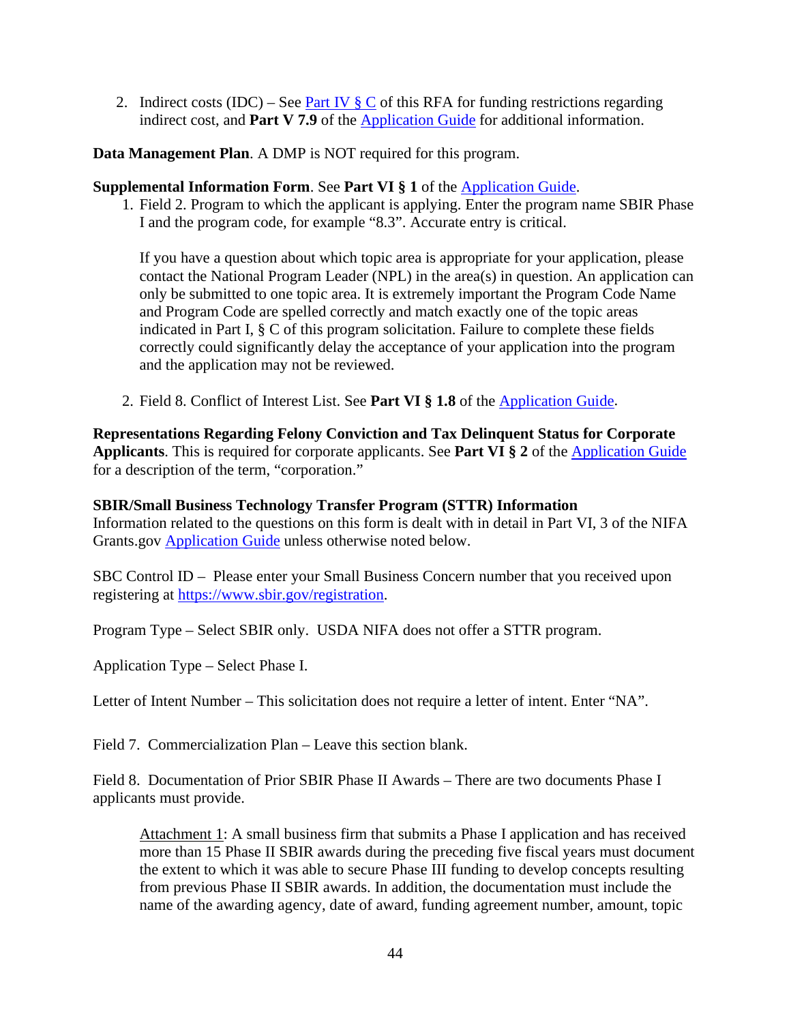2. Indirect costs (IDC) – See <u>Part IV  $\S \mathbb{C}$ </u> of this RFA for funding restrictions regarding indirect cost, and **Part V 7.9** of the [Application Guide](https://apply07.grants.gov/apply/opportunities/instructions/PKG00249520-instructions.pdf) for additional information.

**Data Management Plan**. A DMP is NOT required for this program.

### **Supplemental Information Form**. See **Part VI § 1** of the [Application Guide.](https://apply07.grants.gov/apply/opportunities/instructions/PKG00249520-instructions.pdf)

1. Field 2. Program to which the applicant is applying. Enter the program name SBIR Phase I and the program code, for example "8.3". Accurate entry is critical.

If you have a question about which topic area is appropriate for your application, please contact the National Program Leader (NPL) in the area(s) in question. An application can only be submitted to one topic area. It is extremely important the Program Code Name and Program Code are spelled correctly and match exactly one of the topic areas indicated in Part I, § C of this program solicitation. Failure to complete these fields correctly could significantly delay the acceptance of your application into the program and the application may not be reviewed.

2. Field 8. Conflict of Interest List. See **Part VI § 1.8** of the [Application Guide.](https://apply07.grants.gov/apply/opportunities/instructions/PKG00249520-instructions.pdf)

**Representations Regarding Felony Conviction and Tax Delinquent Status for Corporate Applicants**. This is required for corporate applicants. See **Part VI § 2** of the [Application Guide](https://apply07.grants.gov/apply/opportunities/instructions/PKG00249520-instructions.pdf) for a description of the term, "corporation."

### **SBIR/Small Business Technology Transfer Program (STTR) Information**

Information related to the questions on this form is dealt with in detail in Part VI, 3 of the NIFA Grants.gov [Application Guide](https://apply07.grants.gov/apply/opportunities/instructions/PKG00249520-instructions.pdf) unless otherwise noted below.

SBC Control ID – Please enter your Small Business Concern number that you received upon registering at<https://www.sbir.gov/>registration.

Program Type – Select SBIR only. USDA NIFA does not offer a STTR program.

Application Type – Select Phase I.

Letter of Intent Number – This solicitation does not require a letter of intent. Enter "NA".

Field 7. Commercialization Plan – Leave this section blank.

Field 8. Documentation of Prior SBIR Phase II Awards – There are two documents Phase I applicants must provide.

Attachment 1: A small business firm that submits a Phase I application and has received more than 15 Phase II SBIR awards during the preceding five fiscal years must document the extent to which it was able to secure Phase III funding to develop concepts resulting from previous Phase II SBIR awards. In addition, the documentation must include the name of the awarding agency, date of award, funding agreement number, amount, topic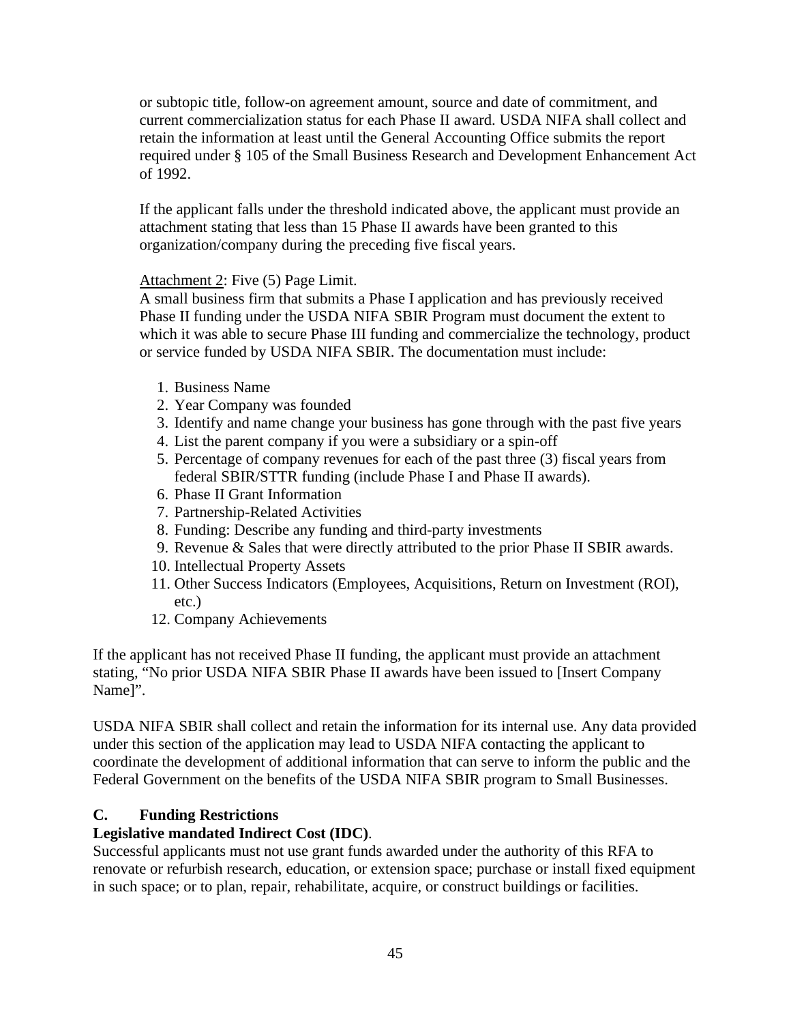or subtopic title, follow-on agreement amount, source and date of commitment, and current commercialization status for each Phase II award. USDA NIFA shall collect and retain the information at least until the General Accounting Office submits the report required under § 105 of the Small Business Research and Development Enhancement Act of 1992.

If the applicant falls under the threshold indicated above, the applicant must provide an attachment stating that less than 15 Phase II awards have been granted to this organization/company during the preceding five fiscal years.

# Attachment 2: Five (5) Page Limit.

A small business firm that submits a Phase I application and has previously received Phase II funding under the USDA NIFA SBIR Program must document the extent to which it was able to secure Phase III funding and commercialize the technology, product or service funded by USDA NIFA SBIR. The documentation must include:

- 1. Business Name
- 2. Year Company was founded
- 3. Identify and name change your business has gone through with the past five years
- 4. List the parent company if you were a subsidiary or a spin-off
- 5. Percentage of company revenues for each of the past three (3) fiscal years from federal SBIR/STTR funding (include Phase I and Phase II awards).
- 6. Phase II Grant Information
- 7. Partnership-Related Activities
- 8. Funding: Describe any funding and third-party investments
- 9. Revenue & Sales that were directly attributed to the prior Phase II SBIR awards.
- 10. Intellectual Property Assets
- 11. Other Success Indicators (Employees, Acquisitions, Return on Investment (ROI), etc.)
- 12. Company Achievements

If the applicant has not received Phase II funding, the applicant must provide an attachment stating, "No prior USDA NIFA SBIR Phase II awards have been issued to [Insert Company Name]".

USDA NIFA SBIR shall collect and retain the information for its internal use. Any data provided under this section of the application may lead to USDA NIFA contacting the applicant to coordinate the development of additional information that can serve to inform the public and the Federal Government on the benefits of the USDA NIFA SBIR program to Small Businesses.

### <span id="page-44-0"></span>**C. Funding Restrictions**

### **Legislative mandated Indirect Cost (IDC)**.

Successful applicants must not use grant funds awarded under the authority of this RFA to renovate or refurbish research, education, or extension space; purchase or install fixed equipment in such space; or to plan, repair, rehabilitate, acquire, or construct buildings or facilities.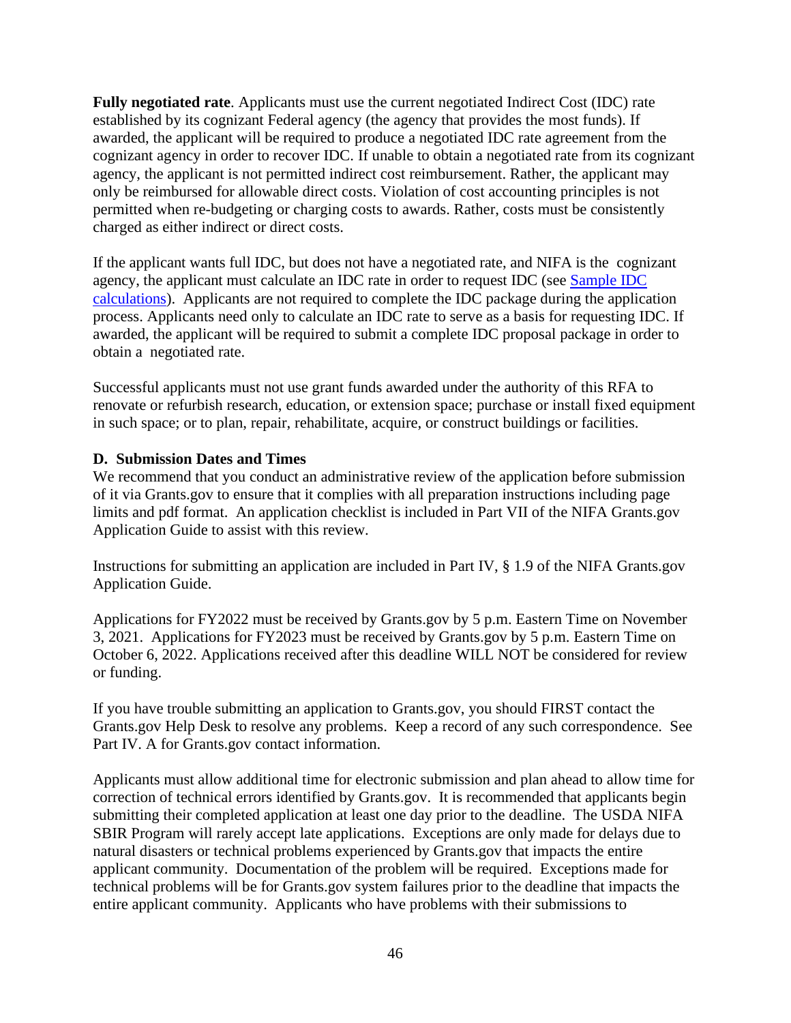**Fully negotiated rate**. Applicants must use the current negotiated Indirect Cost (IDC) rate established by its cognizant Federal agency (the agency that provides the most funds). If awarded, the applicant will be required to produce a negotiated IDC rate agreement from the cognizant agency in order to recover IDC. If unable to obtain a negotiated rate from its cognizant agency, the applicant is not permitted indirect cost reimbursement. Rather, the applicant may only be reimbursed for allowable direct costs. Violation of cost accounting principles is not permitted when re-budgeting or charging costs to awards. Rather, costs must be consistently charged as either indirect or direct costs.

If the applicant wants full IDC, but does not have a negotiated rate, and NIFA is the cognizant agency, the applicant must calculate an IDC rate in order to request IDC (see [Sample IDC](https://nifa.usda.gov/resource/indirect-cost-chart)  [calculations\)](https://nifa.usda.gov/resource/indirect-cost-chart). Applicants are not required to complete the IDC package during the application process. Applicants need only to calculate an IDC rate to serve as a basis for requesting IDC. If awarded, the applicant will be required to submit a complete IDC proposal package in order to obtain a negotiated rate.

Successful applicants must not use grant funds awarded under the authority of this RFA to renovate or refurbish research, education, or extension space; purchase or install fixed equipment in such space; or to plan, repair, rehabilitate, acquire, or construct buildings or facilities.

### **D. Submission Dates and Times**

We recommend that you conduct an administrative review of the application before submission of it via Grants.gov to ensure that it complies with all preparation instructions including page limits and pdf format. An application checklist is included in Part VII of the NIFA Grants.gov Application Guide to assist with this review.

Instructions for submitting an application are included in Part IV, § 1.9 of the NIFA Grants.gov Application Guide.

Applications for FY2022 must be received by Grants.gov by 5 p.m. Eastern Time on November 3, 2021. Applications for FY2023 must be received by Grants.gov by 5 p.m. Eastern Time on October 6, 2022. Applications received after this deadline WILL NOT be considered for review or funding.

If you have trouble submitting an application to Grants.gov, you should FIRST contact the Grants.gov Help Desk to resolve any problems. Keep a record of any such correspondence. See Part IV. A for Grants.gov contact information.

Applicants must allow additional time for electronic submission and plan ahead to allow time for correction of technical errors identified by Grants.gov. It is recommended that applicants begin submitting their completed application at least one day prior to the deadline. The USDA NIFA SBIR Program will rarely accept late applications. Exceptions are only made for delays due to natural disasters or technical problems experienced by Grants.gov that impacts the entire applicant community. Documentation of the problem will be required. Exceptions made for technical problems will be for Grants.gov system failures prior to the deadline that impacts the entire applicant community. Applicants who have problems with their submissions to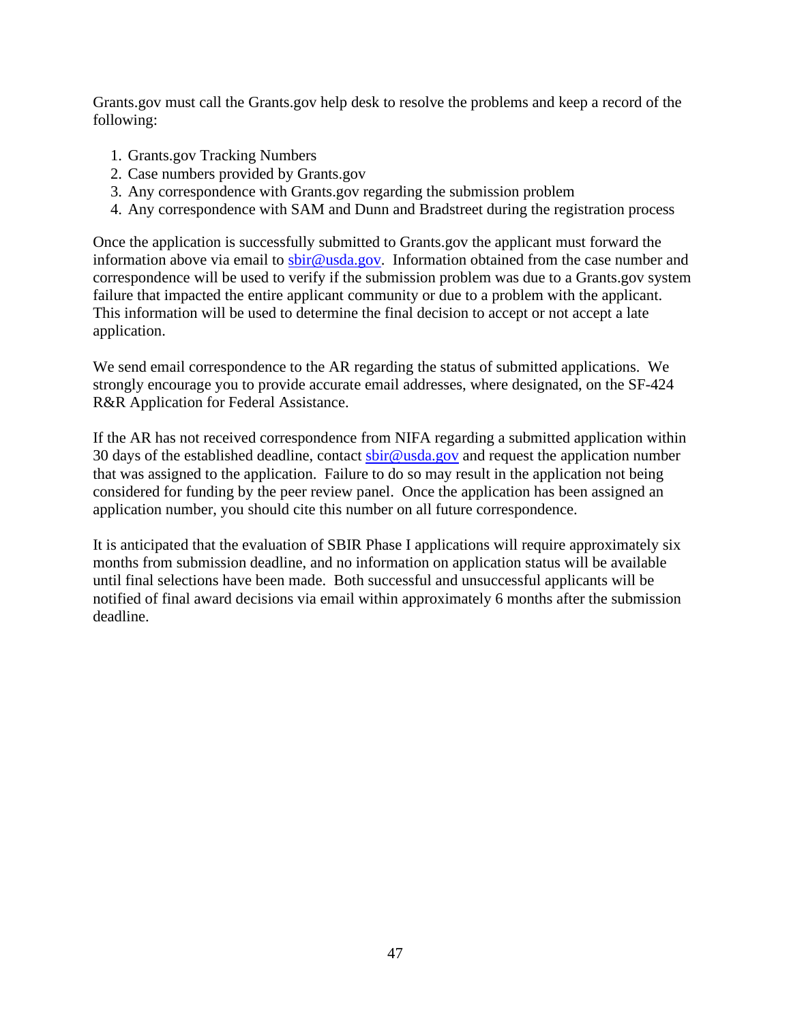Grants.gov must call the Grants.gov help desk to resolve the problems and keep a record of the following:

- 1. Grants.gov Tracking Numbers
- 2. Case numbers provided by Grants.gov
- 3. Any correspondence with Grants.gov regarding the submission problem
- 4. Any correspondence with SAM and Dunn and Bradstreet during the registration process

Once the application is successfully submitted to Grants.gov the applicant must forward the information above via email to [sbir@usda.gov.](mailto:sbir@usda.gov) Information obtained from the case number and correspondence will be used to verify if the submission problem was due to a Grants.gov system failure that impacted the entire applicant community or due to a problem with the applicant. This information will be used to determine the final decision to accept or not accept a late application.

We send email correspondence to the AR regarding the status of submitted applications. We strongly encourage you to provide accurate email addresses, where designated, on the SF-424 R&R Application for Federal Assistance.

If the AR has not received correspondence from NIFA regarding a submitted application within 30 days of the established deadline, contact  $s\text{bir@}$  usda.gov and request the application number that was assigned to the application. Failure to do so may result in the application not being considered for funding by the peer review panel. Once the application has been assigned an application number, you should cite this number on all future correspondence.

It is anticipated that the evaluation of SBIR Phase I applications will require approximately six months from submission deadline, and no information on application status will be available until final selections have been made. Both successful and unsuccessful applicants will be notified of final award decisions via email within approximately 6 months after the submission deadline.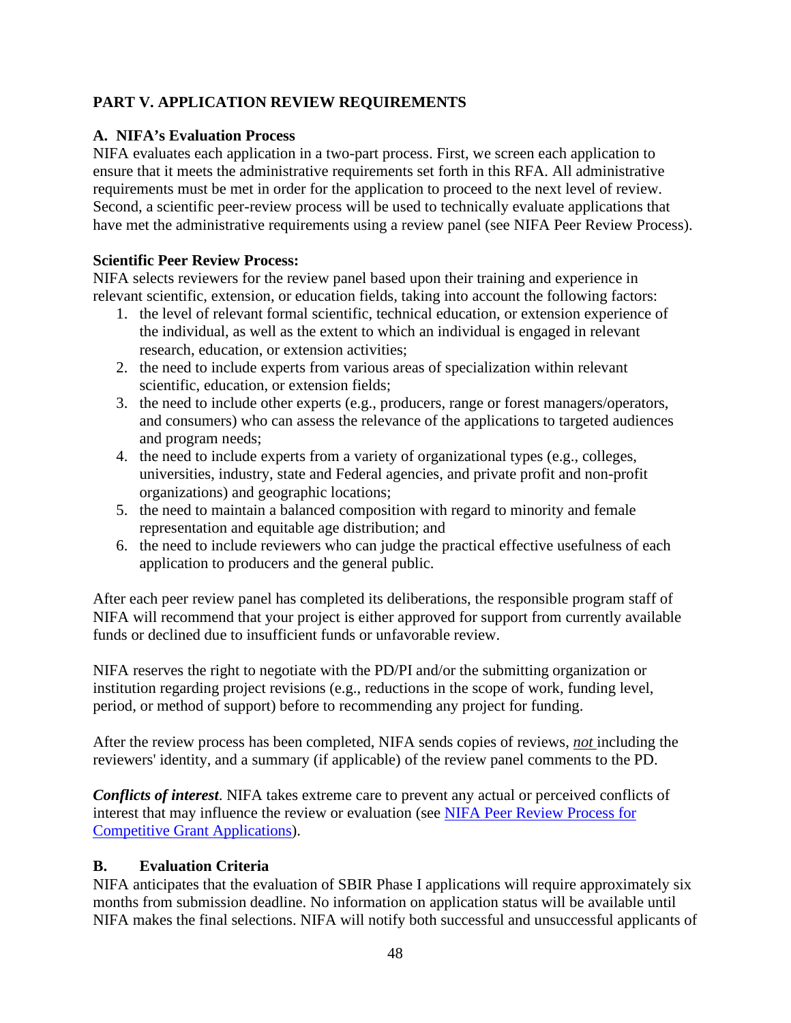# <span id="page-47-0"></span>**PART V. APPLICATION REVIEW REQUIREMENTS**

### <span id="page-47-1"></span>**A. NIFA's Evaluation Process**

NIFA evaluates each application in a two-part process. First, we screen each application to ensure that it meets the administrative requirements set forth in this RFA. All administrative requirements must be met in order for the application to proceed to the next level of review. Second, a scientific peer-review process will be used to technically evaluate applications that have met the administrative requirements using a review panel (see NIFA Peer Review Process).

### **Scientific Peer Review Process:**

NIFA selects reviewers for the review panel based upon their training and experience in relevant scientific, extension, or education fields, taking into account the following factors:

- 1. the level of relevant formal scientific, technical education, or extension experience of the individual, as well as the extent to which an individual is engaged in relevant research, education, or extension activities;
- 2. the need to include experts from various areas of specialization within relevant scientific, education, or extension fields;
- 3. the need to include other experts (e.g., producers, range or forest managers/operators, and consumers) who can assess the relevance of the applications to targeted audiences and program needs;
- 4. the need to include experts from a variety of organizational types (e.g., colleges, universities, industry, state and Federal agencies, and private profit and non-profit organizations) and geographic locations;
- 5. the need to maintain a balanced composition with regard to minority and female representation and equitable age distribution; and
- 6. the need to include reviewers who can judge the practical effective usefulness of each application to producers and the general public.

After each peer review panel has completed its deliberations, the responsible program staff of NIFA will recommend that your project is either approved for support from currently available funds or declined due to insufficient funds or unfavorable review.

NIFA reserves the right to negotiate with the PD/PI and/or the submitting organization or institution regarding project revisions (e.g., reductions in the scope of work, funding level, period, or method of support) before to recommending any project for funding.

After the review process has been completed, NIFA sends copies of reviews, *not* including the reviewers' identity, and a summary (if applicable) of the review panel comments to the PD.

*Conflicts of interest*. NIFA takes extreme care to prevent any actual or perceived conflicts of interest that may influence the review or evaluation (see [NIFA Peer Review Process for](https://nifa.usda.gov/resource/nifa-peer-review-process-competitive-grant-applications)  [Competitive Grant Applications\)](https://nifa.usda.gov/resource/nifa-peer-review-process-competitive-grant-applications).

# <span id="page-47-2"></span>**B. Evaluation Criteria**

NIFA anticipates that the evaluation of SBIR Phase I applications will require approximately six months from submission deadline. No information on application status will be available until NIFA makes the final selections. NIFA will notify both successful and unsuccessful applicants of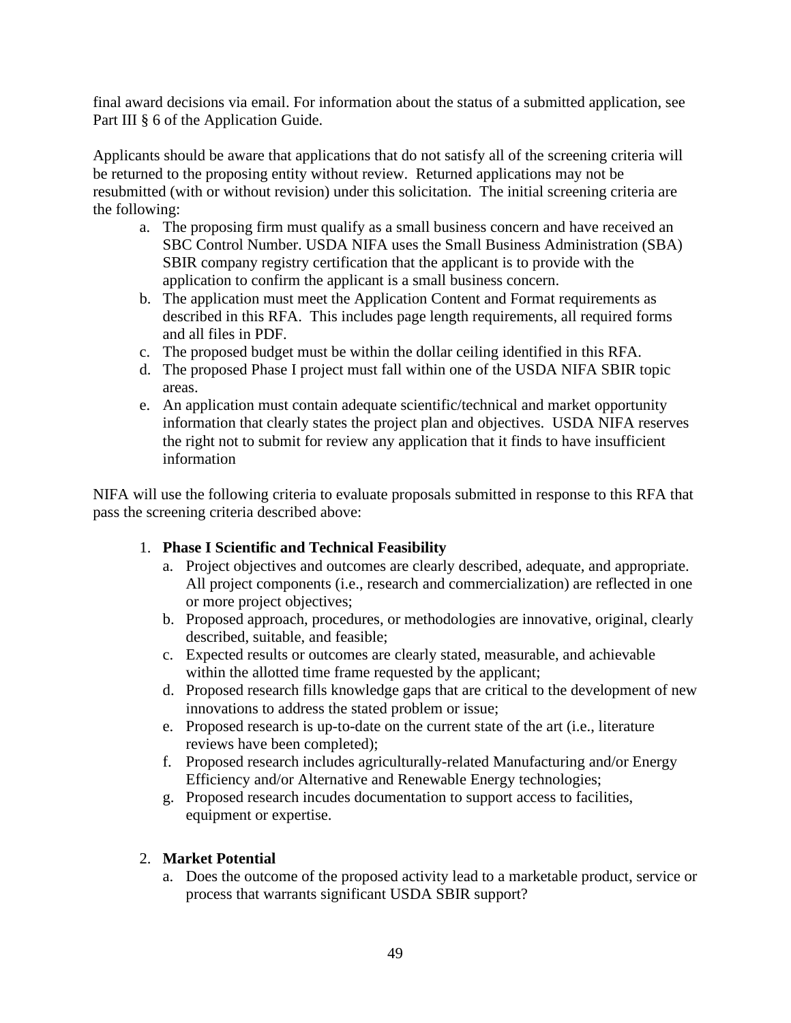final award decisions via email. For information about the status of a submitted application, see Part III § 6 of the Application Guide.

Applicants should be aware that applications that do not satisfy all of the screening criteria will be returned to the proposing entity without review. Returned applications may not be resubmitted (with or without revision) under this solicitation. The initial screening criteria are the following:

- a. The proposing firm must qualify as a small business concern and have received an SBC Control Number. USDA NIFA uses the Small Business Administration (SBA) SBIR company registry certification that the applicant is to provide with the application to confirm the applicant is a small business concern.
- b. The application must meet the Application Content and Format requirements as described in this RFA. This includes page length requirements, all required forms and all files in PDF.
- c. The proposed budget must be within the dollar ceiling identified in this RFA.
- d. The proposed Phase I project must fall within one of the USDA NIFA SBIR topic areas.
- e. An application must contain adequate scientific/technical and market opportunity information that clearly states the project plan and objectives. USDA NIFA reserves the right not to submit for review any application that it finds to have insufficient information

NIFA will use the following criteria to evaluate proposals submitted in response to this RFA that pass the screening criteria described above:

# 1. **Phase I Scientific and Technical Feasibility**

- a. Project objectives and outcomes are clearly described, adequate, and appropriate. All project components (i.e., research and commercialization) are reflected in one or more project objectives;
- b. Proposed approach, procedures, or methodologies are innovative, original, clearly described, suitable, and feasible;
- c. Expected results or outcomes are clearly stated, measurable, and achievable within the allotted time frame requested by the applicant;
- d. Proposed research fills knowledge gaps that are critical to the development of new innovations to address the stated problem or issue;
- e. Proposed research is up-to-date on the current state of the art (i.e., literature reviews have been completed);
- f. Proposed research includes agriculturally-related Manufacturing and/or Energy Efficiency and/or Alternative and Renewable Energy technologies;
- g. Proposed research incudes documentation to support access to facilities, equipment or expertise.

# 2. **Market Potential**

a. Does the outcome of the proposed activity lead to a marketable product, service or process that warrants significant USDA SBIR support?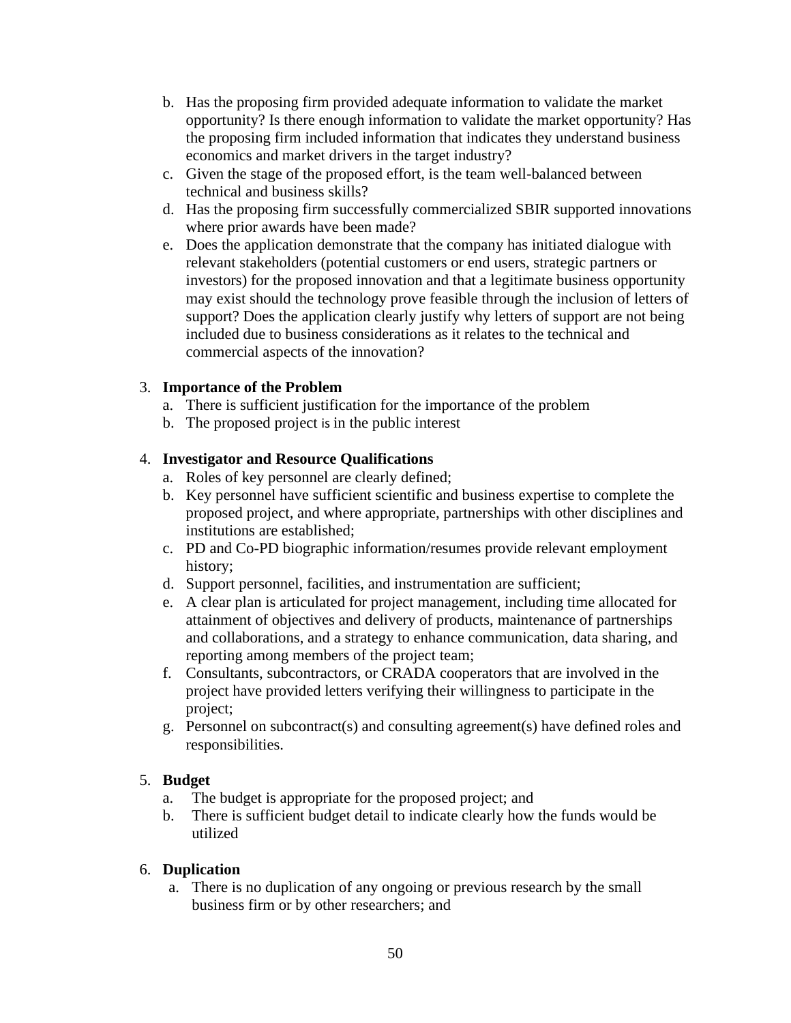- b. Has the proposing firm provided adequate information to validate the market opportunity? Is there enough information to validate the market opportunity? Has the proposing firm included information that indicates they understand business economics and market drivers in the target industry?
- c. Given the stage of the proposed effort, is the team well-balanced between technical and business skills?
- d. Has the proposing firm successfully commercialized SBIR supported innovations where prior awards have been made?
- e. Does the application demonstrate that the company has initiated dialogue with relevant stakeholders (potential customers or end users, strategic partners or investors) for the proposed innovation and that a legitimate business opportunity may exist should the technology prove feasible through the inclusion of letters of support? Does the application clearly justify why letters of support are not being included due to business considerations as it relates to the technical and commercial aspects of the innovation?

# 3. **Importance of the Problem**

- a. There is sufficient justification for the importance of the problem
- b. The proposed project is in the public interest

# 4. **Investigator and Resource Qualifications**

- a. Roles of key personnel are clearly defined;
- b. Key personnel have sufficient scientific and business expertise to complete the proposed project, and where appropriate, partnerships with other disciplines and institutions are established;
- c. PD and Co-PD biographic information/resumes provide relevant employment history;
- d. Support personnel, facilities, and instrumentation are sufficient;
- e. A clear plan is articulated for project management, including time allocated for attainment of objectives and delivery of products, maintenance of partnerships and collaborations, and a strategy to enhance communication, data sharing, and reporting among members of the project team;
- f. Consultants, subcontractors, or CRADA cooperators that are involved in the project have provided letters verifying their willingness to participate in the project;
- g. Personnel on subcontract(s) and consulting agreement(s) have defined roles and responsibilities.

# 5. **Budget**

- a. The budget is appropriate for the proposed project; and
- b. There is sufficient budget detail to indicate clearly how the funds would be utilized

# 6. **Duplication**

a. There is no duplication of any ongoing or previous research by the small business firm or by other researchers; and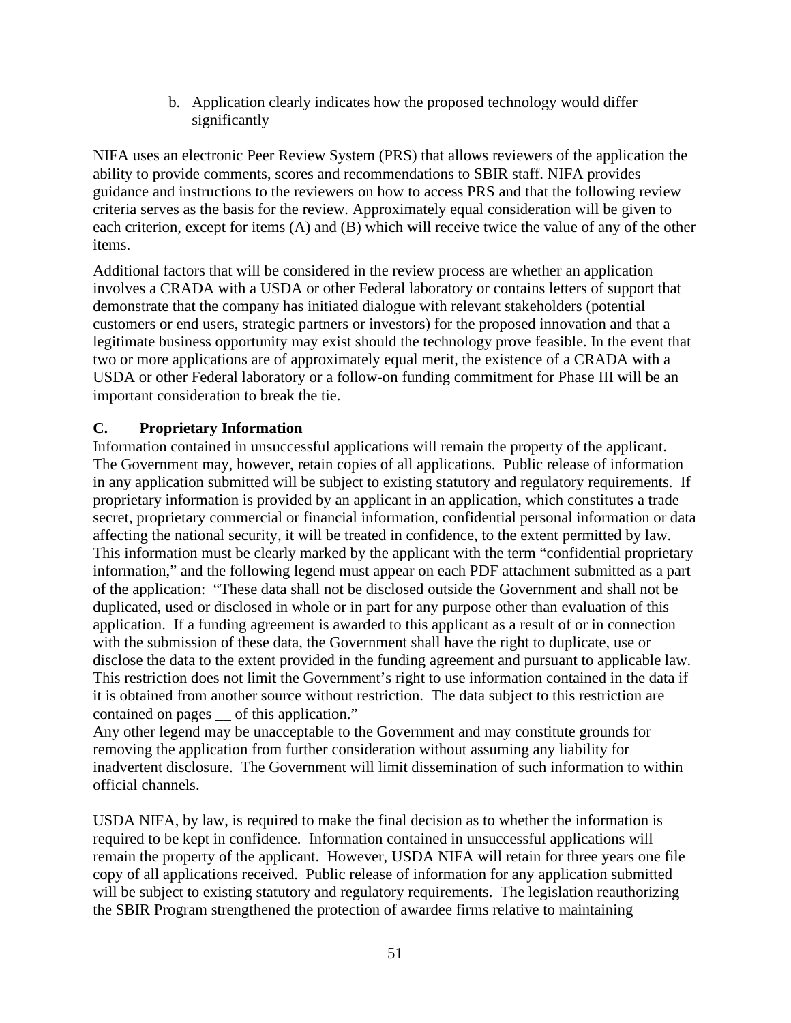b. Application clearly indicates how the proposed technology would differ significantly

NIFA uses an electronic Peer Review System (PRS) that allows reviewers of the application the ability to provide comments, scores and recommendations to SBIR staff. NIFA provides guidance and instructions to the reviewers on how to access PRS and that the following review criteria serves as the basis for the review. Approximately equal consideration will be given to each criterion, except for items (A) and (B) which will receive twice the value of any of the other items.

Additional factors that will be considered in the review process are whether an application involves a CRADA with a USDA or other Federal laboratory or contains letters of support that demonstrate that the company has initiated dialogue with relevant stakeholders (potential customers or end users, strategic partners or investors) for the proposed innovation and that a legitimate business opportunity may exist should the technology prove feasible. In the event that two or more applications are of approximately equal merit, the existence of a CRADA with a USDA or other Federal laboratory or a follow-on funding commitment for Phase III will be an important consideration to break the tie.

# <span id="page-50-0"></span>**C. Proprietary Information**

Information contained in unsuccessful applications will remain the property of the applicant. The Government may, however, retain copies of all applications. Public release of information in any application submitted will be subject to existing statutory and regulatory requirements. If proprietary information is provided by an applicant in an application, which constitutes a trade secret, proprietary commercial or financial information, confidential personal information or data affecting the national security, it will be treated in confidence, to the extent permitted by law. This information must be clearly marked by the applicant with the term "confidential proprietary information," and the following legend must appear on each PDF attachment submitted as a part of the application: "These data shall not be disclosed outside the Government and shall not be duplicated, used or disclosed in whole or in part for any purpose other than evaluation of this application. If a funding agreement is awarded to this applicant as a result of or in connection with the submission of these data, the Government shall have the right to duplicate, use or disclose the data to the extent provided in the funding agreement and pursuant to applicable law. This restriction does not limit the Government's right to use information contained in the data if it is obtained from another source without restriction. The data subject to this restriction are contained on pages of this application."

Any other legend may be unacceptable to the Government and may constitute grounds for removing the application from further consideration without assuming any liability for inadvertent disclosure. The Government will limit dissemination of such information to within official channels.

USDA NIFA, by law, is required to make the final decision as to whether the information is required to be kept in confidence. Information contained in unsuccessful applications will remain the property of the applicant. However, USDA NIFA will retain for three years one file copy of all applications received. Public release of information for any application submitted will be subject to existing statutory and regulatory requirements. The legislation reauthorizing the SBIR Program strengthened the protection of awardee firms relative to maintaining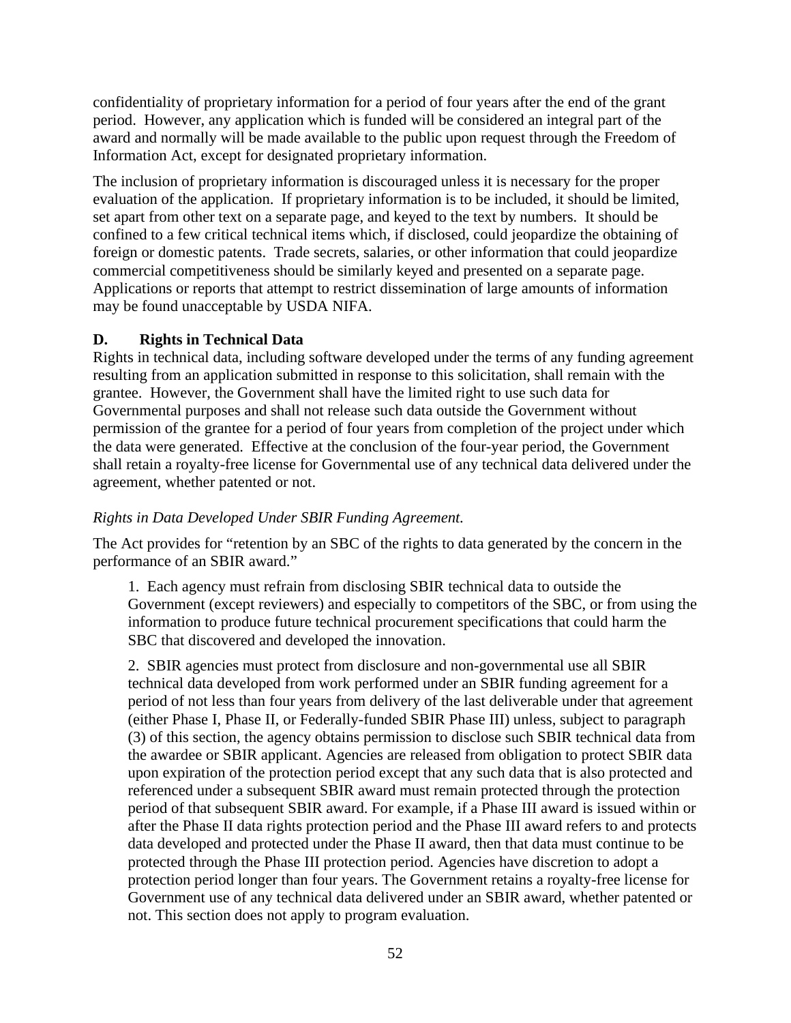confidentiality of proprietary information for a period of four years after the end of the grant period. However, any application which is funded will be considered an integral part of the award and normally will be made available to the public upon request through the Freedom of Information Act, except for designated proprietary information.

The inclusion of proprietary information is discouraged unless it is necessary for the proper evaluation of the application. If proprietary information is to be included, it should be limited, set apart from other text on a separate page, and keyed to the text by numbers. It should be confined to a few critical technical items which, if disclosed, could jeopardize the obtaining of foreign or domestic patents. Trade secrets, salaries, or other information that could jeopardize commercial competitiveness should be similarly keyed and presented on a separate page. Applications or reports that attempt to restrict dissemination of large amounts of information may be found unacceptable by USDA NIFA.

### <span id="page-51-0"></span>**D. Rights in Technical Data**

Rights in technical data, including software developed under the terms of any funding agreement resulting from an application submitted in response to this solicitation, shall remain with the grantee. However, the Government shall have the limited right to use such data for Governmental purposes and shall not release such data outside the Government without permission of the grantee for a period of four years from completion of the project under which the data were generated. Effective at the conclusion of the four-year period, the Government shall retain a royalty-free license for Governmental use of any technical data delivered under the agreement, whether patented or not.

# *Rights in Data Developed Under SBIR Funding Agreement.*

The Act provides for "retention by an SBC of the rights to data generated by the concern in the performance of an SBIR award."

1. Each agency must refrain from disclosing SBIR technical data to outside the Government (except reviewers) and especially to competitors of the SBC, or from using the information to produce future technical procurement specifications that could harm the SBC that discovered and developed the innovation.

2. SBIR agencies must protect from disclosure and non-governmental use all SBIR technical data developed from work performed under an SBIR funding agreement for a period of not less than four years from delivery of the last deliverable under that agreement (either Phase I, Phase II, or Federally-funded SBIR Phase III) unless, subject to paragraph (3) of this section, the agency obtains permission to disclose such SBIR technical data from the awardee or SBIR applicant. Agencies are released from obligation to protect SBIR data upon expiration of the protection period except that any such data that is also protected and referenced under a subsequent SBIR award must remain protected through the protection period of that subsequent SBIR award. For example, if a Phase III award is issued within or after the Phase II data rights protection period and the Phase III award refers to and protects data developed and protected under the Phase II award, then that data must continue to be protected through the Phase III protection period. Agencies have discretion to adopt a protection period longer than four years. The Government retains a royalty-free license for Government use of any technical data delivered under an SBIR award, whether patented or not. This section does not apply to program evaluation.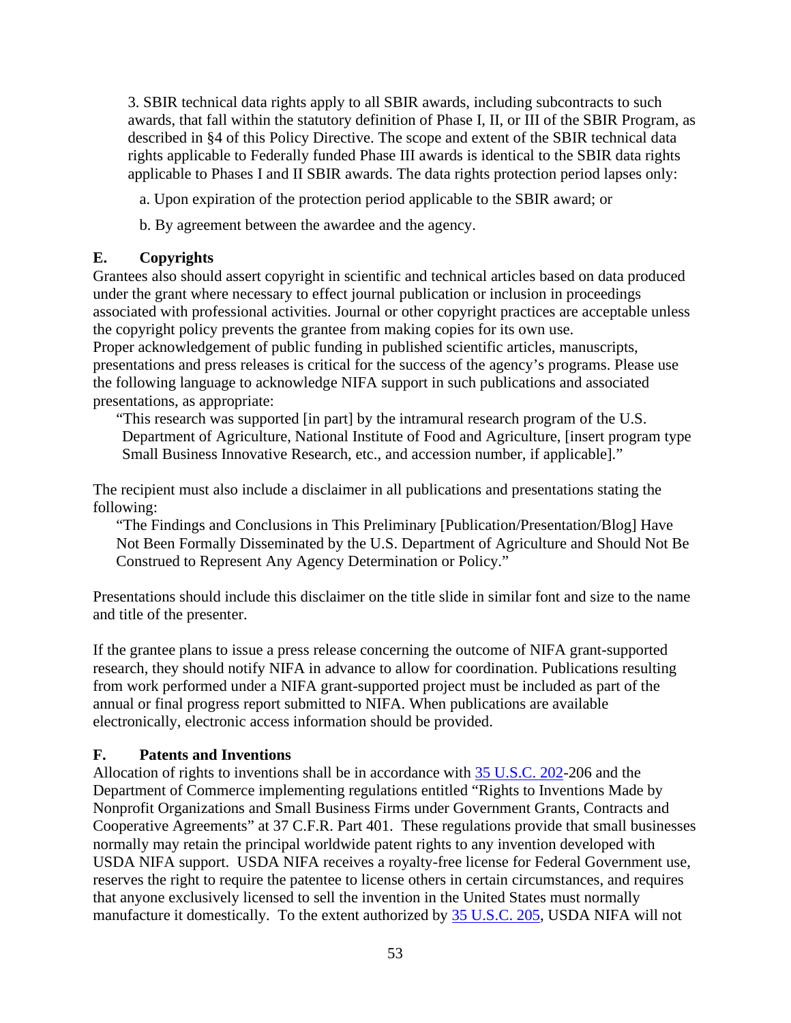3. SBIR technical data rights apply to all SBIR awards, including subcontracts to such awards, that fall within the statutory definition of Phase I, II, or III of the SBIR Program, as described in §4 of this Policy Directive. The scope and extent of the SBIR technical data rights applicable to Federally funded Phase III awards is identical to the SBIR data rights applicable to Phases I and II SBIR awards. The data rights protection period lapses only:

a. Upon expiration of the protection period applicable to the SBIR award; or

b. By agreement between the awardee and the agency.

# <span id="page-52-0"></span>**E. Copyrights**

Grantees also should assert copyright in scientific and technical articles based on data produced under the grant where necessary to effect journal publication or inclusion in proceedings associated with professional activities. Journal or other copyright practices are acceptable unless the copyright policy prevents the grantee from making copies for its own use. Proper acknowledgement of public funding in published scientific articles, manuscripts, presentations and press releases is critical for the success of the agency's programs. Please use the following language to acknowledge NIFA support in such publications and associated presentations, as appropriate:

"This research was supported [in part] by the intramural research program of the U.S. Department of Agriculture, National Institute of Food and Agriculture, [insert program type Small Business Innovative Research, etc., and accession number, if applicable]."

The recipient must also include a disclaimer in all publications and presentations stating the following:

"The Findings and Conclusions in This Preliminary [Publication/Presentation/Blog] Have Not Been Formally Disseminated by the U.S. Department of Agriculture and Should Not Be Construed to Represent Any Agency Determination or Policy."

Presentations should include this disclaimer on the title slide in similar font and size to the name and title of the presenter.

If the grantee plans to issue a press release concerning the outcome of NIFA grant-supported research, they should notify NIFA in advance to allow for coordination. Publications resulting from work performed under a NIFA grant-supported project must be included as part of the annual or final progress report submitted to NIFA. When publications are available electronically, electronic access information should be provided.

# <span id="page-52-1"></span>**F. Patents and Inventions**

Allocation of rights to inventions shall be in accordance with [35 U.S.C. 202-](https://uscode.house.gov/view.xhtml?req=(title:35%20section:202%20edition:prelim)%20OR%20(granuleid:USC-prelim-title35-section202)&f=treesort&edition=prelim&num=0&jumpTo=true)206 and the Department of Commerce implementing regulations entitled "Rights to Inventions Made by Nonprofit Organizations and Small Business Firms under Government Grants, Contracts and Cooperative Agreements" at 37 C.F.R. Part 401. These regulations provide that small businesses normally may retain the principal worldwide patent rights to any invention developed with USDA NIFA support. USDA NIFA receives a royalty-free license for Federal Government use, reserves the right to require the patentee to license others in certain circumstances, and requires that anyone exclusively licensed to sell the invention in the United States must normally manufacture it domestically. To the extent authorized by [35 U.S.C. 205,](https://uscode.house.gov/view.xhtml?req=(title:35%20section:205%20edition:prelim)%20OR%20(granuleid:USC-prelim-title35-section205)&f=treesort&edition=prelim&num=0&jumpTo=true) USDA NIFA will not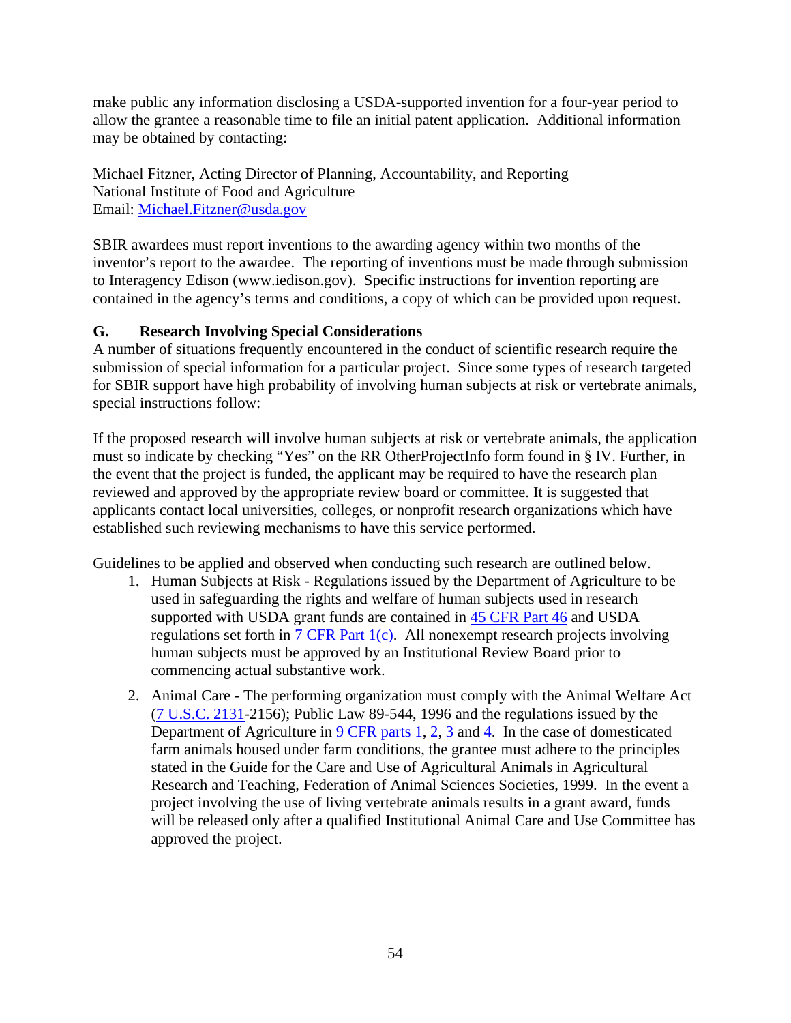make public any information disclosing a USDA-supported invention for a four-year period to allow the grantee a reasonable time to file an initial patent application. Additional information may be obtained by contacting:

Michael Fitzner, Acting Director of Planning, Accountability, and Reporting National Institute of Food and Agriculture Email: [Michael.Fitzner@usda.gov](mailto:Michael.Fitzner@usda.gov)

SBIR awardees must report inventions to the awarding agency within two months of the inventor's report to the awardee. The reporting of inventions must be made through submission to Interagency Edison (www.iedison.gov). Specific instructions for invention reporting are contained in the agency's terms and conditions, a copy of which can be provided upon request.

# <span id="page-53-0"></span>**G. Research Involving Special Considerations**

A number of situations frequently encountered in the conduct of scientific research require the submission of special information for a particular project. Since some types of research targeted for SBIR support have high probability of involving human subjects at risk or vertebrate animals, special instructions follow:

If the proposed research will involve human subjects at risk or vertebrate animals, the application must so indicate by checking "Yes" on the RR OtherProjectInfo form found in § IV. Further, in the event that the project is funded, the applicant may be required to have the research plan reviewed and approved by the appropriate review board or committee. It is suggested that applicants contact local universities, colleges, or nonprofit research organizations which have established such reviewing mechanisms to have this service performed.

Guidelines to be applied and observed when conducting such research are outlined below.

- 1. Human Subjects at Risk Regulations issued by the Department of Agriculture to be used in safeguarding the rights and welfare of human subjects used in research supported with USDA grant funds are contained in [45 CFR Part 46](https://www.ecfr.gov/cgi-bin/retrieveECFR?gp=1&SID=dfb643d3b5fcd56a2821e00debb03667&ty=HTML&h=L&mc=true&n=pt45.1.46&r=PART#sp45.1.46.a) and USDA regulations set forth in [7 CFR Part 1\(c\).](https://www.ecfr.gov/cgi-bin/text-idx?SID=dfb643d3b5fcd56a2821e00debb03667&mc=true&node=pt7.1.1c&rgn=div5) All nonexempt research projects involving human subjects must be approved by an Institutional Review Board prior to commencing actual substantive work.
- 2. Animal Care The performing organization must comply with the Animal Welfare Act [\(7 U.S.C. 2131-](https://uscode.house.gov/view.xhtml?req=(title:7%20section:2131%20edition:prelim)%20OR%20(granuleid:USC-prelim-title7-section2131)&f=treesort&edition=prelim&num=0&jumpTo=true)2156); Public Law 89-544, 1996 and the regulations issued by the Department of Agriculture in [9 CFR parts 1,](https://www.ecfr.gov/cgi-bin/text-idx?SID=dfb643d3b5fcd56a2821e00debb03667&mc=true&node=pt9.1.1&rgn=div5) [2,](https://www.ecfr.gov/cgi-bin/text-idx?SID=dfb643d3b5fcd56a2821e00debb03667&mc=true&node=pt9.1.2&rgn=div5) [3](https://www.ecfr.gov/cgi-bin/text-idx?SID=dfb643d3b5fcd56a2821e00debb03667&mc=true&node=pt9.1.3&rgn=div5) and [4.](https://www.ecfr.gov/cgi-bin/text-idx?SID=dfb643d3b5fcd56a2821e00debb03667&mc=true&node=pt9.1.4&rgn=div5) In the case of domesticated farm animals housed under farm conditions, the grantee must adhere to the principles stated in the Guide for the Care and Use of Agricultural Animals in Agricultural Research and Teaching, Federation of Animal Sciences Societies, 1999. In the event a project involving the use of living vertebrate animals results in a grant award, funds will be released only after a qualified Institutional Animal Care and Use Committee has approved the project.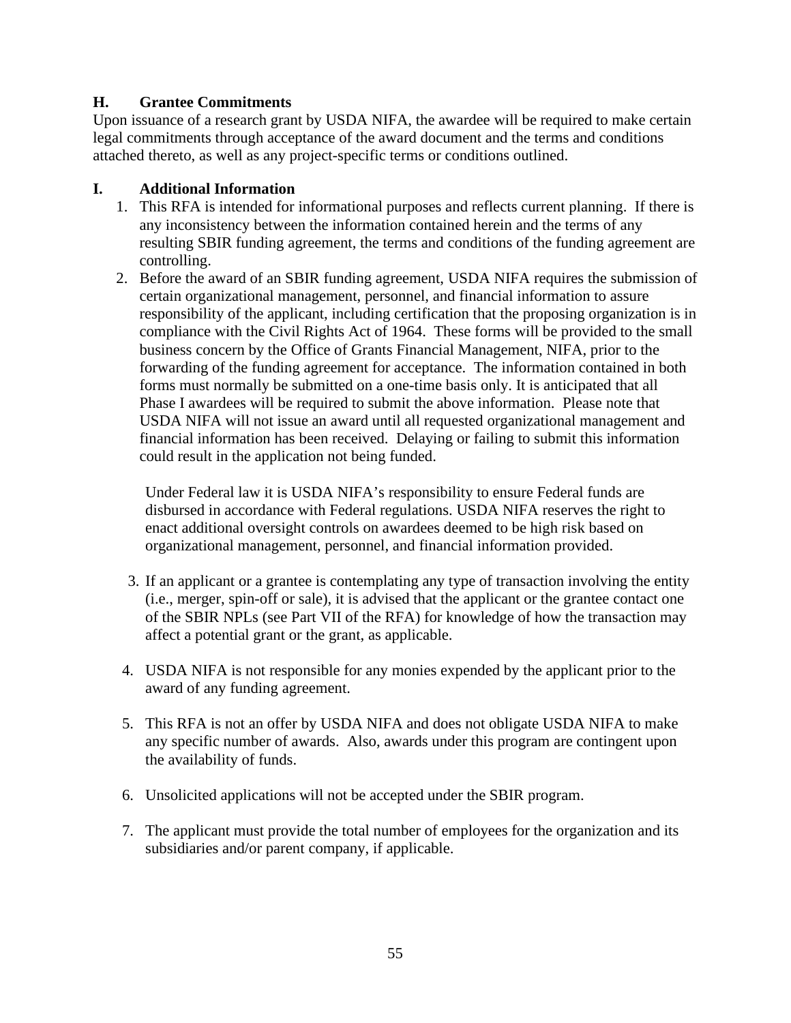# <span id="page-54-0"></span>**H. Grantee Commitments**

Upon issuance of a research grant by USDA NIFA, the awardee will be required to make certain legal commitments through acceptance of the award document and the terms and conditions attached thereto, as well as any project-specific terms or conditions outlined.

### <span id="page-54-1"></span>**I. Additional Information**

- 1. This RFA is intended for informational purposes and reflects current planning. If there is any inconsistency between the information contained herein and the terms of any resulting SBIR funding agreement, the terms and conditions of the funding agreement are controlling.
- 2. Before the award of an SBIR funding agreement, USDA NIFA requires the submission of certain organizational management, personnel, and financial information to assure responsibility of the applicant, including certification that the proposing organization is in compliance with the Civil Rights Act of 1964. These forms will be provided to the small business concern by the Office of Grants Financial Management, NIFA, prior to the forwarding of the funding agreement for acceptance. The information contained in both forms must normally be submitted on a one-time basis only. It is anticipated that all Phase I awardees will be required to submit the above information. Please note that USDA NIFA will not issue an award until all requested organizational management and financial information has been received. Delaying or failing to submit this information could result in the application not being funded.

Under Federal law it is USDA NIFA's responsibility to ensure Federal funds are disbursed in accordance with Federal regulations. USDA NIFA reserves the right to enact additional oversight controls on awardees deemed to be high risk based on organizational management, personnel, and financial information provided.

- 3. If an applicant or a grantee is contemplating any type of transaction involving the entity (i.e., merger, spin-off or sale), it is advised that the applicant or the grantee contact one of the SBIR NPLs (see Part VII of the RFA) for knowledge of how the transaction may affect a potential grant or the grant, as applicable.
- 4. USDA NIFA is not responsible for any monies expended by the applicant prior to the award of any funding agreement.
- 5. This RFA is not an offer by USDA NIFA and does not obligate USDA NIFA to make any specific number of awards. Also, awards under this program are contingent upon the availability of funds.
- 6. Unsolicited applications will not be accepted under the SBIR program.
- 7. The applicant must provide the total number of employees for the organization and its subsidiaries and/or parent company, if applicable.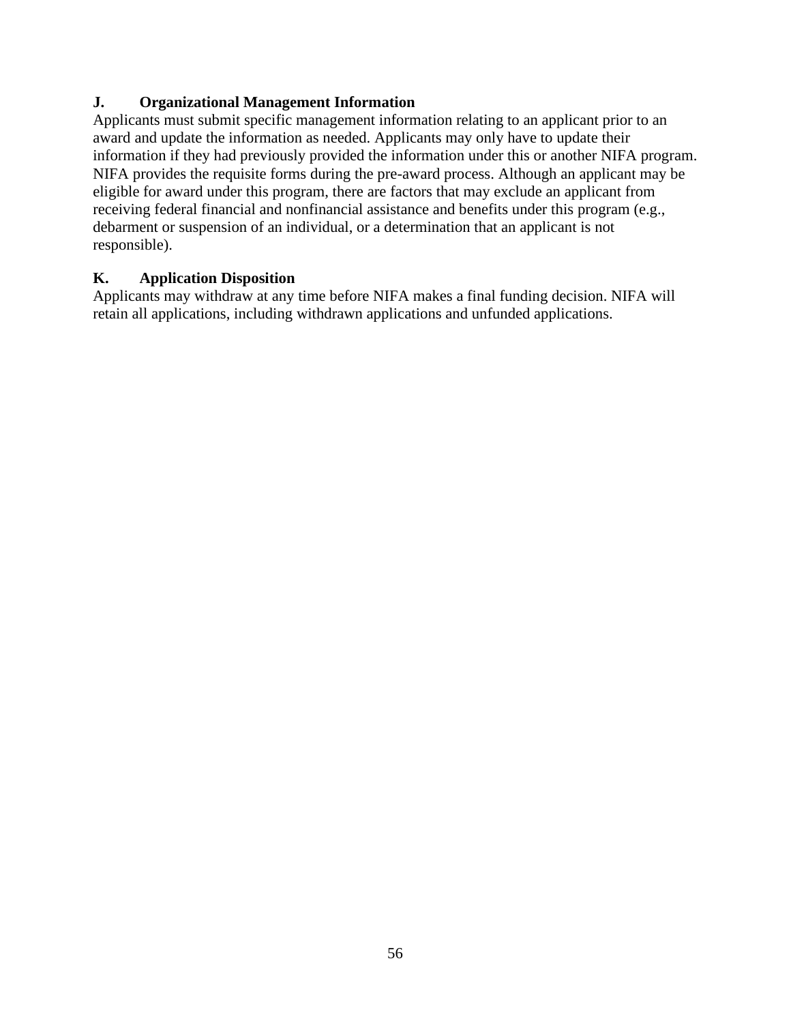# <span id="page-55-0"></span>**J. Organizational Management Information**

Applicants must submit specific management information relating to an applicant prior to an award and update the information as needed. Applicants may only have to update their information if they had previously provided the information under this or another NIFA program. NIFA provides the requisite forms during the pre-award process. Although an applicant may be eligible for award under this program, there are factors that may exclude an applicant from receiving federal financial and nonfinancial assistance and benefits under this program (e.g., debarment or suspension of an individual, or a determination that an applicant is not responsible).

# <span id="page-55-1"></span>**K. Application Disposition**

Applicants may withdraw at any time before NIFA makes a final funding decision. NIFA will retain all applications, including withdrawn applications and unfunded applications.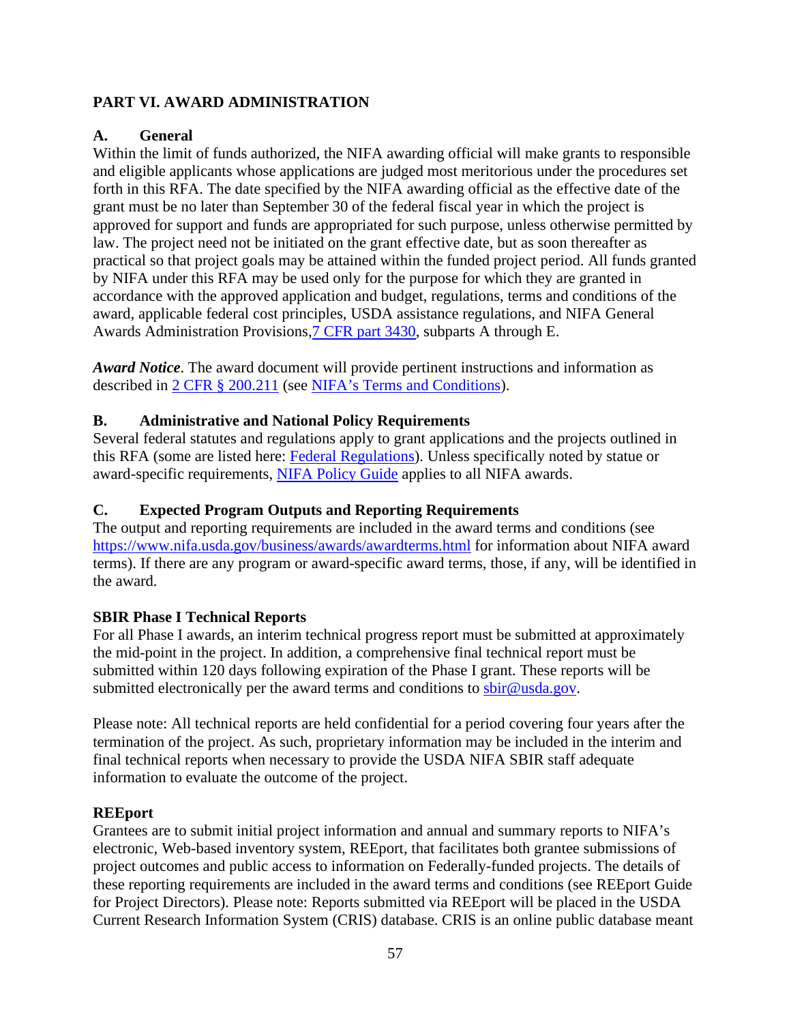# <span id="page-56-0"></span>**PART VI. AWARD ADMINISTRATION**

# <span id="page-56-1"></span>**A. General**

Within the limit of funds authorized, the NIFA awarding official will make grants to responsible and eligible applicants whose applications are judged most meritorious under the procedures set forth in this RFA. The date specified by the NIFA awarding official as the effective date of the grant must be no later than September 30 of the federal fiscal year in which the project is approved for support and funds are appropriated for such purpose, unless otherwise permitted by law. The project need not be initiated on the grant effective date, but as soon thereafter as practical so that project goals may be attained within the funded project period. All funds granted by NIFA under this RFA may be used only for the purpose for which they are granted in accordance with the approved application and budget, regulations, terms and conditions of the award, applicable federal cost principles, USDA assistance regulations, and NIFA General Awards Administration Provisions[,7 CFR part 3430,](https://www.ecfr.gov/cgi-bin/text-idx?SID=1a74011311d649ff6313ca273791b131&mc=true&node=pt7.15.3430&rgn=div5) subparts A through E.

*Award Notice*. The award document will provide pertinent instructions and information as described in [2 CFR § 200.211](https://www.ecfr.gov/cgi-bin/retrieveECFR?gp=&SID=c44a1f8f16917d78ba5ba676eac5fdc3&mc=true&r=SECTION&n=se2.1.200_1211) (see [NIFA's Terms and Conditions\)](https://nifa.usda.gov/terms-and-conditions).

# <span id="page-56-2"></span>**B. Administrative and National Policy Requirements**

Several federal statutes and regulations apply to grant applications and the projects outlined in this RFA (some are listed here: [Federal Regulations\)](https://nifa.usda.gov/federal-regulations). Unless specifically noted by statue or award-specific requirements, [NIFA Policy Guide](https://nifa.usda.gov/policy-guide) applies to all NIFA awards.

# <span id="page-56-3"></span>**C. Expected Program Outputs and Reporting Requirements**

The output and reporting requirements are included in the award terms and conditions (see <https://www.nifa.usda.gov/business/awards/awardterms.html>for information about NIFA award terms). If there are any program or award-specific award terms, those, if any, will be identified in the award.

# **SBIR Phase I Technical Reports**

For all Phase I awards, an interim technical progress report must be submitted at approximately the mid-point in the project. In addition, a comprehensive final technical report must be submitted within 120 days following expiration of the Phase I grant. These reports will be submitted electronically per the award terms and conditions to [sbir@usda.gov.](mailto:sbir@usda.gov)

Please note: All technical reports are held confidential for a period covering four years after the termination of the project. As such, proprietary information may be included in the interim and final technical reports when necessary to provide the USDA NIFA SBIR staff adequate information to evaluate the outcome of the project.

# **REEport**

Grantees are to submit initial project information and annual and summary reports to NIFA's electronic, Web-based inventory system, REEport, that facilitates both grantee submissions of project outcomes and public access to information on Federally-funded projects. The details of these reporting requirements are included in the award terms and conditions (see REEport Guide for Project Directors). Please note: Reports submitted via REEport will be placed in the USDA Current Research Information System (CRIS) database. CRIS is an online public database meant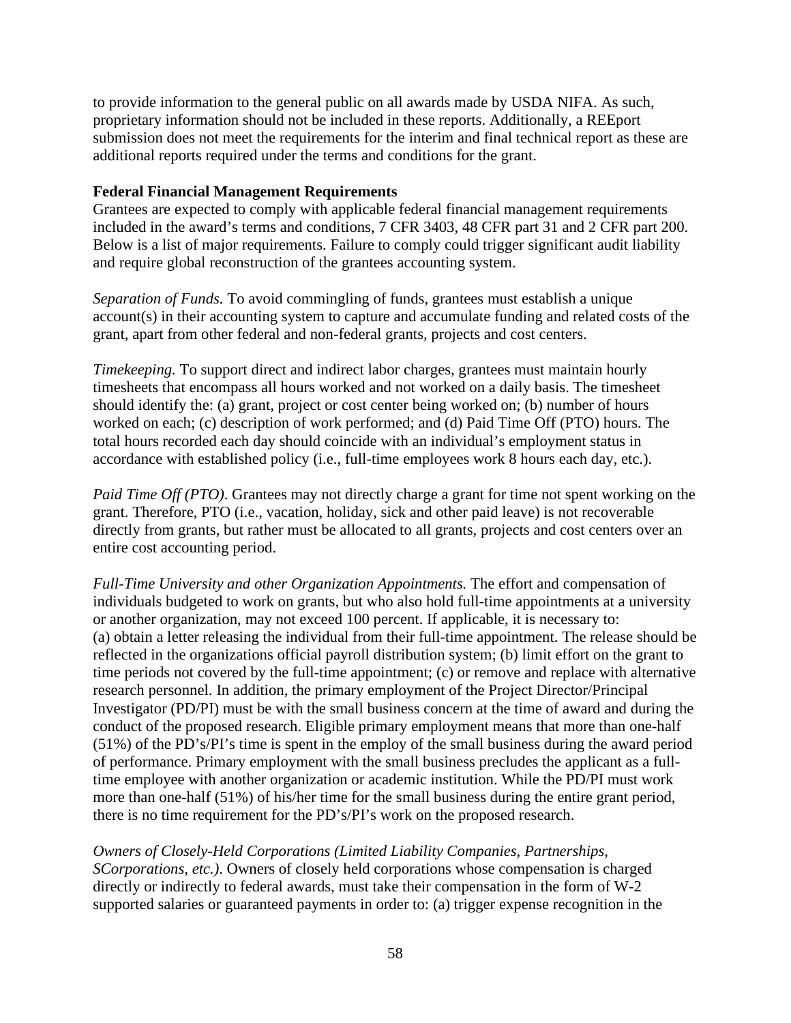to provide information to the general public on all awards made by USDA NIFA. As such, proprietary information should not be included in these reports. Additionally, a REEport submission does not meet the requirements for the interim and final technical report as these are additional reports required under the terms and conditions for the grant.

### **Federal Financial Management Requirements**

Grantees are expected to comply with applicable federal financial management requirements included in the award's terms and conditions, 7 CFR 3403, 48 CFR part 31 and 2 CFR part 200. Below is a list of major requirements. Failure to comply could trigger significant audit liability and require global reconstruction of the grantees accounting system.

*Separation of Funds.* To avoid commingling of funds, grantees must establish a unique account(s) in their accounting system to capture and accumulate funding and related costs of the grant, apart from other federal and non-federal grants, projects and cost centers.

*Timekeeping.* To support direct and indirect labor charges, grantees must maintain hourly timesheets that encompass all hours worked and not worked on a daily basis. The timesheet should identify the: (a) grant, project or cost center being worked on; (b) number of hours worked on each; (c) description of work performed; and (d) Paid Time Off (PTO) hours. The total hours recorded each day should coincide with an individual's employment status in accordance with established policy (i.e., full-time employees work 8 hours each day, etc.).

*Paid Time Off (PTO)*. Grantees may not directly charge a grant for time not spent working on the grant. Therefore, PTO (i.e., vacation, holiday, sick and other paid leave) is not recoverable directly from grants, but rather must be allocated to all grants, projects and cost centers over an entire cost accounting period.

*Full-Time University and other Organization Appointments.* The effort and compensation of individuals budgeted to work on grants, but who also hold full-time appointments at a university or another organization, may not exceed 100 percent. If applicable, it is necessary to: (a) obtain a letter releasing the individual from their full-time appointment. The release should be reflected in the organizations official payroll distribution system; (b) limit effort on the grant to time periods not covered by the full-time appointment; (c) or remove and replace with alternative research personnel. In addition, the primary employment of the Project Director/Principal Investigator (PD/PI) must be with the small business concern at the time of award and during the conduct of the proposed research. Eligible primary employment means that more than one-half (51%) of the PD's/PI's time is spent in the employ of the small business during the award period of performance. Primary employment with the small business precludes the applicant as a fulltime employee with another organization or academic institution. While the PD/PI must work more than one-half (51%) of his/her time for the small business during the entire grant period, there is no time requirement for the PD's/PI's work on the proposed research.

*Owners of Closely-Held Corporations (Limited Liability Companies, Partnerships, SCorporations, etc.)*. Owners of closely held corporations whose compensation is charged directly or indirectly to federal awards, must take their compensation in the form of W-2 supported salaries or guaranteed payments in order to: (a) trigger expense recognition in the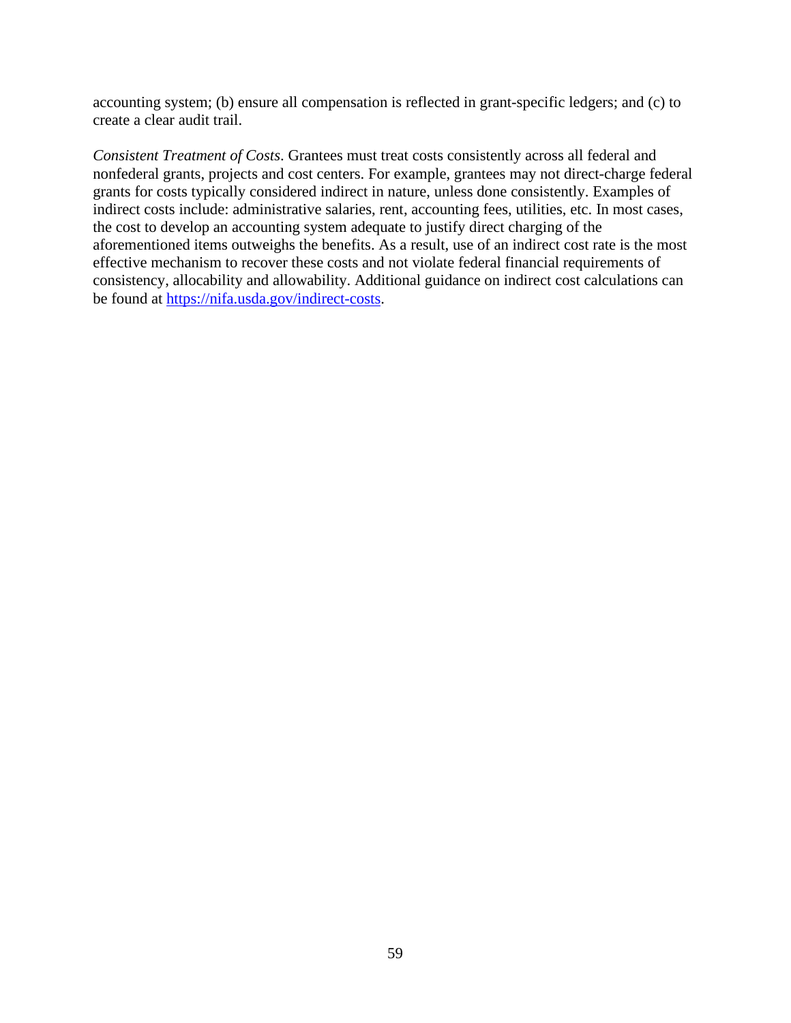accounting system; (b) ensure all compensation is reflected in grant-specific ledgers; and (c) to create a clear audit trail.

*Consistent Treatment of Costs*. Grantees must treat costs consistently across all federal and nonfederal grants, projects and cost centers. For example, grantees may not direct-charge federal grants for costs typically considered indirect in nature, unless done consistently. Examples of indirect costs include: administrative salaries, rent, accounting fees, utilities, etc. In most cases, the cost to develop an accounting system adequate to justify direct charging of the aforementioned items outweighs the benefits. As a result, use of an indirect cost rate is the most effective mechanism to recover these costs and not violate federal financial requirements of consistency, allocability and allowability. Additional guidance on indirect cost calculations can be found at [https://nifa.usda.gov/indirect-costs.](https://nifa.usda.gov/indirect-costs)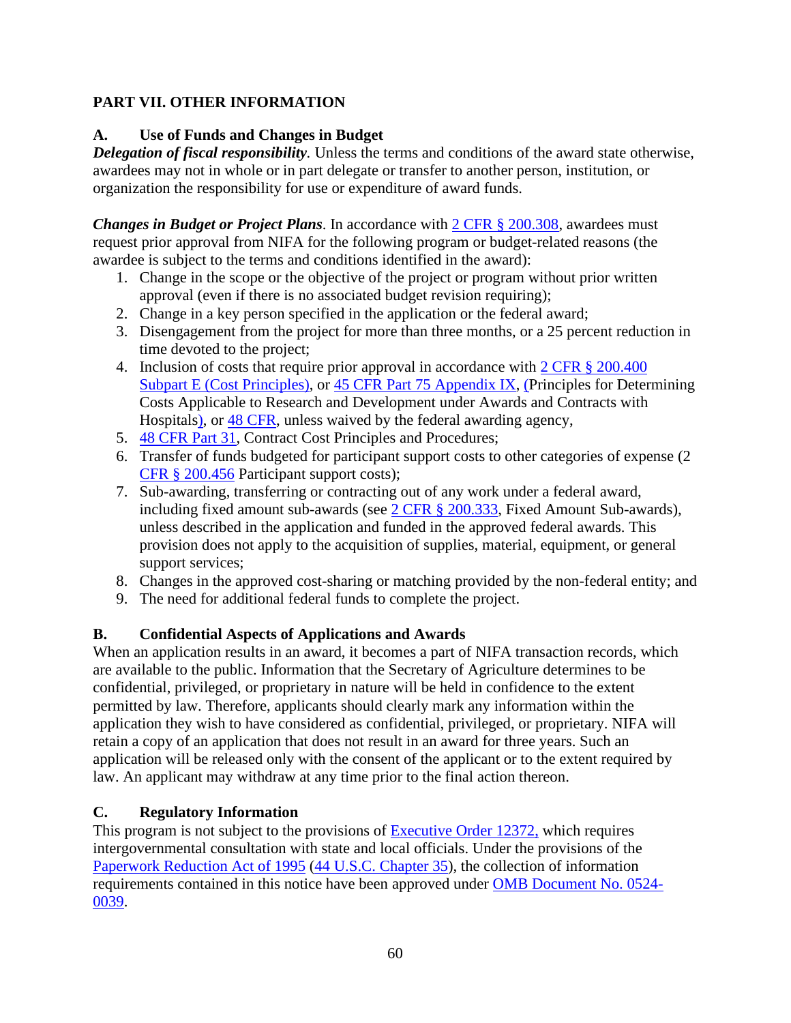# <span id="page-59-0"></span>**PART VII. OTHER INFORMATION**

# <span id="page-59-1"></span>**A. Use of Funds and Changes in Budget**

*Delegation of fiscal responsibility.* Unless the terms and conditions of the award state otherwise, awardees may not in whole or in part delegate or transfer to another person, institution, or organization the responsibility for use or expenditure of award funds.

*Changes in Budget or Project Plans*. In accordance with [2 CFR § 200.308,](https://www.ecfr.gov/cgi-bin/text-idx?SID=3af89506559b05297e7d0334cb283e24&mc=true&node=se2.1.200_1308&rgn=div8) awardees must request prior approval from NIFA for the following program or budget-related reasons (the awardee is subject to the terms and conditions identified in the award):

- 1. Change in the scope or the objective of the project or program without prior written approval (even if there is no associated budget revision requiring);
- 2. Change in a key person specified in the application or the federal award;
- 3. Disengagement from the project for more than three months, or a 25 percent reduction in time devoted to the project;
- 4. Inclusion of costs that require prior approval in accordance with [2 CFR § 200.400](https://www.ecfr.gov/cgi-bin/text-idx?SID=dc069d42776cd3451f66232d56026057&mc=true&node=pt2.1.200&rgn=div5#sp2.1.200.e)  [Subpart E \(Cost Principles\),](https://www.ecfr.gov/cgi-bin/text-idx?SID=dc069d42776cd3451f66232d56026057&mc=true&node=pt2.1.200&rgn=div5#sp2.1.200.e) or [45 CFR Part 75 Appendix IX,](https://www.ecfr.gov/cgi-bin/text-idx?node=pt45.1.75#ap45.1.75_1521.ix) (Principles for Determining Costs Applicable to Research and Development under Awards and Contracts with Hospitals), or [48 CFR,](https://www.ecfr.gov/cgi-bin/text-idx?SID=4d9d83a5cef52c19c5ff83421fa48a4b&mc=true&tpl=/ecfrbrowse/Title48/48tab_02.tpl) unless waived by the federal awarding agency,
- 5. [48 CFR Part 31,](https://www.ecfr.gov/cgi-bin/text-idx?SID=4d9d83a5cef52c19c5ff83421fa48a4b&mc=true&node=pt48.1.31&rgn=div5) Contract Cost Principles and Procedures;
- 6. Transfer of funds budgeted for participant support costs to other categories of expense (2 [CFR § 200.456](https://www.ecfr.gov/cgi-bin/text-idx?SID=875f7422535a157681c65d5ff44deb32&mc=true&node=pt2.1.200&rgn=div5#se2.1.200_1456) Participant support costs);
- 7. Sub-awarding, transferring or contracting out of any work under a federal award, including fixed amount sub-awards (see [2 CFR § 200.333,](https://www.ecfr.gov/cgi-bin/text-idx?SID=9eaf9554e1f32bf0d83aca55646e9b7e&mc=true&node=pt2.1.200&rgn=div5#se2.1.200_1333) Fixed Amount Sub-awards), unless described in the application and funded in the approved federal awards. This provision does not apply to the acquisition of supplies, material, equipment, or general support services;
- 8. Changes in the approved cost-sharing or matching provided by the non-federal entity; and
- 9. The need for additional federal funds to complete the project.

# <span id="page-59-2"></span>**B. Confidential Aspects of Applications and Awards**

When an application results in an award, it becomes a part of NIFA transaction records, which are available to the public. Information that the Secretary of Agriculture determines to be confidential, privileged, or proprietary in nature will be held in confidence to the extent permitted by law. Therefore, applicants should clearly mark any information within the application they wish to have considered as confidential, privileged, or proprietary. NIFA will retain a copy of an application that does not result in an award for three years. Such an application will be released only with the consent of the applicant or to the extent required by law. An applicant may withdraw at any time prior to the final action thereon.

# <span id="page-59-3"></span>**C. Regulatory Information**

This program is not subject to the provisions of [Executive Order 12372,](https://www.ecfr.gov/cgi-bin/text-idx?SID=0b37e8c84a4efb59ea63d99c6e78803e&mc=true&node=se24.3.570_1612&rgn=div8) which requires intergovernmental consultation with state and local officials. Under the provisions of the [Paperwork Reduction Act of 1995](https://uscode.house.gov/view.xhtml?req=granuleid:USC-prelim-title44-section3501&num=0&edition=prelim) [\(44 U.S.C. Chapter 35\)](http://uscode.house.gov/view.xhtml?path=/prelim@title44/chapter35&edition=prelim), the collection of information requirements contained in this notice have been approved under [OMB Document No. 0524-](https://www.federalregister.gov/documents/2018/10/29/2018-23552/submission-for-omb-review-comment-request) [0039.](https://www.federalregister.gov/documents/2018/10/29/2018-23552/submission-for-omb-review-comment-request)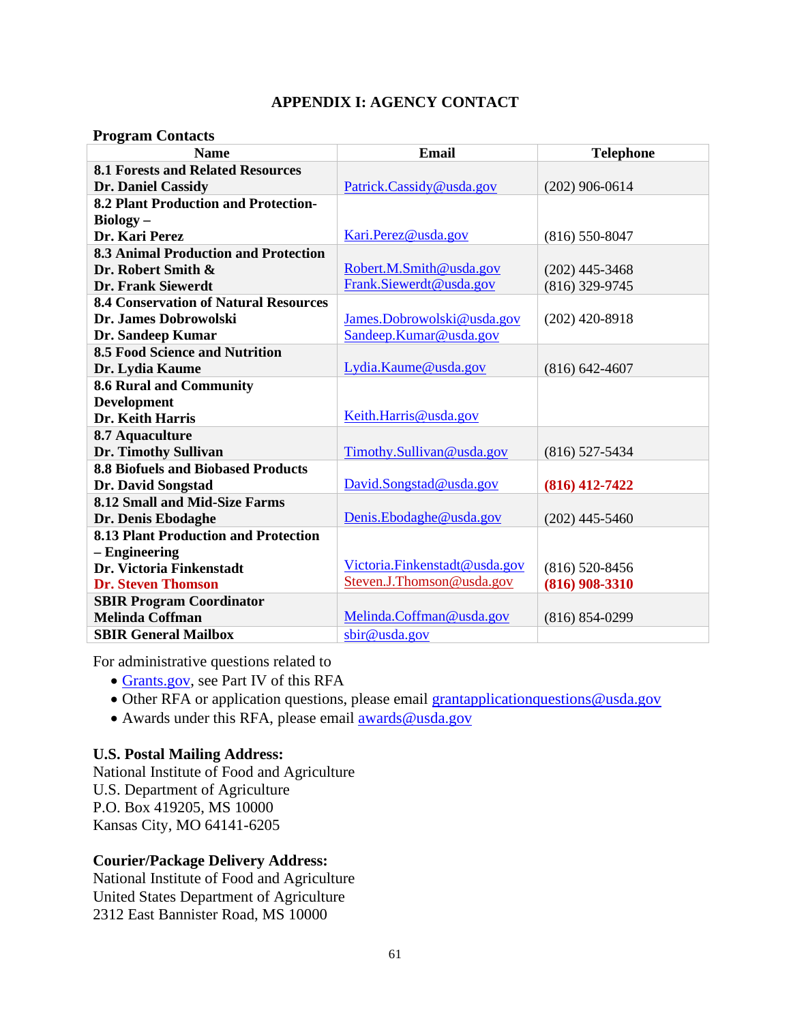# **APPENDIX I: AGENCY CONTACT**

#### <span id="page-60-0"></span>**Program Contacts**

| <b>Name</b>                                  | <b>Email</b>                  | <b>Telephone</b>   |
|----------------------------------------------|-------------------------------|--------------------|
| <b>8.1 Forests and Related Resources</b>     |                               |                    |
| Dr. Daniel Cassidy                           | Patrick.Cassidy@usda.gov      | $(202)$ 906-0614   |
| <b>8.2 Plant Production and Protection-</b>  |                               |                    |
| $Biology -$                                  |                               |                    |
| Dr. Kari Perez                               | Kari.Perez@usda.gov           | $(816) 550 - 8047$ |
| <b>8.3 Animal Production and Protection</b>  |                               |                    |
| Dr. Robert Smith &                           | Robert.M.Smith@usda.gov       | $(202)$ 445-3468   |
| <b>Dr. Frank Siewerdt</b>                    | Frank.Siewerdt@usda.gov       | $(816)$ 329-9745   |
| <b>8.4 Conservation of Natural Resources</b> |                               |                    |
| Dr. James Dobrowolski                        | James.Dobrowolski@usda.gov    | $(202)$ 420-8918   |
| Dr. Sandeep Kumar                            | Sandeep.Kumar@usda.gov        |                    |
| <b>8.5 Food Science and Nutrition</b>        |                               |                    |
| Dr. Lydia Kaume                              | Lydia.Kaume@usda.gov          | $(816) 642 - 4607$ |
| <b>8.6 Rural and Community</b>               |                               |                    |
| <b>Development</b>                           |                               |                    |
| Dr. Keith Harris                             | Keith.Harris@usda.gov         |                    |
| 8.7 Aquaculture                              |                               |                    |
| Dr. Timothy Sullivan                         | Timothy.Sullivan@usda.gov     | $(816)$ 527-5434   |
| <b>8.8 Biofuels and Biobased Products</b>    |                               |                    |
| Dr. David Songstad                           | David.Songstad@usda.gov       | $(816)$ 412-7422   |
| 8.12 Small and Mid-Size Farms                |                               |                    |
| Dr. Denis Ebodaghe                           | Denis.Ebodaghe@usda.gov       | $(202)$ 445-5460   |
| <b>8.13 Plant Production and Protection</b>  |                               |                    |
| - Engineering                                |                               |                    |
| Dr. Victoria Finkenstadt                     | Victoria.Finkenstadt@usda.gov | $(816)$ 520-8456   |
| <b>Dr. Steven Thomson</b>                    | Steven.J.Thomson@usda.gov     | $(816)$ 908-3310   |
| <b>SBIR Program Coordinator</b>              |                               |                    |
| <b>Melinda Coffman</b>                       | Melinda.Coffman@usda.gov      | $(816) 854 - 0299$ |
| <b>SBIR General Mailbox</b>                  | sbir@usda.gov                 |                    |

For administrative questions related to

- [Grants.gov,](https://www.grants.gov/) see Part IV of this RFA
- Other RFA or application questions, please email grantapplicationquestions @usda.gov
- Awards under this RFA, please email awards@usda.gov

#### **U.S. Postal Mailing Address:**

National Institute of Food and Agriculture U.S. Department of Agriculture P.O. Box 419205, MS 10000 Kansas City, MO 64141-6205

### **Courier/Package Delivery Address:**

National Institute of Food and Agriculture United States Department of Agriculture 2312 East Bannister Road, MS 10000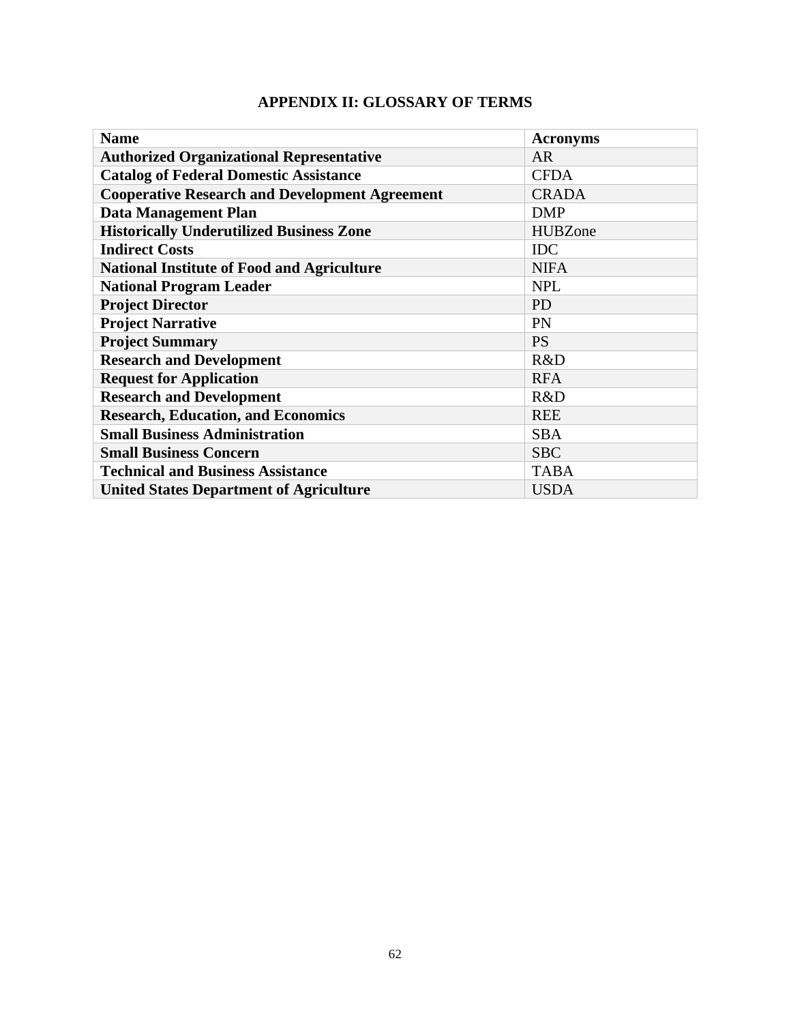|  |  |  |  |  | APPENDIX II: GLOSSARY OF TERMS |
|--|--|--|--|--|--------------------------------|
|--|--|--|--|--|--------------------------------|

<span id="page-61-0"></span>

| <b>Name</b>                                           | <b>Acronyms</b> |
|-------------------------------------------------------|-----------------|
| <b>Authorized Organizational Representative</b>       | <b>AR</b>       |
| <b>Catalog of Federal Domestic Assistance</b>         | <b>CFDA</b>     |
| <b>Cooperative Research and Development Agreement</b> | <b>CRADA</b>    |
| <b>Data Management Plan</b>                           | <b>DMP</b>      |
| <b>Historically Underutilized Business Zone</b>       | <b>HUBZone</b>  |
| <b>Indirect Costs</b>                                 | <b>IDC</b>      |
| <b>National Institute of Food and Agriculture</b>     | <b>NIFA</b>     |
| <b>National Program Leader</b>                        | <b>NPL</b>      |
| <b>Project Director</b>                               | <b>PD</b>       |
| <b>Project Narrative</b>                              | PN              |
| <b>Project Summary</b>                                | <b>PS</b>       |
| <b>Research and Development</b>                       | R&D             |
| <b>Request for Application</b>                        | <b>RFA</b>      |
| <b>Research and Development</b>                       | R&D             |
| <b>Research, Education, and Economics</b>             | <b>REE</b>      |
| <b>Small Business Administration</b>                  | <b>SBA</b>      |
| <b>Small Business Concern</b>                         | <b>SBC</b>      |
| <b>Technical and Business Assistance</b>              | <b>TABA</b>     |
| <b>United States Department of Agriculture</b>        | <b>USDA</b>     |